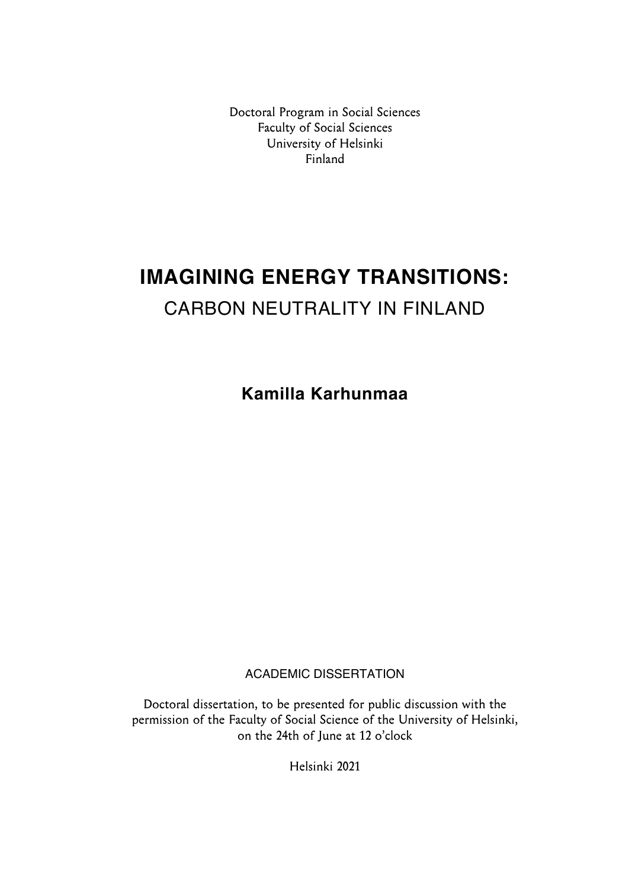Doctoral Program in Social Sciences Faculty of Social Sciences University of Helsinki Finland

# **IMAGINING ENERGY TRANSITIONS:**  CARBON NEUTRALITY IN FINLAND

**Kamilla Karhunmaa** 

ACADEMIC DISSERTATION

Doctoral dissertation, to be presented for public discussion with the permission of the Faculty of Social Science of the University of Helsinki, on the 24th of June at 12 o'clock

Helsinki 2021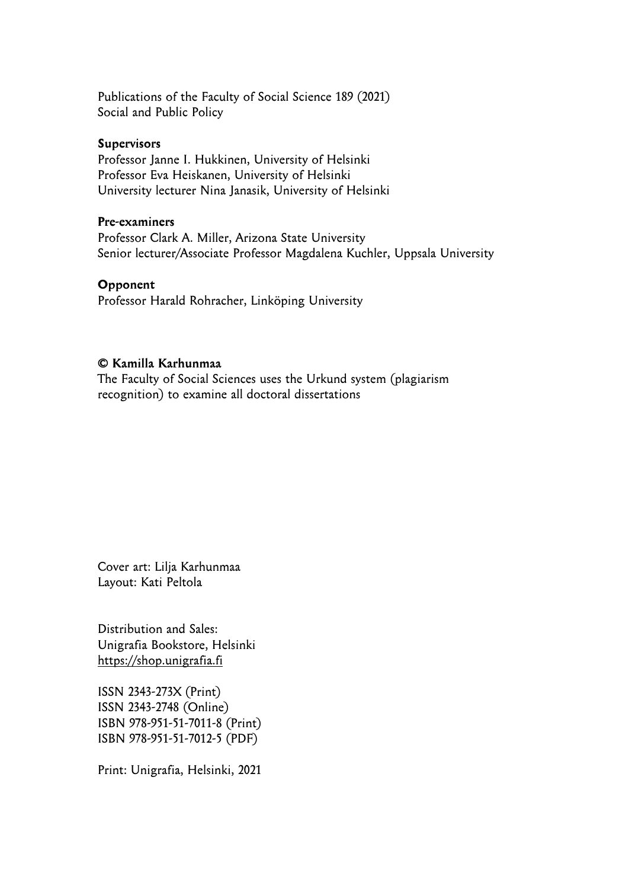Publications of the Faculty of Social Science 189 (2021) Social and Public Policy

#### **Supervisors**

Professor Janne I. Hukkinen, University of Helsinki Professor Eva Heiskanen, University of Helsinki University lecturer Nina Janasik, University of Helsinki

#### **Pre-examiners**

Professor Clark A. Miller, Arizona State University Senior lecturer/Associate Professor Magdalena Kuchler, Uppsala University

#### **Opponent**

Professor Harald Rohracher, Linköping University

#### **© Kamilla Karhunmaa**

The Faculty of Social Sciences uses the Urkund system (plagiarism recognition) to examine all doctoral dissertations

Cover art: Lilja Karhunmaa Layout: Kati Peltola

Distribution and Sales: Unigrafia Bookstore, Helsinki https://shop.unigrafia.fi

ISSN 2343-273X (Print) ISSN 2343-2748 (Online) ISBN 978-951-51-7011-8 (Print) ISBN 978-951-51-7012-5 (PDF)

Print: Unigrafia, Helsinki, 2021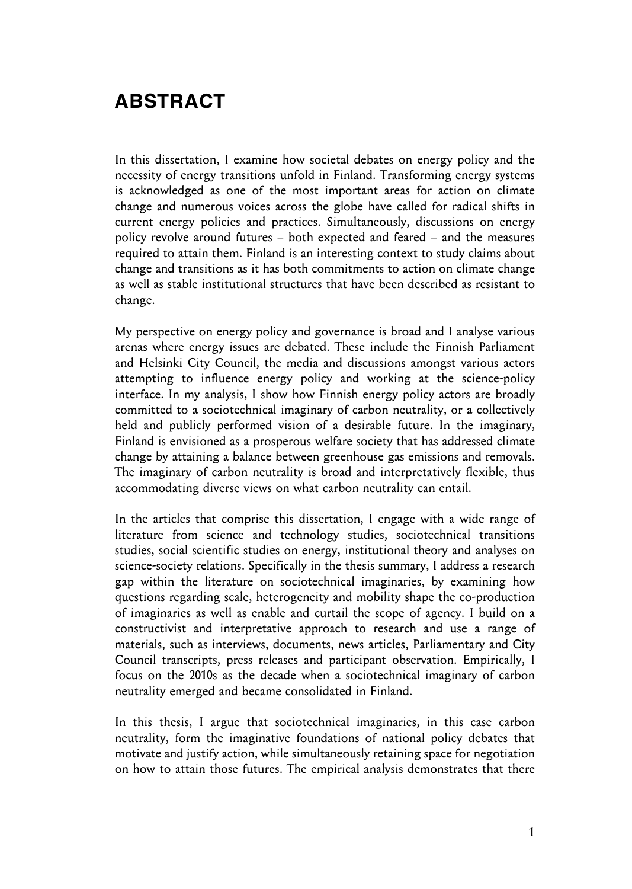## **ABSTRACT**

In this dissertation, I examine how societal debates on energy policy and the necessity of energy transitions unfold in Finland. Transforming energy systems is acknowledged as one of the most important areas for action on climate change and numerous voices across the globe have called for radical shifts in current energy policies and practices. Simultaneously, discussions on energy policy revolve around futures – both expected and feared – and the measures required to attain them. Finland is an interesting context to study claims about change and transitions as it has both commitments to action on climate change as well as stable institutional structures that have been described as resistant to change.

My perspective on energy policy and governance is broad and I analyse various arenas where energy issues are debated. These include the Finnish Parliament and Helsinki City Council, the media and discussions amongst various actors attempting to influence energy policy and working at the science-policy interface. In my analysis, I show how Finnish energy policy actors are broadly committed to a sociotechnical imaginary of carbon neutrality, or a collectively held and publicly performed vision of a desirable future. In the imaginary, Finland is envisioned as a prosperous welfare society that has addressed climate change by attaining a balance between greenhouse gas emissions and removals. The imaginary of carbon neutrality is broad and interpretatively flexible, thus accommodating diverse views on what carbon neutrality can entail.

In the articles that comprise this dissertation, I engage with a wide range of literature from science and technology studies, sociotechnical transitions studies, social scientific studies on energy, institutional theory and analyses on science-society relations. Specifically in the thesis summary, I address a research gap within the literature on sociotechnical imaginaries, by examining how questions regarding scale, heterogeneity and mobility shape the co-production of imaginaries as well as enable and curtail the scope of agency. I build on a constructivist and interpretative approach to research and use a range of materials, such as interviews, documents, news articles, Parliamentary and City Council transcripts, press releases and participant observation. Empirically, I focus on the 2010s as the decade when a sociotechnical imaginary of carbon neutrality emerged and became consolidated in Finland.

In this thesis, I argue that sociotechnical imaginaries, in this case carbon neutrality, form the imaginative foundations of national policy debates that motivate and justify action, while simultaneously retaining space for negotiation on how to attain those futures. The empirical analysis demonstrates that there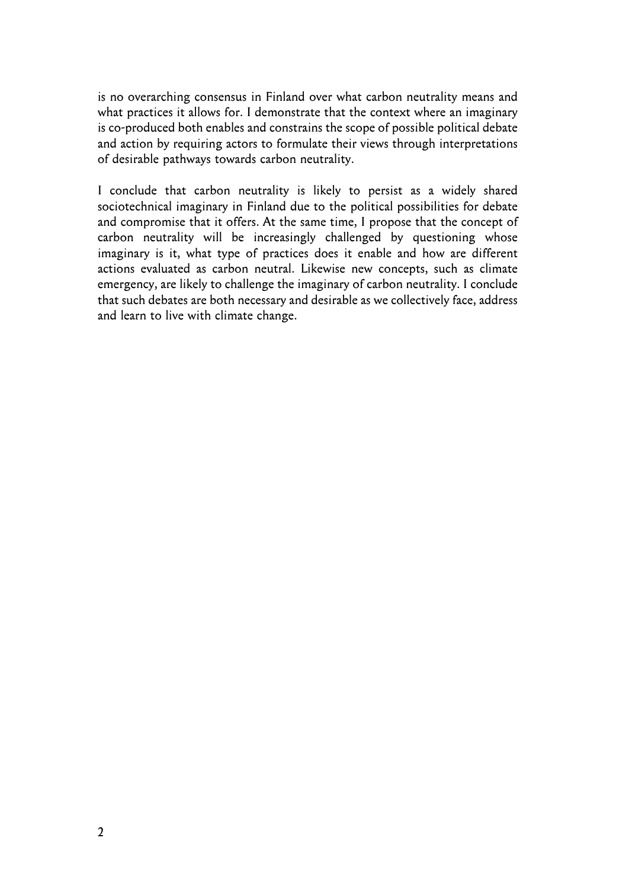is no overarching consensus in Finland over what carbon neutrality means and what practices it allows for. I demonstrate that the context where an imaginary is co-produced both enables and constrains the scope of possible political debate and action by requiring actors to formulate their views through interpretations of desirable pathways towards carbon neutrality.

I conclude that carbon neutrality is likely to persist as a widely shared sociotechnical imaginary in Finland due to the political possibilities for debate and compromise that it offers. At the same time, I propose that the concept of carbon neutrality will be increasingly challenged by questioning whose imaginary is it, what type of practices does it enable and how are different actions evaluated as carbon neutral. Likewise new concepts, such as climate emergency, are likely to challenge the imaginary of carbon neutrality. I conclude that such debates are both necessary and desirable as we collectively face, address and learn to live with climate change.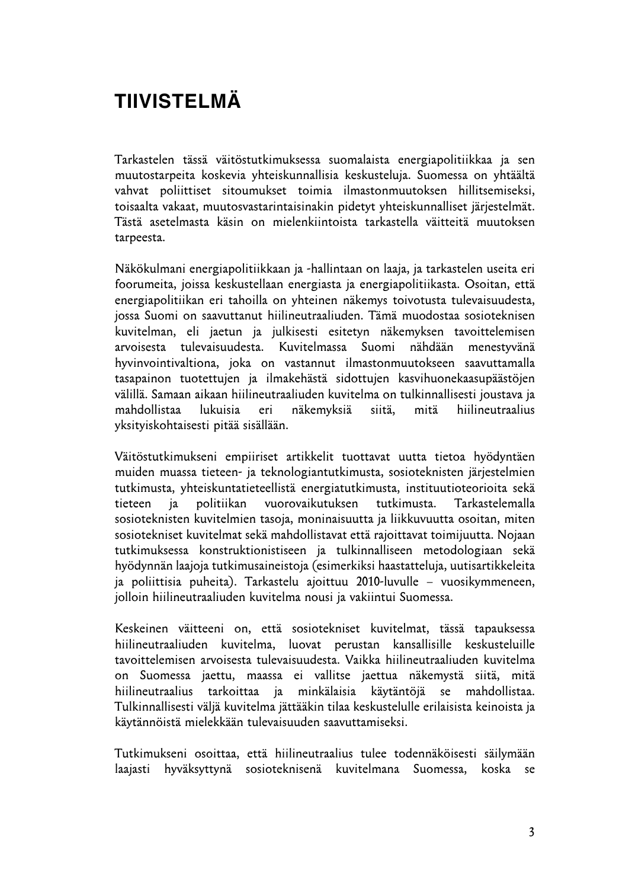# **TIIVISTELMÄ**

Tarkastelen tässä väitöstutkimuksessa suomalaista energiapolitiikkaa ja sen muutostarpeita koskevia yhteiskunnallisia keskusteluja. Suomessa on yhtäältä vahvat poliittiset sitoumukset toimia ilmastonmuutoksen hillitsemiseksi, toisaalta vakaat, muutosvastarintaisinakin pidetyt yhteiskunnalliset järjestelmät. Tästä asetelmasta käsin on mielenkiintoista tarkastella väitteitä muutoksen tarpeesta.

Näkökulmani energiapolitiikkaan ja -hallintaan on laaja, ja tarkastelen useita eri foorumeita, joissa keskustellaan energiasta ja energiapolitiikasta. Osoitan, että energiapolitiikan eri tahoilla on yhteinen näkemys toivotusta tulevaisuudesta, jossa Suomi on saavuttanut hiilineutraaliuden. Tämä muodostaa sosioteknisen kuvitelman, eli jaetun ja julkisesti esitetyn näkemyksen tavoittelemisen arvoisesta tulevaisuudesta. Kuvitelmassa Suomi nähdään menestyvänä hyvinvointivaltiona, joka on vastannut ilmastonmuutokseen saavuttamalla tasapainon tuotettujen ja ilmakehästä sidottujen kasvihuonekaasupäästöjen välillä. Samaan aikaan hiilineutraaliuden kuvitelma on tulkinnallisesti joustava ja mahdollistaa lukuisia eri näkemyksiä siitä, mitä hiilineutraalius yksityiskohtaisesti pitää sisällään.

Väitöstutkimukseni empiiriset artikkelit tuottavat uutta tietoa hyödyntäen muiden muassa tieteen- ja teknologiantutkimusta, sosioteknisten järjestelmien tutkimusta, yhteiskuntatieteellistä energiatutkimusta, instituutioteorioita sekä tieteen ja politiikan vuorovaikutuksen tutkimusta. Tarkastelemalla sosioteknisten kuvitelmien tasoja, moninaisuutta ja liikkuvuutta osoitan, miten sosiotekniset kuvitelmat sekä mahdollistavat että rajoittavat toimijuutta. Nojaan tutkimuksessa konstruktionistiseen ja tulkinnalliseen metodologiaan sekä hyödynnän laajoja tutkimusaineistoja (esimerkiksi haastatteluja, uutisartikkeleita ja poliittisia puheita). Tarkastelu ajoittuu 2010-luvulle – vuosikymmeneen, jolloin hiilineutraaliuden kuvitelma nousi ja vakiintui Suomessa.

Keskeinen väitteeni on, että sosiotekniset kuvitelmat, tässä tapauksessa hiilineutraaliuden kuvitelma, luovat perustan kansallisille keskusteluille tavoittelemisen arvoisesta tulevaisuudesta. Vaikka hiilineutraaliuden kuvitelma on Suomessa jaettu, maassa ei vallitse jaettua näkemystä siitä, mitä hiilineutraalius tarkoittaa ja minkälaisia käytäntöjä se mahdollistaa. Tulkinnallisesti väljä kuvitelma jättääkin tilaa keskustelulle erilaisista keinoista ja käytännöistä mielekkään tulevaisuuden saavuttamiseksi.

Tutkimukseni osoittaa, että hiilineutraalius tulee todennäköisesti säilymään laajasti hyväksyttynä sosioteknisenä kuvitelmana Suomessa, koska se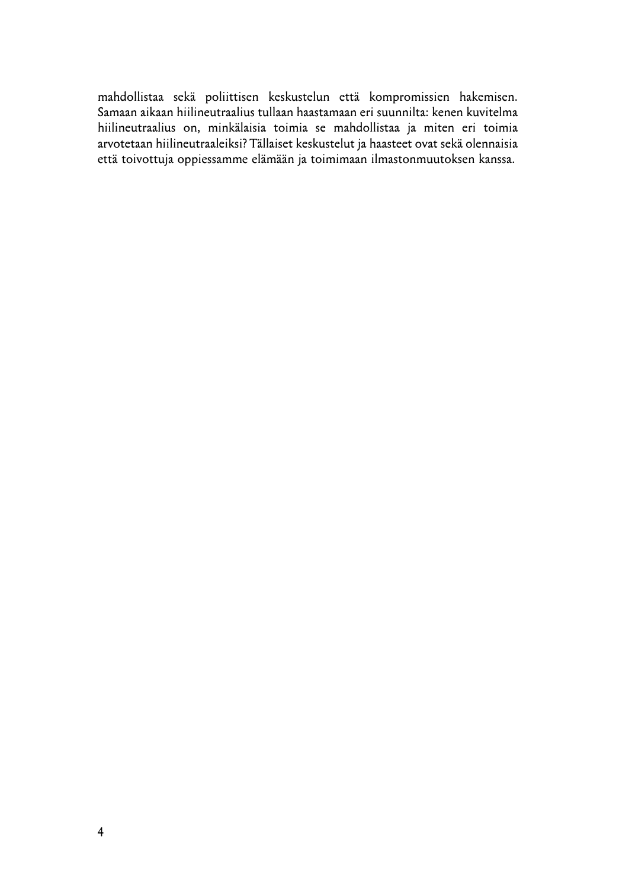mahdollistaa sekä poliittisen keskustelun että kompromissien hakemisen. Samaan aikaan hiilineutraalius tullaan haastamaan eri suunnilta: kenen kuvitelma hiilineutraalius on, minkälaisia toimia se mahdollistaa ja miten eri toimia arvotetaan hiilineutraaleiksi? Tällaiset keskustelut ja haasteet ovat sekä olennaisia että toivottuja oppiessamme elämään ja toimimaan ilmastonmuutoksen kanssa.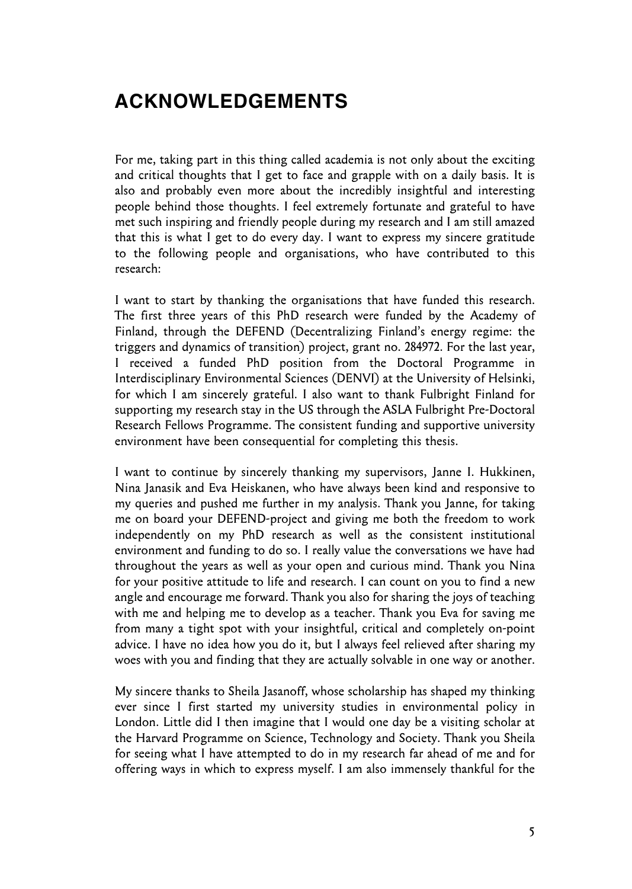## **ACKNOWLEDGEMENTS**

For me, taking part in this thing called academia is not only about the exciting and critical thoughts that I get to face and grapple with on a daily basis. It is also and probably even more about the incredibly insightful and interesting people behind those thoughts. I feel extremely fortunate and grateful to have met such inspiring and friendly people during my research and I am still amazed that this is what I get to do every day. I want to express my sincere gratitude to the following people and organisations, who have contributed to this research:

I want to start by thanking the organisations that have funded this research. The first three years of this PhD research were funded by the Academy of Finland, through the DEFEND (Decentralizing Finland's energy regime: the triggers and dynamics of transition) project, grant no. 284972. For the last year, I received a funded PhD position from the Doctoral Programme in Interdisciplinary Environmental Sciences (DENVI) at the University of Helsinki, for which I am sincerely grateful. I also want to thank Fulbright Finland for supporting my research stay in the US through the ASLA Fulbright Pre-Doctoral Research Fellows Programme. The consistent funding and supportive university environment have been consequential for completing this thesis.

I want to continue by sincerely thanking my supervisors, Janne I. Hukkinen, Nina Janasik and Eva Heiskanen, who have always been kind and responsive to my queries and pushed me further in my analysis. Thank you Janne, for taking me on board your DEFEND-project and giving me both the freedom to work independently on my PhD research as well as the consistent institutional environment and funding to do so. I really value the conversations we have had throughout the years as well as your open and curious mind. Thank you Nina for your positive attitude to life and research. I can count on you to find a new angle and encourage me forward. Thank you also for sharing the joys of teaching with me and helping me to develop as a teacher. Thank you Eva for saving me from many a tight spot with your insightful, critical and completely on-point advice. I have no idea how you do it, but I always feel relieved after sharing my woes with you and finding that they are actually solvable in one way or another.

My sincere thanks to Sheila Jasanoff, whose scholarship has shaped my thinking ever since I first started my university studies in environmental policy in London. Little did I then imagine that I would one day be a visiting scholar at the Harvard Programme on Science, Technology and Society. Thank you Sheila for seeing what I have attempted to do in my research far ahead of me and for offering ways in which to express myself. I am also immensely thankful for the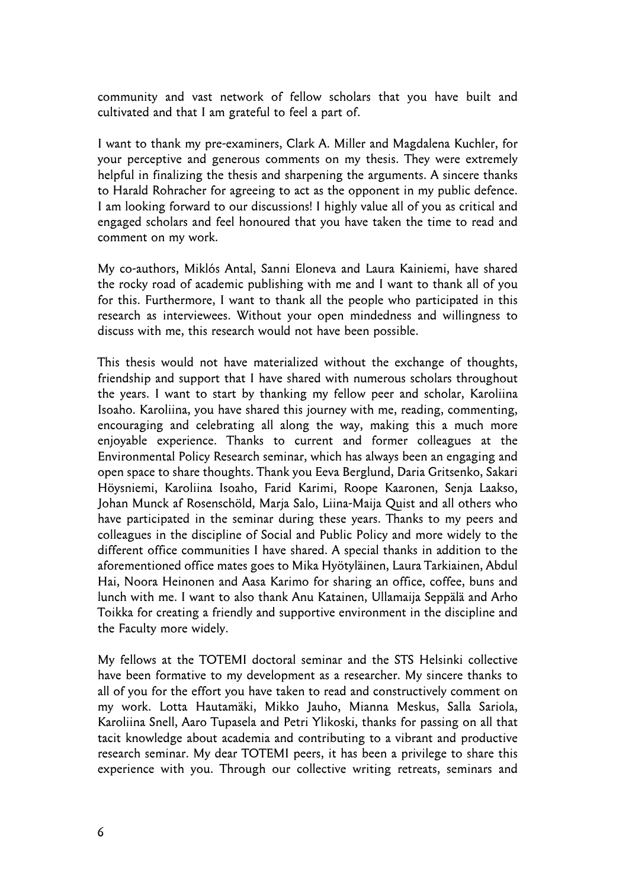community and vast network of fellow scholars that you have built and cultivated and that I am grateful to feel a part of.

I want to thank my pre-examiners, Clark A. Miller and Magdalena Kuchler, for your perceptive and generous comments on my thesis. They were extremely helpful in finalizing the thesis and sharpening the arguments. A sincere thanks to Harald Rohracher for agreeing to act as the opponent in my public defence. I am looking forward to our discussions! I highly value all of you as critical and engaged scholars and feel honoured that you have taken the time to read and comment on my work.

My co-authors, Miklós Antal, Sanni Eloneva and Laura Kainiemi, have shared the rocky road of academic publishing with me and I want to thank all of you for this. Furthermore, I want to thank all the people who participated in this research as interviewees. Without your open mindedness and willingness to discuss with me, this research would not have been possible.

This thesis would not have materialized without the exchange of thoughts, friendship and support that I have shared with numerous scholars throughout the years. I want to start by thanking my fellow peer and scholar, Karoliina Isoaho. Karoliina, you have shared this journey with me, reading, commenting, encouraging and celebrating all along the way, making this a much more enjoyable experience. Thanks to current and former colleagues at the Environmental Policy Research seminar, which has always been an engaging and open space to share thoughts. Thank you Eeva Berglund, Daria Gritsenko, Sakari Höysniemi, Karoliina Isoaho, Farid Karimi, Roope Kaaronen, Senja Laakso, Johan Munck af Rosenschöld, Marja Salo, Liina-Maija Quist and all others who have participated in the seminar during these years. Thanks to my peers and colleagues in the discipline of Social and Public Policy and more widely to the different office communities I have shared. A special thanks in addition to the aforementioned office mates goes to Mika Hyötyläinen, Laura Tarkiainen, Abdul Hai, Noora Heinonen and Aasa Karimo for sharing an office, coffee, buns and lunch with me. I want to also thank Anu Katainen, Ullamaija Seppälä and Arho Toikka for creating a friendly and supportive environment in the discipline and the Faculty more widely.

My fellows at the TOTEMI doctoral seminar and the STS Helsinki collective have been formative to my development as a researcher. My sincere thanks to all of you for the effort you have taken to read and constructively comment on my work. Lotta Hautamäki, Mikko Jauho, Mianna Meskus, Salla Sariola, Karoliina Snell, Aaro Tupasela and Petri Ylikoski, thanks for passing on all that tacit knowledge about academia and contributing to a vibrant and productive research seminar. My dear TOTEMI peers, it has been a privilege to share this experience with you. Through our collective writing retreats, seminars and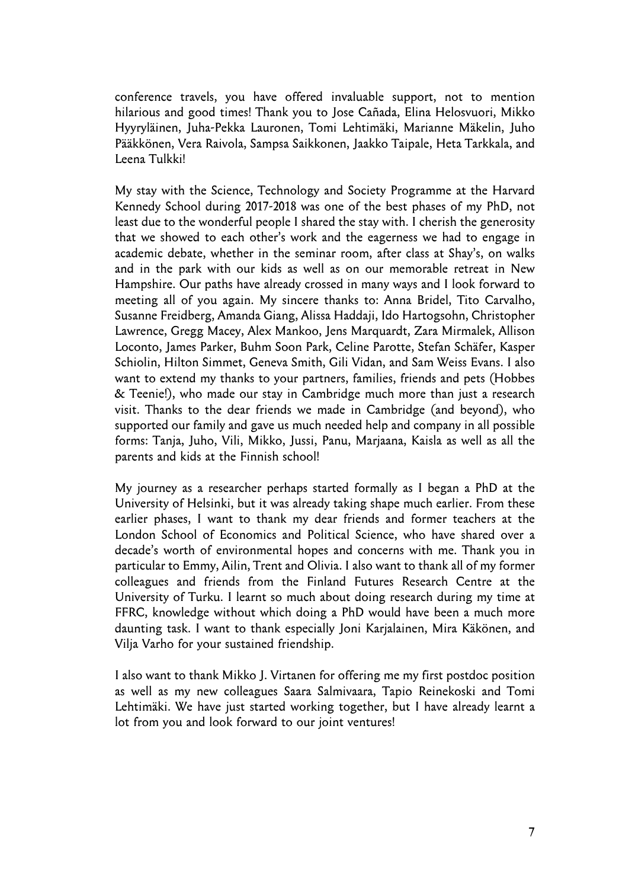conference travels, you have offered invaluable support, not to mention hilarious and good times! Thank you to Jose Cañada, Elina Helosvuori, Mikko Hyyryläinen, Juha-Pekka Lauronen, Tomi Lehtimäki, Marianne Mäkelin, Juho Pääkkönen, Vera Raivola, Sampsa Saikkonen, Jaakko Taipale, Heta Tarkkala, and Leena Tulkki!

My stay with the Science, Technology and Society Programme at the Harvard Kennedy School during 2017-2018 was one of the best phases of my PhD, not least due to the wonderful people I shared the stay with. I cherish the generosity that we showed to each other's work and the eagerness we had to engage in academic debate, whether in the seminar room, after class at Shay's, on walks and in the park with our kids as well as on our memorable retreat in New Hampshire. Our paths have already crossed in many ways and I look forward to meeting all of you again. My sincere thanks to: Anna Bridel, Tito Carvalho, Susanne Freidberg, Amanda Giang, Alissa Haddaji, Ido Hartogsohn, Christopher Lawrence, Gregg Macey, Alex Mankoo, Jens Marquardt, Zara Mirmalek, Allison Loconto, James Parker, Buhm Soon Park, Celine Parotte, Stefan Schäfer, Kasper Schiolin, Hilton Simmet, Geneva Smith, Gili Vidan, and Sam Weiss Evans. I also want to extend my thanks to your partners, families, friends and pets (Hobbes & Teenie!), who made our stay in Cambridge much more than just a research visit. Thanks to the dear friends we made in Cambridge (and beyond), who supported our family and gave us much needed help and company in all possible forms: Tanja, Juho, Vili, Mikko, Jussi, Panu, Marjaana, Kaisla as well as all the parents and kids at the Finnish school!

My journey as a researcher perhaps started formally as I began a PhD at the University of Helsinki, but it was already taking shape much earlier. From these earlier phases, I want to thank my dear friends and former teachers at the London School of Economics and Political Science, who have shared over a decade's worth of environmental hopes and concerns with me. Thank you in particular to Emmy, Ailin, Trent and Olivia. I also want to thank all of my former colleagues and friends from the Finland Futures Research Centre at the University of Turku. I learnt so much about doing research during my time at FFRC, knowledge without which doing a PhD would have been a much more daunting task. I want to thank especially Joni Karjalainen, Mira Käkönen, and Vilja Varho for your sustained friendship.

I also want to thank Mikko J. Virtanen for offering me my first postdoc position as well as my new colleagues Saara Salmivaara, Tapio Reinekoski and Tomi Lehtimäki. We have just started working together, but I have already learnt a lot from you and look forward to our joint ventures!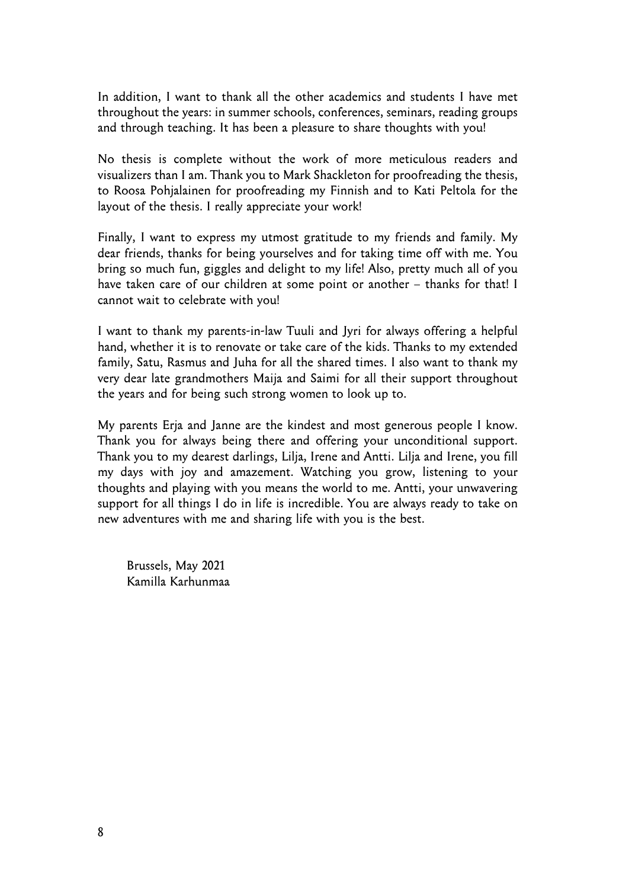In addition, I want to thank all the other academics and students I have met throughout the years: in summer schools, conferences, seminars, reading groups and through teaching. It has been a pleasure to share thoughts with you!

No thesis is complete without the work of more meticulous readers and visualizers than I am. Thank you to Mark Shackleton for proofreading the thesis, to Roosa Pohjalainen for proofreading my Finnish and to Kati Peltola for the layout of the thesis. I really appreciate your work!

Finally, I want to express my utmost gratitude to my friends and family. My dear friends, thanks for being yourselves and for taking time off with me. You bring so much fun, giggles and delight to my life! Also, pretty much all of you have taken care of our children at some point or another – thanks for that! I cannot wait to celebrate with you!

I want to thank my parents-in-law Tuuli and Jyri for always offering a helpful hand, whether it is to renovate or take care of the kids. Thanks to my extended family, Satu, Rasmus and Juha for all the shared times. I also want to thank my very dear late grandmothers Maija and Saimi for all their support throughout the years and for being such strong women to look up to.

My parents Erja and Janne are the kindest and most generous people I know. Thank you for always being there and offering your unconditional support. Thank you to my dearest darlings, Lilja, Irene and Antti. Lilja and Irene, you fill my days with joy and amazement. Watching you grow, listening to your thoughts and playing with you means the world to me. Antti, your unwavering support for all things I do in life is incredible. You are always ready to take on new adventures with me and sharing life with you is the best.

Brussels, May 2021 Kamilla Karhunmaa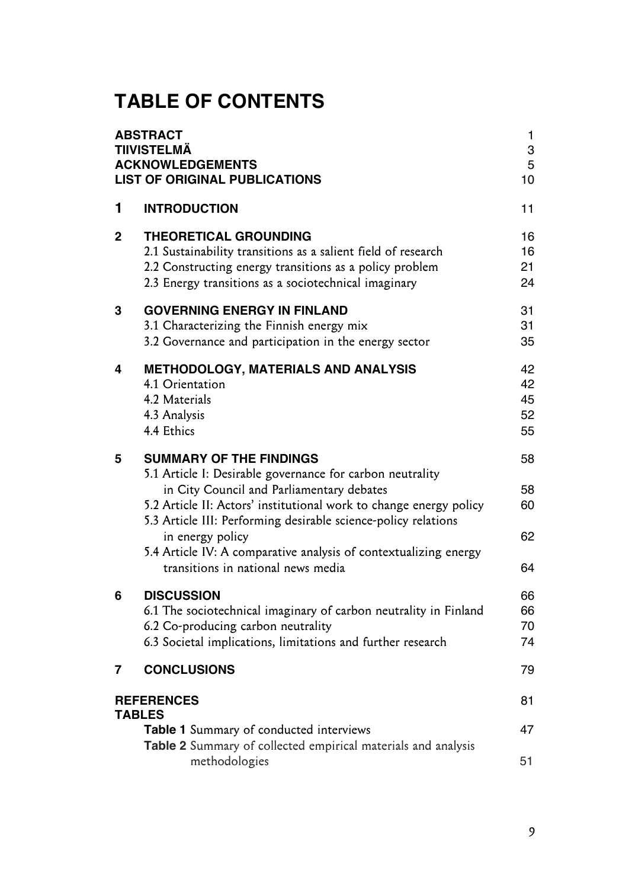# **TABLE OF CONTENTS**

| <b>ABSTRACT</b><br>TIIVISTELMÄ<br><b>ACKNOWLEDGEMENTS</b><br><b>LIST OF ORIGINAL PUBLICATIONS</b> |                                                                                                                                                                                                                                                                                                                                                                                                                | 1<br>3<br>5<br>10          |
|---------------------------------------------------------------------------------------------------|----------------------------------------------------------------------------------------------------------------------------------------------------------------------------------------------------------------------------------------------------------------------------------------------------------------------------------------------------------------------------------------------------------------|----------------------------|
| 1                                                                                                 | <b>INTRODUCTION</b>                                                                                                                                                                                                                                                                                                                                                                                            | 11                         |
| $\mathbf{2}$                                                                                      | <b>THEORETICAL GROUNDING</b><br>2.1 Sustainability transitions as a salient field of research<br>2.2 Constructing energy transitions as a policy problem<br>2.3 Energy transitions as a sociotechnical imaginary                                                                                                                                                                                               | 16<br>16<br>21<br>24       |
| 3                                                                                                 | <b>GOVERNING ENERGY IN FINLAND</b><br>3.1 Characterizing the Finnish energy mix<br>3.2 Governance and participation in the energy sector                                                                                                                                                                                                                                                                       | 31<br>31<br>35             |
| 4                                                                                                 | <b>METHODOLOGY, MATERIALS AND ANALYSIS</b><br>4.1 Orientation<br>4.2 Materials<br>4.3 Analysis<br>4.4 Ethics                                                                                                                                                                                                                                                                                                   | 42<br>42<br>45<br>52<br>55 |
| 5                                                                                                 | <b>SUMMARY OF THE FINDINGS</b><br>5.1 Article I: Desirable governance for carbon neutrality<br>in City Council and Parliamentary debates<br>5.2 Article II: Actors' institutional work to change energy policy<br>5.3 Article III: Performing desirable science-policy relations<br>in energy policy<br>5.4 Article IV: A comparative analysis of contextualizing energy<br>transitions in national news media | 58<br>58<br>60<br>62<br>64 |
| 6                                                                                                 | <b>DISCUSSION</b><br>6.1 The sociotechnical imaginary of carbon neutrality in Finland<br>6.2 Co-producing carbon neutrality<br>6.3 Societal implications, limitations and further research                                                                                                                                                                                                                     | 66<br>66<br>70<br>74       |
| 7                                                                                                 | <b>CONCLUSIONS</b>                                                                                                                                                                                                                                                                                                                                                                                             | 79                         |
| <b>REFERENCES</b><br><b>TABLES</b>                                                                |                                                                                                                                                                                                                                                                                                                                                                                                                | 81                         |
|                                                                                                   | Table 1 Summary of conducted interviews<br>Table 2 Summary of collected empirical materials and analysis                                                                                                                                                                                                                                                                                                       | 47                         |
|                                                                                                   | methodologies                                                                                                                                                                                                                                                                                                                                                                                                  | 51                         |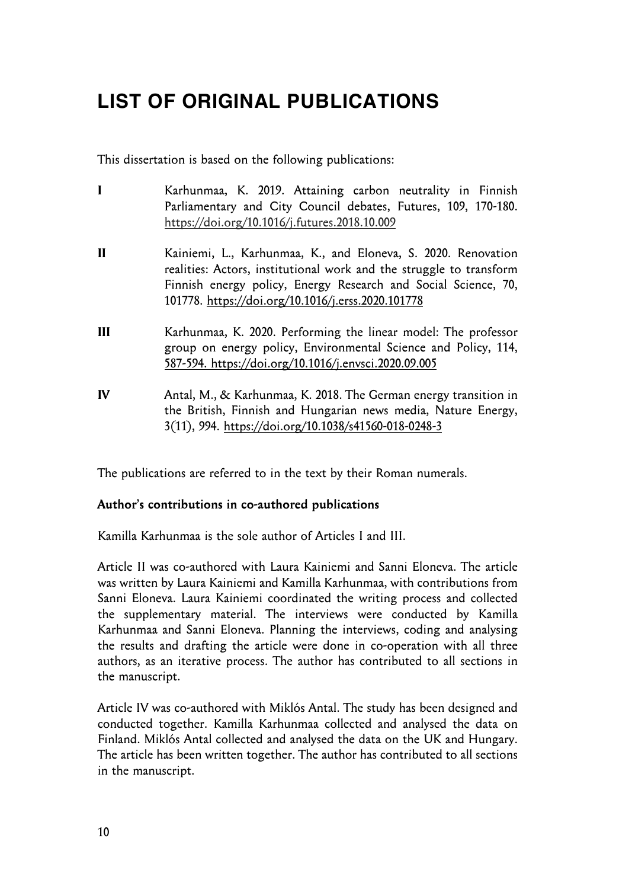# **LIST OF ORIGINAL PUBLICATIONS**

This dissertation is based on the following publications:

- **I** Karhunmaa, K. 2019. Attaining carbon neutrality in Finnish Parliamentary and City Council debates, Futures, 109, 170-180. https://doi.org/10.1016/j.futures.2018.10.009
- **II** Kainiemi, L., Karhunmaa, K., and Eloneva, S. 2020. Renovation realities: Actors, institutional work and the struggle to transform Finnish energy policy, Energy Research and Social Science, 70, 101778. https://doi.org/10.1016/j.erss.2020.101778
- **III** Karhunmaa, K. 2020. Performing the linear model: The professor group on energy policy, Environmental Science and Policy, 114, 587-594. https://doi.org/10.1016/j.envsci.2020.09.005
- **IV** Antal, M., & Karhunmaa, K. 2018. The German energy transition in the British, Finnish and Hungarian news media, Nature Energy, 3(11), 994. https://doi.org/10.1038/s41560-018-0248-3

The publications are referred to in the text by their Roman numerals.

#### **Author's contributions in co-authored publications**

Kamilla Karhunmaa is the sole author of Articles I and III.

Article II was co-authored with Laura Kainiemi and Sanni Eloneva. The article was written by Laura Kainiemi and Kamilla Karhunmaa, with contributions from Sanni Eloneva. Laura Kainiemi coordinated the writing process and collected the supplementary material. The interviews were conducted by Kamilla Karhunmaa and Sanni Eloneva. Planning the interviews, coding and analysing the results and drafting the article were done in co-operation with all three authors, as an iterative process. The author has contributed to all sections in the manuscript.

Article IV was co-authored with Miklós Antal. The study has been designed and conducted together. Kamilla Karhunmaa collected and analysed the data on Finland. Miklós Antal collected and analysed the data on the UK and Hungary. The article has been written together. The author has contributed to all sections in the manuscript.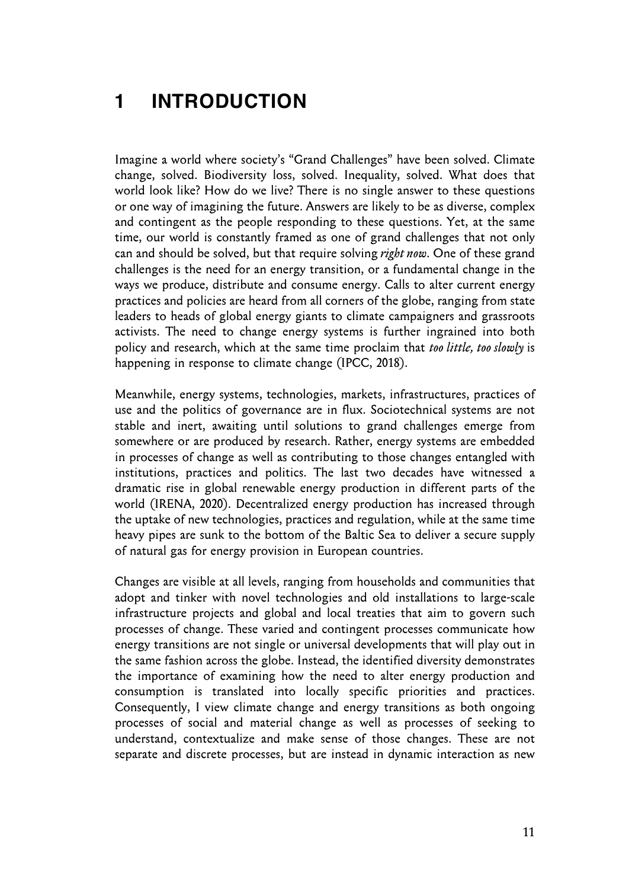### **1 INTRODUCTION**

Imagine a world where society's "Grand Challenges" have been solved. Climate change, solved. Biodiversity loss, solved. Inequality, solved. What does that world look like? How do we live? There is no single answer to these questions or one way of imagining the future. Answers are likely to be as diverse, complex and contingent as the people responding to these questions. Yet, at the same time, our world is constantly framed as one of grand challenges that not only can and should be solved, but that require solving *right now*. One of these grand challenges is the need for an energy transition, or a fundamental change in the ways we produce, distribute and consume energy. Calls to alter current energy practices and policies are heard from all corners of the globe, ranging from state leaders to heads of global energy giants to climate campaigners and grassroots activists. The need to change energy systems is further ingrained into both policy and research, which at the same time proclaim that *too little, too slowly* is happening in response to climate change (IPCC, 2018).

Meanwhile, energy systems, technologies, markets, infrastructures, practices of use and the politics of governance are in flux. Sociotechnical systems are not stable and inert, awaiting until solutions to grand challenges emerge from somewhere or are produced by research. Rather, energy systems are embedded in processes of change as well as contributing to those changes entangled with institutions, practices and politics. The last two decades have witnessed a dramatic rise in global renewable energy production in different parts of the world (IRENA, 2020). Decentralized energy production has increased through the uptake of new technologies, practices and regulation, while at the same time heavy pipes are sunk to the bottom of the Baltic Sea to deliver a secure supply of natural gas for energy provision in European countries.

Changes are visible at all levels, ranging from households and communities that adopt and tinker with novel technologies and old installations to large-scale infrastructure projects and global and local treaties that aim to govern such processes of change. These varied and contingent processes communicate how energy transitions are not single or universal developments that will play out in the same fashion across the globe. Instead, the identified diversity demonstrates the importance of examining how the need to alter energy production and consumption is translated into locally specific priorities and practices. Consequently, I view climate change and energy transitions as both ongoing processes of social and material change as well as processes of seeking to understand, contextualize and make sense of those changes. These are not separate and discrete processes, but are instead in dynamic interaction as new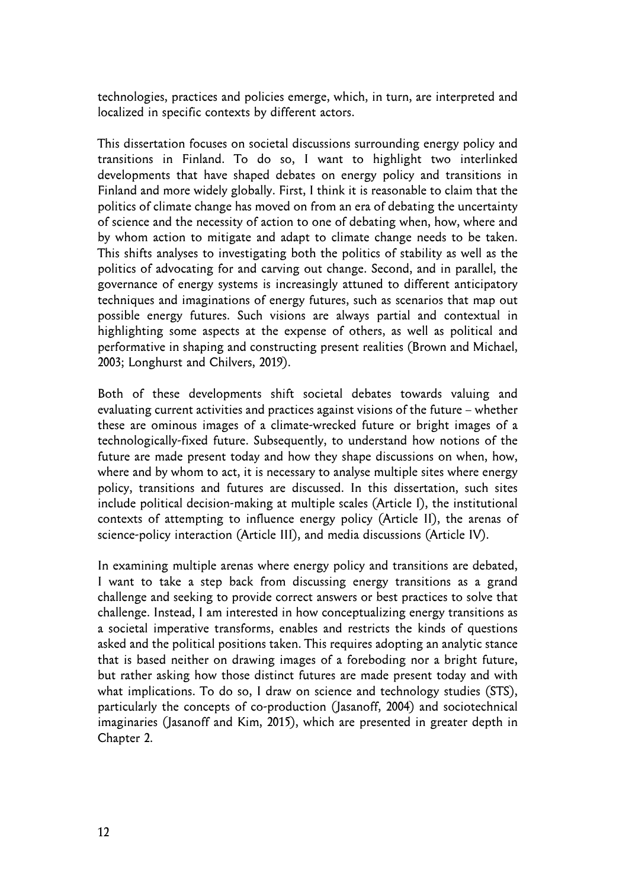technologies, practices and policies emerge, which, in turn, are interpreted and localized in specific contexts by different actors.

This dissertation focuses on societal discussions surrounding energy policy and transitions in Finland. To do so, I want to highlight two interlinked developments that have shaped debates on energy policy and transitions in Finland and more widely globally. First, I think it is reasonable to claim that the politics of climate change has moved on from an era of debating the uncertainty of science and the necessity of action to one of debating when, how, where and by whom action to mitigate and adapt to climate change needs to be taken. This shifts analyses to investigating both the politics of stability as well as the politics of advocating for and carving out change. Second, and in parallel, the governance of energy systems is increasingly attuned to different anticipatory techniques and imaginations of energy futures, such as scenarios that map out possible energy futures. Such visions are always partial and contextual in highlighting some aspects at the expense of others, as well as political and performative in shaping and constructing present realities (Brown and Michael, 2003; Longhurst and Chilvers, 2019).

Both of these developments shift societal debates towards valuing and evaluating current activities and practices against visions of the future – whether these are ominous images of a climate-wrecked future or bright images of a technologically-fixed future. Subsequently, to understand how notions of the future are made present today and how they shape discussions on when, how, where and by whom to act, it is necessary to analyse multiple sites where energy policy, transitions and futures are discussed. In this dissertation, such sites include political decision-making at multiple scales (Article I), the institutional contexts of attempting to influence energy policy (Article II), the arenas of science-policy interaction (Article III), and media discussions (Article IV).

In examining multiple arenas where energy policy and transitions are debated, I want to take a step back from discussing energy transitions as a grand challenge and seeking to provide correct answers or best practices to solve that challenge. Instead, I am interested in how conceptualizing energy transitions as a societal imperative transforms, enables and restricts the kinds of questions asked and the political positions taken. This requires adopting an analytic stance that is based neither on drawing images of a foreboding nor a bright future, but rather asking how those distinct futures are made present today and with what implications. To do so, I draw on science and technology studies (STS), particularly the concepts of co-production (Jasanoff, 2004) and sociotechnical imaginaries (Jasanoff and Kim, 2015), which are presented in greater depth in Chapter 2.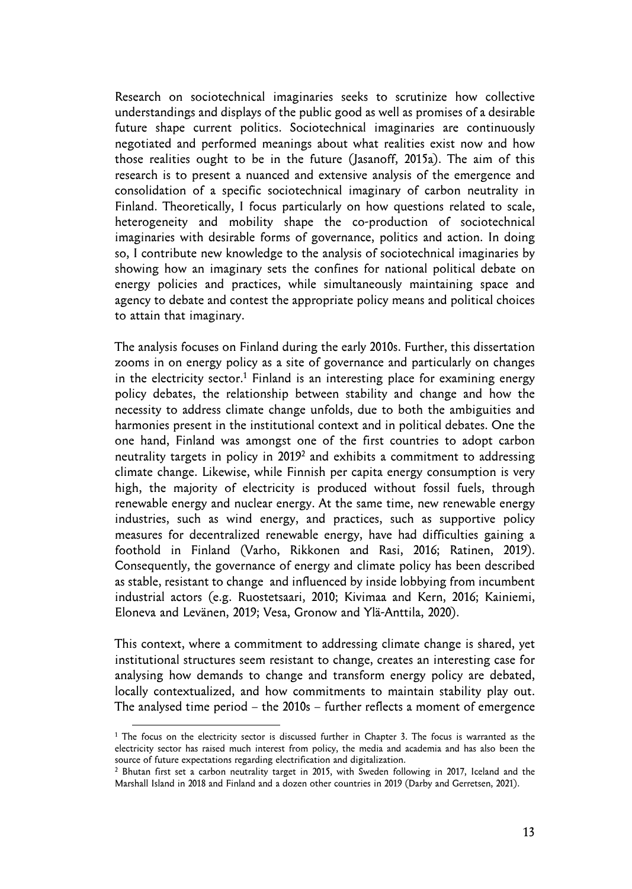Research on sociotechnical imaginaries seeks to scrutinize how collective understandings and displays of the public good as well as promises of a desirable future shape current politics. Sociotechnical imaginaries are continuously negotiated and performed meanings about what realities exist now and how those realities ought to be in the future (Jasanoff, 2015a). The aim of this research is to present a nuanced and extensive analysis of the emergence and consolidation of a specific sociotechnical imaginary of carbon neutrality in Finland. Theoretically, I focus particularly on how questions related to scale, heterogeneity and mobility shape the co-production of sociotechnical imaginaries with desirable forms of governance, politics and action. In doing so, I contribute new knowledge to the analysis of sociotechnical imaginaries by showing how an imaginary sets the confines for national political debate on energy policies and practices, while simultaneously maintaining space and agency to debate and contest the appropriate policy means and political choices to attain that imaginary.

The analysis focuses on Finland during the early 2010s. Further, this dissertation zooms in on energy policy as a site of governance and particularly on changes in the electricity sector.<sup>1</sup> Finland is an interesting place for examining energy policy debates, the relationship between stability and change and how the necessity to address climate change unfolds, due to both the ambiguities and harmonies present in the institutional context and in political debates. One the one hand, Finland was amongst one of the first countries to adopt carbon neutrality targets in policy in 2019<sup>2</sup> and exhibits a commitment to addressing climate change. Likewise, while Finnish per capita energy consumption is very high, the majority of electricity is produced without fossil fuels, through renewable energy and nuclear energy. At the same time, new renewable energy industries, such as wind energy, and practices, such as supportive policy measures for decentralized renewable energy, have had difficulties gaining a foothold in Finland (Varho, Rikkonen and Rasi, 2016; Ratinen, 2019). Consequently, the governance of energy and climate policy has been described as stable, resistant to change and influenced by inside lobbying from incumbent industrial actors (e.g. Ruostetsaari, 2010; Kivimaa and Kern, 2016; Kainiemi, Eloneva and Levänen, 2019; Vesa, Gronow and Ylä-Anttila, 2020).

This context, where a commitment to addressing climate change is shared, yet institutional structures seem resistant to change, creates an interesting case for analysing how demands to change and transform energy policy are debated, locally contextualized, and how commitments to maintain stability play out. The analysed time period – the 2010s – further reflects a moment of emergence

<sup>&</sup>lt;sup>1</sup> The focus on the electricity sector is discussed further in Chapter 3. The focus is warranted as the electricity sector has raised much interest from policy, the media and academia and has also been the source of future expectations regarding electrification and digitalization. 2

<sup>&</sup>lt;sup>2</sup> Bhutan first set a carbon neutrality target in 2015, with Sweden following in 2017, Iceland and the Marshall Island in 2018 and Finland and a dozen other countries in 2019 (Darby and Gerretsen, 2021).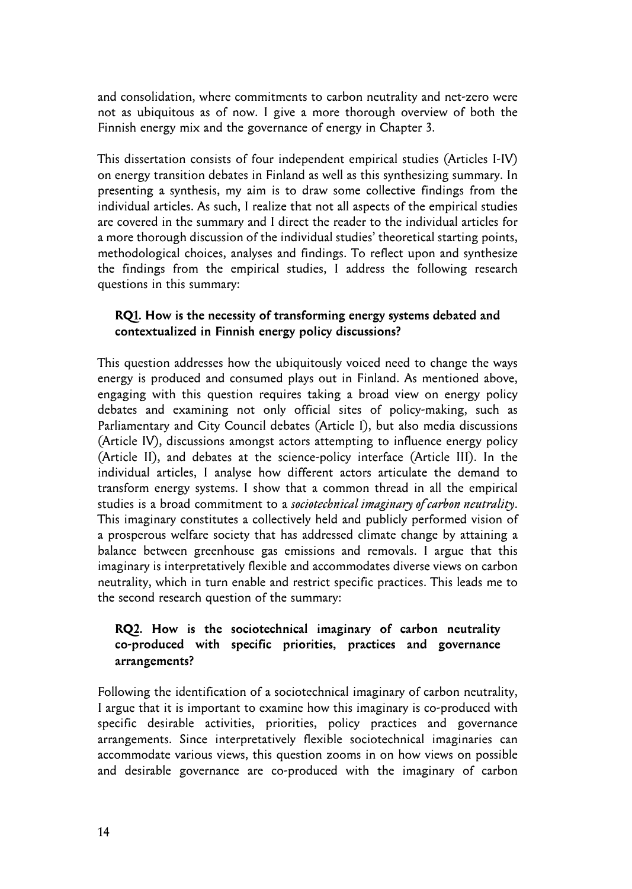and consolidation, where commitments to carbon neutrality and net-zero were not as ubiquitous as of now. I give a more thorough overview of both the Finnish energy mix and the governance of energy in Chapter 3.

This dissertation consists of four independent empirical studies (Articles I-IV) on energy transition debates in Finland as well as this synthesizing summary. In presenting a synthesis, my aim is to draw some collective findings from the individual articles. As such, I realize that not all aspects of the empirical studies are covered in the summary and I direct the reader to the individual articles for a more thorough discussion of the individual studies' theoretical starting points, methodological choices, analyses and findings. To reflect upon and synthesize the findings from the empirical studies, I address the following research questions in this summary:

#### **RQ1. How is the necessity of transforming energy systems debated and contextualized in Finnish energy policy discussions?**

This question addresses how the ubiquitously voiced need to change the ways energy is produced and consumed plays out in Finland. As mentioned above, engaging with this question requires taking a broad view on energy policy debates and examining not only official sites of policy-making, such as Parliamentary and City Council debates (Article I), but also media discussions (Article IV), discussions amongst actors attempting to influence energy policy (Article II), and debates at the science-policy interface (Article III). In the individual articles, I analyse how different actors articulate the demand to transform energy systems. I show that a common thread in all the empirical studies is a broad commitment to a *sociotechnical imaginary of carbon neutrality*. This imaginary constitutes a collectively held and publicly performed vision of a prosperous welfare society that has addressed climate change by attaining a balance between greenhouse gas emissions and removals. I argue that this imaginary is interpretatively flexible and accommodates diverse views on carbon neutrality, which in turn enable and restrict specific practices. This leads me to the second research question of the summary:

#### **RQ2. How is the sociotechnical imaginary of carbon neutrality co-produced with specific priorities, practices and governance arrangements?**

Following the identification of a sociotechnical imaginary of carbon neutrality, I argue that it is important to examine how this imaginary is co-produced with specific desirable activities, priorities, policy practices and governance arrangements. Since interpretatively flexible sociotechnical imaginaries can accommodate various views, this question zooms in on how views on possible and desirable governance are co-produced with the imaginary of carbon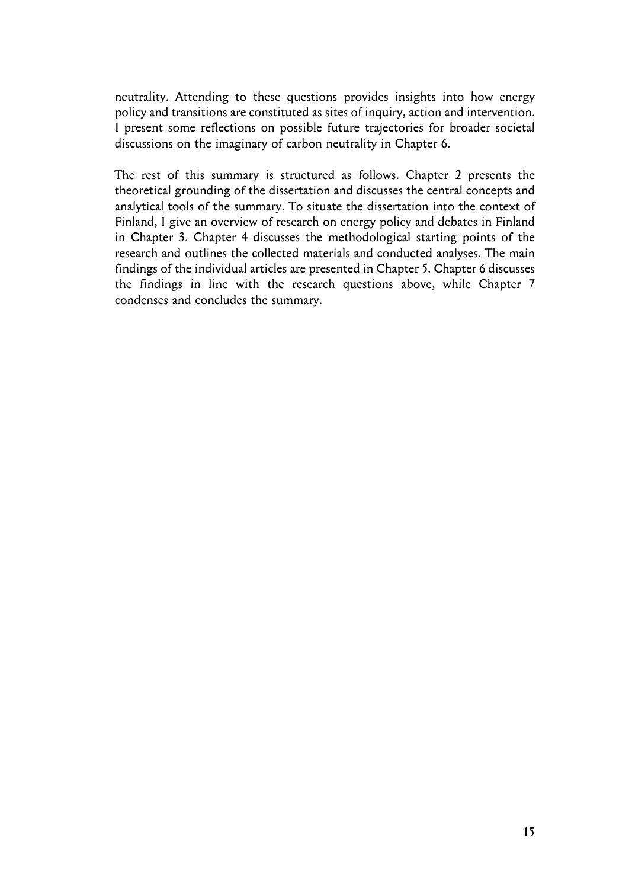neutrality. Attending to these questions provides insights into how energy policy and transitions are constituted as sites of inquiry, action and intervention. I present some reflections on possible future trajectories for broader societal discussions on the imaginary of carbon neutrality in Chapter 6.

The rest of this summary is structured as follows. Chapter 2 presents the theoretical grounding of the dissertation and discusses the central concepts and analytical tools of the summary. To situate the dissertation into the context of Finland, I give an overview of research on energy policy and debates in Finland in Chapter 3. Chapter 4 discusses the methodological starting points of the research and outlines the collected materials and conducted analyses. The main findings of the individual articles are presented in Chapter 5. Chapter 6 discusses the findings in line with the research questions above, while Chapter 7 condenses and concludes the summary.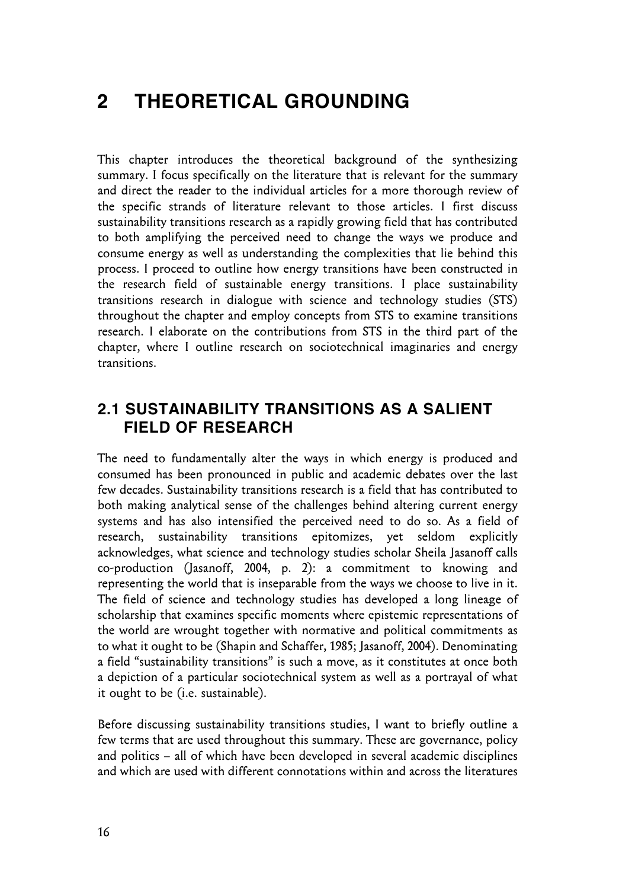## **2 THEORETICAL GROUNDING**

This chapter introduces the theoretical background of the synthesizing summary. I focus specifically on the literature that is relevant for the summary and direct the reader to the individual articles for a more thorough review of the specific strands of literature relevant to those articles. I first discuss sustainability transitions research as a rapidly growing field that has contributed to both amplifying the perceived need to change the ways we produce and consume energy as well as understanding the complexities that lie behind this process. I proceed to outline how energy transitions have been constructed in the research field of sustainable energy transitions. I place sustainability transitions research in dialogue with science and technology studies (STS) throughout the chapter and employ concepts from STS to examine transitions research. I elaborate on the contributions from STS in the third part of the chapter, where I outline research on sociotechnical imaginaries and energy transitions.

### **2.1 SUSTAINABILITY TRANSITIONS AS A SALIENT FIELD OF RESEARCH**

The need to fundamentally alter the ways in which energy is produced and consumed has been pronounced in public and academic debates over the last few decades. Sustainability transitions research is a field that has contributed to both making analytical sense of the challenges behind altering current energy systems and has also intensified the perceived need to do so. As a field of research, sustainability transitions epitomizes, yet seldom explicitly acknowledges, what science and technology studies scholar Sheila Jasanoff calls co-production (Jasanoff, 2004, p. 2): a commitment to knowing and representing the world that is inseparable from the ways we choose to live in it. The field of science and technology studies has developed a long lineage of scholarship that examines specific moments where epistemic representations of the world are wrought together with normative and political commitments as to what it ought to be (Shapin and Schaffer, 1985; Jasanoff, 2004). Denominating a field "sustainability transitions" is such a move, as it constitutes at once both a depiction of a particular sociotechnical system as well as a portrayal of what it ought to be (i.e. sustainable).

Before discussing sustainability transitions studies, I want to briefly outline a few terms that are used throughout this summary. These are governance, policy and politics – all of which have been developed in several academic disciplines and which are used with different connotations within and across the literatures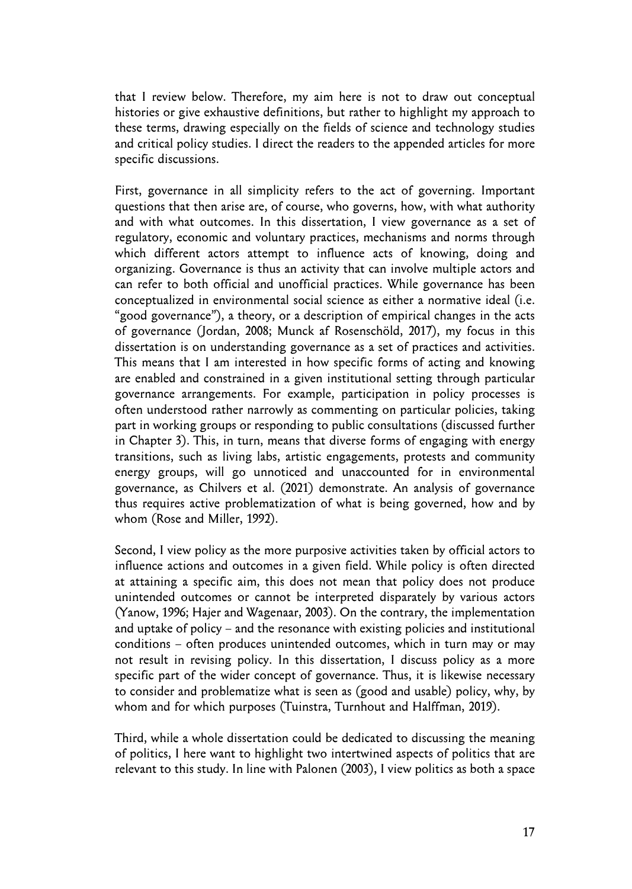that I review below. Therefore, my aim here is not to draw out conceptual histories or give exhaustive definitions, but rather to highlight my approach to these terms, drawing especially on the fields of science and technology studies and critical policy studies. I direct the readers to the appended articles for more specific discussions.

First, governance in all simplicity refers to the act of governing. Important questions that then arise are, of course, who governs, how, with what authority and with what outcomes. In this dissertation, I view governance as a set of regulatory, economic and voluntary practices, mechanisms and norms through which different actors attempt to influence acts of knowing, doing and organizing. Governance is thus an activity that can involve multiple actors and can refer to both official and unofficial practices. While governance has been conceptualized in environmental social science as either a normative ideal (i.e. "good governance"), a theory, or a description of empirical changes in the acts of governance (Jordan, 2008; Munck af Rosenschöld, 2017), my focus in this dissertation is on understanding governance as a set of practices and activities. This means that I am interested in how specific forms of acting and knowing are enabled and constrained in a given institutional setting through particular governance arrangements. For example, participation in policy processes is often understood rather narrowly as commenting on particular policies, taking part in working groups or responding to public consultations (discussed further in Chapter 3). This, in turn, means that diverse forms of engaging with energy transitions, such as living labs, artistic engagements, protests and community energy groups, will go unnoticed and unaccounted for in environmental governance, as Chilvers et al. (2021) demonstrate. An analysis of governance thus requires active problematization of what is being governed, how and by whom (Rose and Miller, 1992).

Second, I view policy as the more purposive activities taken by official actors to influence actions and outcomes in a given field. While policy is often directed at attaining a specific aim, this does not mean that policy does not produce unintended outcomes or cannot be interpreted disparately by various actors (Yanow, 1996; Hajer and Wagenaar, 2003). On the contrary, the implementation and uptake of policy – and the resonance with existing policies and institutional conditions – often produces unintended outcomes, which in turn may or may not result in revising policy. In this dissertation, I discuss policy as a more specific part of the wider concept of governance. Thus, it is likewise necessary to consider and problematize what is seen as (good and usable) policy, why, by whom and for which purposes (Tuinstra, Turnhout and Halffman, 2019).

Third, while a whole dissertation could be dedicated to discussing the meaning of politics, I here want to highlight two intertwined aspects of politics that are relevant to this study. In line with Palonen (2003), I view politics as both a space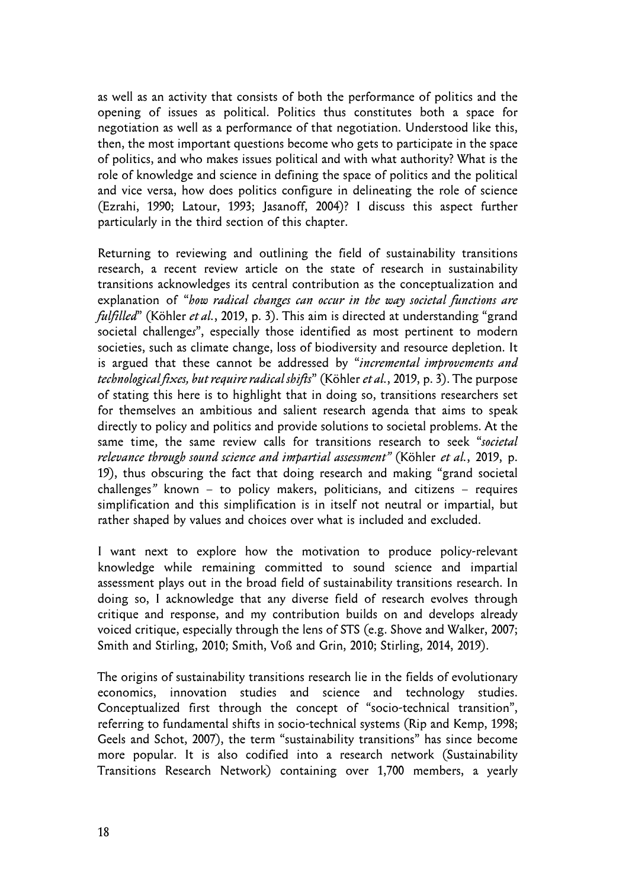as well as an activity that consists of both the performance of politics and the opening of issues as political. Politics thus constitutes both a space for negotiation as well as a performance of that negotiation. Understood like this, then, the most important questions become who gets to participate in the space of politics, and who makes issues political and with what authority? What is the role of knowledge and science in defining the space of politics and the political and vice versa, how does politics configure in delineating the role of science (Ezrahi, 1990; Latour, 1993; Jasanoff, 2004)? I discuss this aspect further particularly in the third section of this chapter.

Returning to reviewing and outlining the field of sustainability transitions research, a recent review article on the state of research in sustainability transitions acknowledges its central contribution as the conceptualization and explanation of "*how radical changes can occur in the way societal functions are fulfilled*" (Köhler *et al.*, 2019, p. 3). This aim is directed at understanding "grand societal challenge*s*", especially those identified as most pertinent to modern societies, such as climate change, loss of biodiversity and resource depletion. It is argued that these cannot be addressed by "*incremental improvements and technological fixes, but require radical shifts*" (Köhler *et al.*, 2019, p. 3). The purpose of stating this here is to highlight that in doing so, transitions researchers set for themselves an ambitious and salient research agenda that aims to speak directly to policy and politics and provide solutions to societal problems. At the same time, the same review calls for transitions research to seek "*societal relevance through sound science and impartial assessment"* (Köhler *et al.*, 2019, p. 19), thus obscuring the fact that doing research and making "grand societal challenges*"* known – to policy makers, politicians, and citizens – requires simplification and this simplification is in itself not neutral or impartial, but rather shaped by values and choices over what is included and excluded.

I want next to explore how the motivation to produce policy-relevant knowledge while remaining committed to sound science and impartial assessment plays out in the broad field of sustainability transitions research. In doing so, I acknowledge that any diverse field of research evolves through critique and response, and my contribution builds on and develops already voiced critique, especially through the lens of STS (e.g. Shove and Walker, 2007; Smith and Stirling, 2010; Smith, Voß and Grin, 2010; Stirling, 2014, 2019).

The origins of sustainability transitions research lie in the fields of evolutionary economics, innovation studies and science and technology studies. Conceptualized first through the concept of "socio-technical transition", referring to fundamental shifts in socio-technical systems (Rip and Kemp, 1998; Geels and Schot, 2007), the term "sustainability transitions" has since become more popular. It is also codified into a research network (Sustainability Transitions Research Network) containing over 1,700 members, a yearly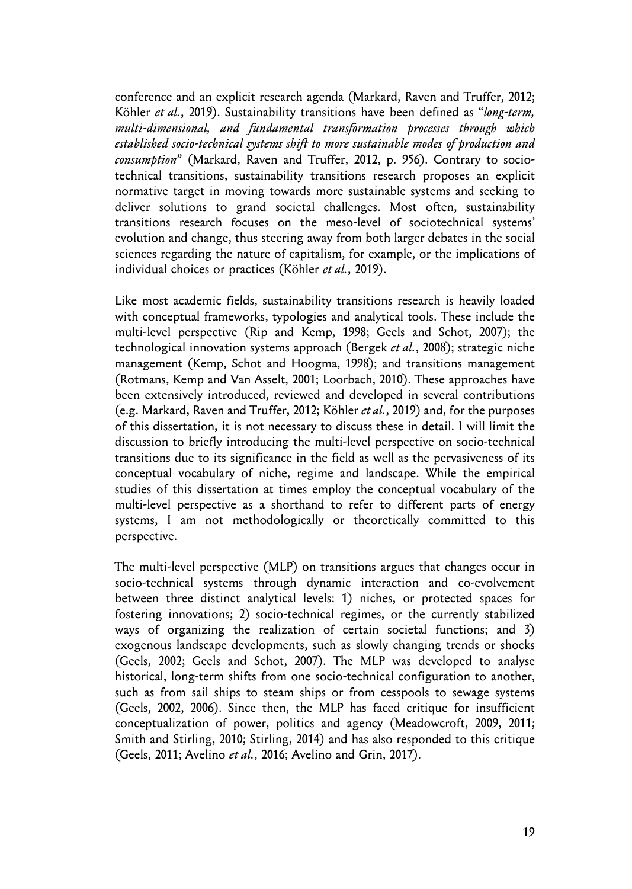conference and an explicit research agenda (Markard, Raven and Truffer, 2012; Köhler *et al.*, 2019). Sustainability transitions have been defined as "*long-term, multi-dimensional, and fundamental transformation processes through which established socio-technical systems shift to more sustainable modes of production and consumption*" (Markard, Raven and Truffer, 2012, p. 956). Contrary to sociotechnical transitions, sustainability transitions research proposes an explicit normative target in moving towards more sustainable systems and seeking to deliver solutions to grand societal challenges. Most often, sustainability transitions research focuses on the meso-level of sociotechnical systems' evolution and change, thus steering away from both larger debates in the social sciences regarding the nature of capitalism, for example, or the implications of individual choices or practices (Köhler *et al.*, 2019).

Like most academic fields, sustainability transitions research is heavily loaded with conceptual frameworks, typologies and analytical tools. These include the multi-level perspective (Rip and Kemp, 1998; Geels and Schot, 2007); the technological innovation systems approach (Bergek *et al.*, 2008); strategic niche management (Kemp, Schot and Hoogma, 1998); and transitions management (Rotmans, Kemp and Van Asselt, 2001; Loorbach, 2010). These approaches have been extensively introduced, reviewed and developed in several contributions (e.g. Markard, Raven and Truffer, 2012; Köhler *et al.*, 2019) and, for the purposes of this dissertation, it is not necessary to discuss these in detail. I will limit the discussion to briefly introducing the multi-level perspective on socio-technical transitions due to its significance in the field as well as the pervasiveness of its conceptual vocabulary of niche, regime and landscape. While the empirical studies of this dissertation at times employ the conceptual vocabulary of the multi-level perspective as a shorthand to refer to different parts of energy systems, I am not methodologically or theoretically committed to this perspective.

The multi-level perspective (MLP) on transitions argues that changes occur in socio-technical systems through dynamic interaction and co-evolvement between three distinct analytical levels: 1) niches, or protected spaces for fostering innovations; 2) socio-technical regimes, or the currently stabilized ways of organizing the realization of certain societal functions; and 3) exogenous landscape developments, such as slowly changing trends or shocks (Geels, 2002; Geels and Schot, 2007). The MLP was developed to analyse historical, long-term shifts from one socio-technical configuration to another, such as from sail ships to steam ships or from cesspools to sewage systems (Geels, 2002, 2006). Since then, the MLP has faced critique for insufficient conceptualization of power, politics and agency (Meadowcroft, 2009, 2011; Smith and Stirling, 2010; Stirling, 2014) and has also responded to this critique (Geels, 2011; Avelino *et al.*, 2016; Avelino and Grin, 2017).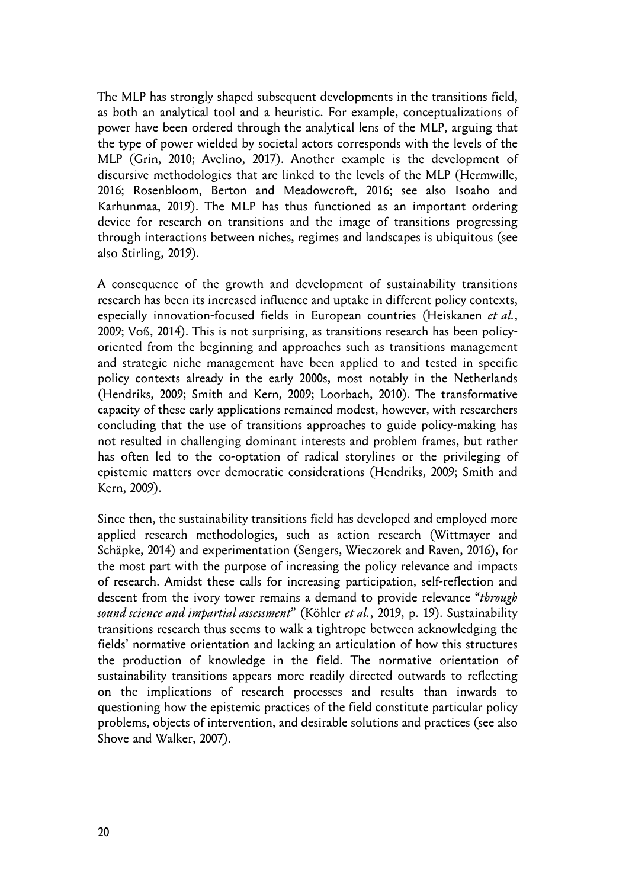The MLP has strongly shaped subsequent developments in the transitions field, as both an analytical tool and a heuristic. For example, conceptualizations of power have been ordered through the analytical lens of the MLP, arguing that the type of power wielded by societal actors corresponds with the levels of the MLP (Grin, 2010; Avelino, 2017). Another example is the development of discursive methodologies that are linked to the levels of the MLP (Hermwille, 2016; Rosenbloom, Berton and Meadowcroft, 2016; see also Isoaho and Karhunmaa, 2019). The MLP has thus functioned as an important ordering device for research on transitions and the image of transitions progressing through interactions between niches, regimes and landscapes is ubiquitous (see also Stirling, 2019).

A consequence of the growth and development of sustainability transitions research has been its increased influence and uptake in different policy contexts, especially innovation-focused fields in European countries (Heiskanen *et al.*, 2009; Voß, 2014). This is not surprising, as transitions research has been policyoriented from the beginning and approaches such as transitions management and strategic niche management have been applied to and tested in specific policy contexts already in the early 2000s, most notably in the Netherlands (Hendriks, 2009; Smith and Kern, 2009; Loorbach, 2010). The transformative capacity of these early applications remained modest, however, with researchers concluding that the use of transitions approaches to guide policy-making has not resulted in challenging dominant interests and problem frames, but rather has often led to the co-optation of radical storylines or the privileging of epistemic matters over democratic considerations (Hendriks, 2009; Smith and Kern, 2009).

Since then, the sustainability transitions field has developed and employed more applied research methodologies, such as action research (Wittmayer and Schäpke, 2014) and experimentation (Sengers, Wieczorek and Raven, 2016), for the most part with the purpose of increasing the policy relevance and impacts of research. Amidst these calls for increasing participation, self-reflection and descent from the ivory tower remains a demand to provide relevance "*through sound science and impartial assessment*" (Köhler *et al.*, 2019, p. 19). Sustainability transitions research thus seems to walk a tightrope between acknowledging the fields' normative orientation and lacking an articulation of how this structures the production of knowledge in the field. The normative orientation of sustainability transitions appears more readily directed outwards to reflecting on the implications of research processes and results than inwards to questioning how the epistemic practices of the field constitute particular policy problems, objects of intervention, and desirable solutions and practices (see also Shove and Walker, 2007).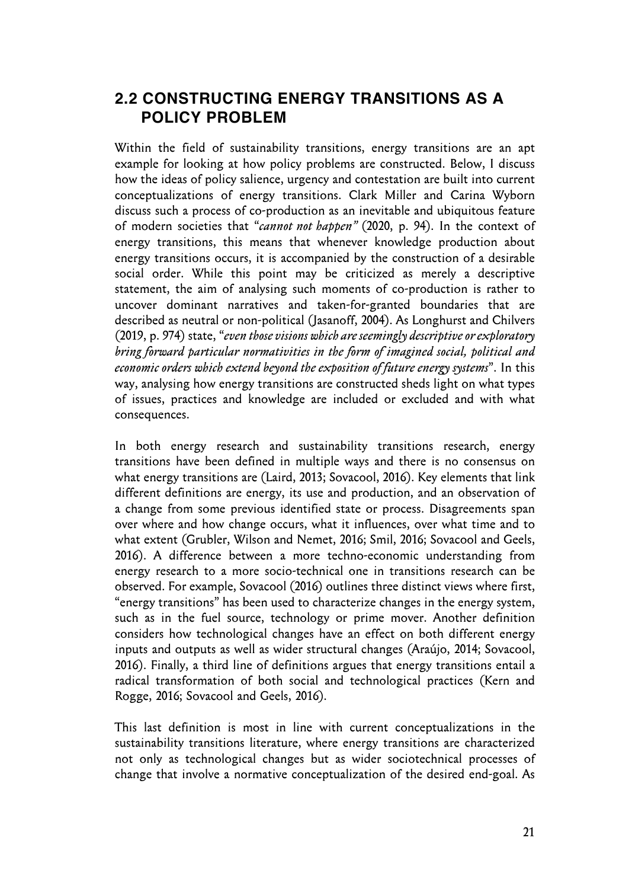### **2.2 CONSTRUCTING ENERGY TRANSITIONS AS A POLICY PROBLEM**

Within the field of sustainability transitions, energy transitions are an apt example for looking at how policy problems are constructed. Below, I discuss how the ideas of policy salience, urgency and contestation are built into current conceptualizations of energy transitions. Clark Miller and Carina Wyborn discuss such a process of co-production as an inevitable and ubiquitous feature of modern societies that "*cannot not happen"* (2020, p. 94). In the context of energy transitions, this means that whenever knowledge production about energy transitions occurs, it is accompanied by the construction of a desirable social order. While this point may be criticized as merely a descriptive statement, the aim of analysing such moments of co-production is rather to uncover dominant narratives and taken-for-granted boundaries that are described as neutral or non-political (Jasanoff, 2004). As Longhurst and Chilvers (2019, p. 974) state, "*even those visions which are seemingly descriptive or exploratory bring forward particular normativities in the form of imagined social, political and economic orders which extend beyond the exposition of future energy systems*". In this way, analysing how energy transitions are constructed sheds light on what types of issues, practices and knowledge are included or excluded and with what consequences.

In both energy research and sustainability transitions research, energy transitions have been defined in multiple ways and there is no consensus on what energy transitions are (Laird, 2013; Sovacool, 2016). Key elements that link different definitions are energy, its use and production, and an observation of a change from some previous identified state or process. Disagreements span over where and how change occurs, what it influences, over what time and to what extent (Grubler, Wilson and Nemet, 2016; Smil, 2016; Sovacool and Geels, 2016). A difference between a more techno-economic understanding from energy research to a more socio-technical one in transitions research can be observed. For example, Sovacool (2016) outlines three distinct views where first, "energy transitions" has been used to characterize changes in the energy system, such as in the fuel source, technology or prime mover. Another definition considers how technological changes have an effect on both different energy inputs and outputs as well as wider structural changes (Araújo, 2014; Sovacool, 2016). Finally, a third line of definitions argues that energy transitions entail a radical transformation of both social and technological practices (Kern and Rogge, 2016; Sovacool and Geels, 2016).

This last definition is most in line with current conceptualizations in the sustainability transitions literature, where energy transitions are characterized not only as technological changes but as wider sociotechnical processes of change that involve a normative conceptualization of the desired end-goal. As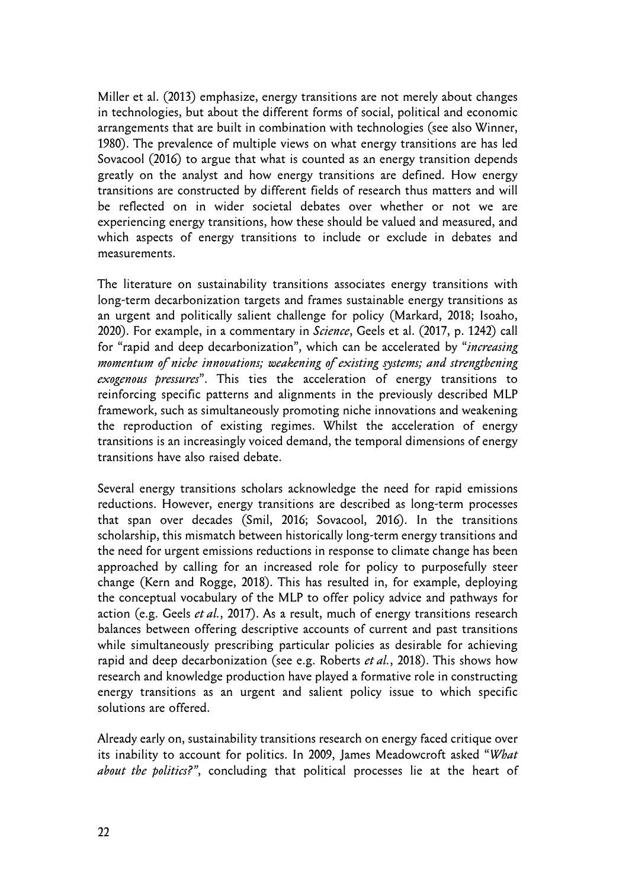Miller et al. (2013) emphasize, energy transitions are not merely about changes in technologies, but about the different forms of social, political and economic arrangements that are built in combination with technologies (see also Winner, 1980). The prevalence of multiple views on what energy transitions are has led Sovacool (2016) to argue that what is counted as an energy transition depends greatly on the analyst and how energy transitions are defined. How energy transitions are constructed by different fields of research thus matters and will be reflected on in wider societal debates over whether or not we are experiencing energy transitions, how these should be valued and measured, and which aspects of energy transitions to include or exclude in debates and measurements.

The literature on sustainability transitions associates energy transitions with long-term decarbonization targets and frames sustainable energy transitions as an urgent and politically salient challenge for policy (Markard, 2018; Isoaho, 2020). For example, in a commentary in *Science*, Geels et al. (2017, p. 1242) call for "rapid and deep decarbonization", which can be accelerated by "*increasing momentum of niche innovations; weakening of existing systems; and strengthening exogenous pressures*". This ties the acceleration of energy transitions to reinforcing specific patterns and alignments in the previously described MLP framework, such as simultaneously promoting niche innovations and weakening the reproduction of existing regimes. Whilst the acceleration of energy transitions is an increasingly voiced demand, the temporal dimensions of energy transitions have also raised debate.

Several energy transitions scholars acknowledge the need for rapid emissions reductions. However, energy transitions are described as long-term processes that span over decades (Smil, 2016; Sovacool, 2016). In the transitions scholarship, this mismatch between historically long-term energy transitions and the need for urgent emissions reductions in response to climate change has been approached by calling for an increased role for policy to purposefully steer change (Kern and Rogge, 2018). This has resulted in, for example, deploying the conceptual vocabulary of the MLP to offer policy advice and pathways for action (e.g. Geels *et al.*, 2017). As a result, much of energy transitions research balances between offering descriptive accounts of current and past transitions while simultaneously prescribing particular policies as desirable for achieving rapid and deep decarbonization (see e.g. Roberts *et al.*, 2018). This shows how research and knowledge production have played a formative role in constructing energy transitions as an urgent and salient policy issue to which specific solutions are offered.

Already early on, sustainability transitions research on energy faced critique over its inability to account for politics. In 2009, James Meadowcroft asked "*What about the politics?"*, concluding that political processes lie at the heart of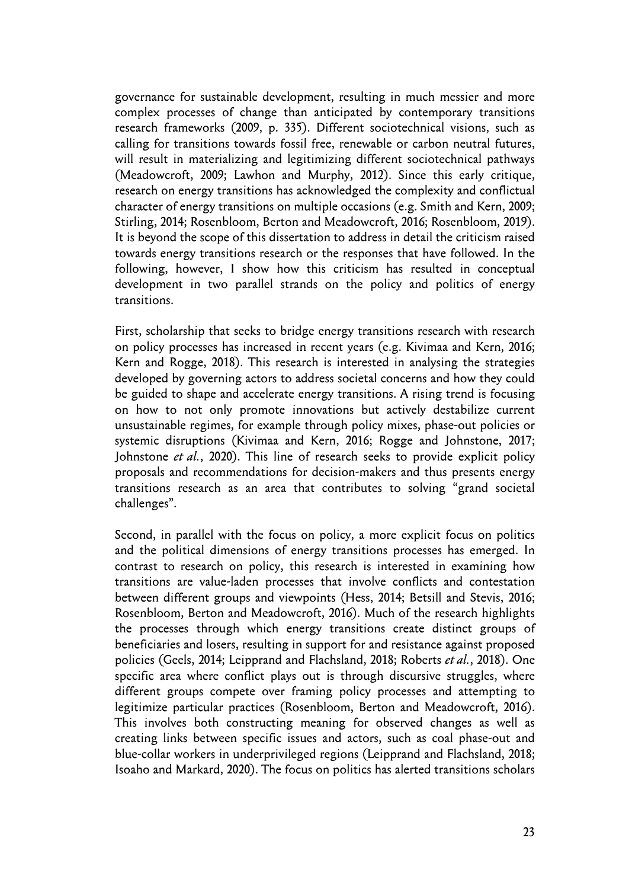governance for sustainable development, resulting in much messier and more complex processes of change than anticipated by contemporary transitions research frameworks (2009, p. 335). Different sociotechnical visions, such as calling for transitions towards fossil free, renewable or carbon neutral futures, will result in materializing and legitimizing different sociotechnical pathways (Meadowcroft, 2009; Lawhon and Murphy, 2012). Since this early critique, research on energy transitions has acknowledged the complexity and conflictual character of energy transitions on multiple occasions (e.g. Smith and Kern, 2009; Stirling, 2014; Rosenbloom, Berton and Meadowcroft, 2016; Rosenbloom, 2019). It is beyond the scope of this dissertation to address in detail the criticism raised towards energy transitions research or the responses that have followed. In the following, however, I show how this criticism has resulted in conceptual development in two parallel strands on the policy and politics of energy transitions.

First, scholarship that seeks to bridge energy transitions research with research on policy processes has increased in recent years (e.g. Kivimaa and Kern, 2016; Kern and Rogge, 2018). This research is interested in analysing the strategies developed by governing actors to address societal concerns and how they could be guided to shape and accelerate energy transitions. A rising trend is focusing on how to not only promote innovations but actively destabilize current unsustainable regimes, for example through policy mixes, phase-out policies or systemic disruptions (Kivimaa and Kern, 2016; Rogge and Johnstone, 2017; Johnstone *et al.*, 2020). This line of research seeks to provide explicit policy proposals and recommendations for decision-makers and thus presents energy transitions research as an area that contributes to solving "grand societal challenges".

Second, in parallel with the focus on policy, a more explicit focus on politics and the political dimensions of energy transitions processes has emerged. In contrast to research on policy, this research is interested in examining how transitions are value-laden processes that involve conflicts and contestation between different groups and viewpoints (Hess, 2014; Betsill and Stevis, 2016; Rosenbloom, Berton and Meadowcroft, 2016). Much of the research highlights the processes through which energy transitions create distinct groups of beneficiaries and losers, resulting in support for and resistance against proposed policies (Geels, 2014; Leipprand and Flachsland, 2018; Roberts *et al.*, 2018). One specific area where conflict plays out is through discursive struggles, where different groups compete over framing policy processes and attempting to legitimize particular practices (Rosenbloom, Berton and Meadowcroft, 2016). This involves both constructing meaning for observed changes as well as creating links between specific issues and actors, such as coal phase-out and blue-collar workers in underprivileged regions (Leipprand and Flachsland, 2018; Isoaho and Markard, 2020). The focus on politics has alerted transitions scholars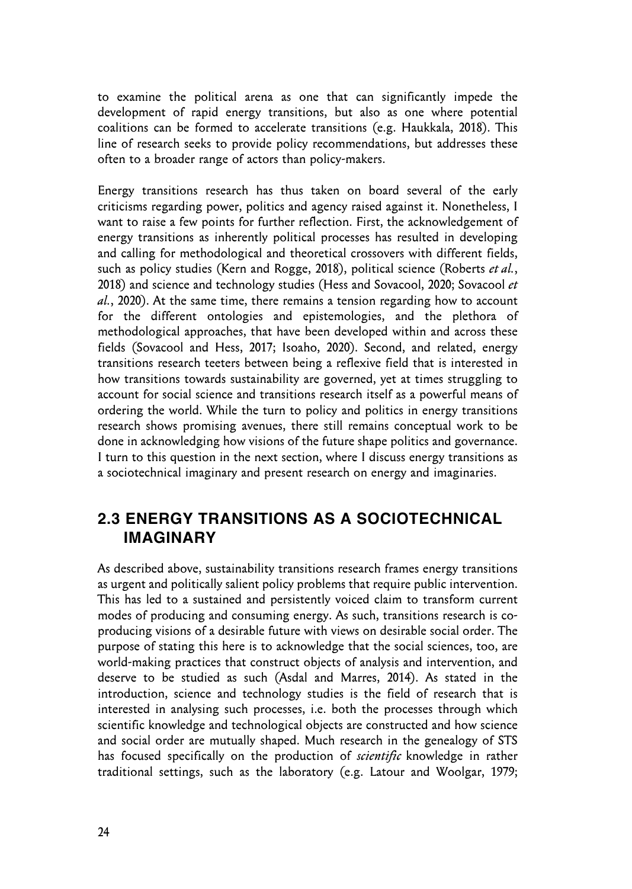to examine the political arena as one that can significantly impede the development of rapid energy transitions, but also as one where potential coalitions can be formed to accelerate transitions (e.g. Haukkala, 2018). This line of research seeks to provide policy recommendations, but addresses these often to a broader range of actors than policy-makers.

Energy transitions research has thus taken on board several of the early criticisms regarding power, politics and agency raised against it. Nonetheless, I want to raise a few points for further reflection. First, the acknowledgement of energy transitions as inherently political processes has resulted in developing and calling for methodological and theoretical crossovers with different fields, such as policy studies (Kern and Rogge, 2018), political science (Roberts *et al.*, 2018) and science and technology studies (Hess and Sovacool, 2020; Sovacool *et al.*, 2020). At the same time, there remains a tension regarding how to account for the different ontologies and epistemologies, and the plethora of methodological approaches, that have been developed within and across these fields (Sovacool and Hess, 2017; Isoaho, 2020). Second, and related, energy transitions research teeters between being a reflexive field that is interested in how transitions towards sustainability are governed, yet at times struggling to account for social science and transitions research itself as a powerful means of ordering the world. While the turn to policy and politics in energy transitions research shows promising avenues, there still remains conceptual work to be done in acknowledging how visions of the future shape politics and governance. I turn to this question in the next section, where I discuss energy transitions as a sociotechnical imaginary and present research on energy and imaginaries.

### **2.3 ENERGY TRANSITIONS AS A SOCIOTECHNICAL IMAGINARY**

As described above, sustainability transitions research frames energy transitions as urgent and politically salient policy problems that require public intervention. This has led to a sustained and persistently voiced claim to transform current modes of producing and consuming energy. As such, transitions research is coproducing visions of a desirable future with views on desirable social order. The purpose of stating this here is to acknowledge that the social sciences, too, are world-making practices that construct objects of analysis and intervention, and deserve to be studied as such (Asdal and Marres, 2014). As stated in the introduction, science and technology studies is the field of research that is interested in analysing such processes, i.e. both the processes through which scientific knowledge and technological objects are constructed and how science and social order are mutually shaped. Much research in the genealogy of STS has focused specifically on the production of *scientific* knowledge in rather traditional settings, such as the laboratory (e.g. Latour and Woolgar, 1979;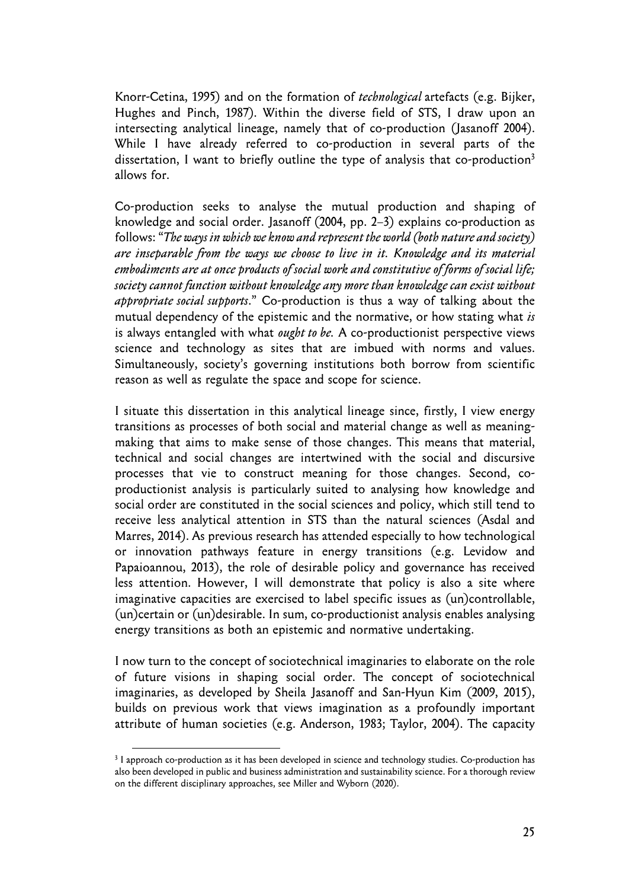Knorr-Cetina, 1995) and on the formation of *technological* artefacts (e.g. Bijker, Hughes and Pinch, 1987). Within the diverse field of STS, I draw upon an intersecting analytical lineage, namely that of co-production (Jasanoff 2004). While I have already referred to co-production in several parts of the dissertation, I want to briefly outline the type of analysis that co-production<sup>3</sup> allows for.

Co-production seeks to analyse the mutual production and shaping of knowledge and social order. Jasanoff (2004, pp. 2–3) explains co-production as follows: "*The ways in which we know and represent the world (both nature and society) are inseparable from the ways we choose to live in it. Knowledge and its material embodiments are at once products of social work and constitutive of forms of social life; society cannot function without knowledge any more than knowledge can exist without appropriate social supports*." Co-production is thus a way of talking about the mutual dependency of the epistemic and the normative, or how stating what *is*  is always entangled with what *ought to be.* A co-productionist perspective views science and technology as sites that are imbued with norms and values. Simultaneously, society's governing institutions both borrow from scientific reason as well as regulate the space and scope for science.

I situate this dissertation in this analytical lineage since, firstly, I view energy transitions as processes of both social and material change as well as meaningmaking that aims to make sense of those changes. This means that material, technical and social changes are intertwined with the social and discursive processes that vie to construct meaning for those changes. Second, coproductionist analysis is particularly suited to analysing how knowledge and social order are constituted in the social sciences and policy, which still tend to receive less analytical attention in STS than the natural sciences (Asdal and Marres, 2014). As previous research has attended especially to how technological or innovation pathways feature in energy transitions (e.g. Levidow and Papaioannou, 2013), the role of desirable policy and governance has received less attention. However, I will demonstrate that policy is also a site where imaginative capacities are exercised to label specific issues as (un)controllable, (un)certain or (un)desirable. In sum, co-productionist analysis enables analysing energy transitions as both an epistemic and normative undertaking.

I now turn to the concept of sociotechnical imaginaries to elaborate on the role of future visions in shaping social order. The concept of sociotechnical imaginaries, as developed by Sheila Jasanoff and San-Hyun Kim (2009, 2015), builds on previous work that views imagination as a profoundly important attribute of human societies (e.g. Anderson, 1983; Taylor, 2004). The capacity

<sup>3</sup> I approach co-production as it has been developed in science and technology studies. Co-production has also been developed in public and business administration and sustainability science. For a thorough review on the different disciplinary approaches, see Miller and Wyborn (2020).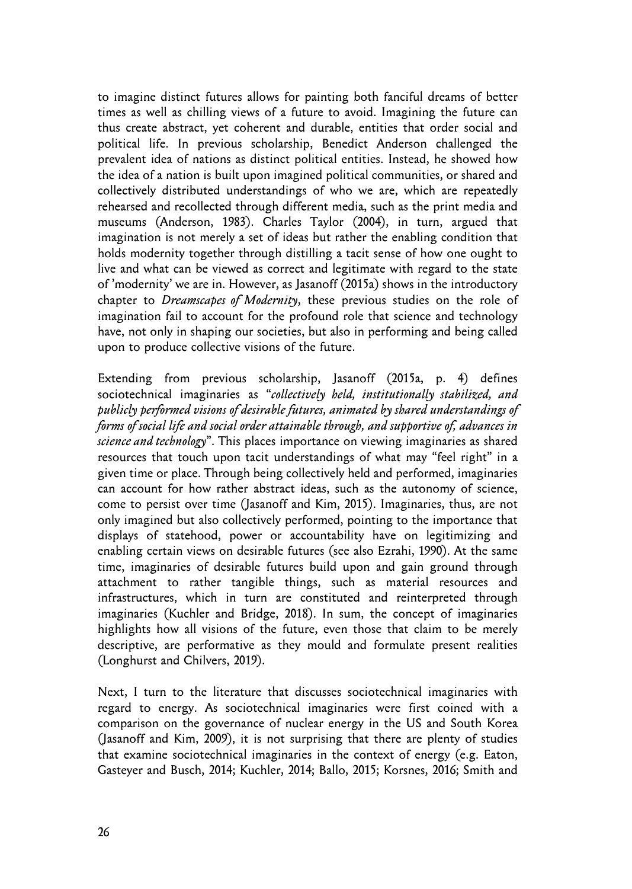to imagine distinct futures allows for painting both fanciful dreams of better times as well as chilling views of a future to avoid. Imagining the future can thus create abstract, yet coherent and durable, entities that order social and political life. In previous scholarship, Benedict Anderson challenged the prevalent idea of nations as distinct political entities. Instead, he showed how the idea of a nation is built upon imagined political communities, or shared and collectively distributed understandings of who we are, which are repeatedly rehearsed and recollected through different media, such as the print media and museums (Anderson, 1983). Charles Taylor (2004), in turn, argued that imagination is not merely a set of ideas but rather the enabling condition that holds modernity together through distilling a tacit sense of how one ought to live and what can be viewed as correct and legitimate with regard to the state of 'modernity' we are in. However, as Jasanoff (2015a) shows in the introductory chapter to *Dreamscapes of Modernity*, these previous studies on the role of imagination fail to account for the profound role that science and technology have, not only in shaping our societies, but also in performing and being called upon to produce collective visions of the future.

Extending from previous scholarship, Jasanoff (2015a, p. 4) defines sociotechnical imaginaries as "*collectively held, institutionally stabilized, and publicly performed visions of desirable futures, animated by shared understandings of forms of social life and social order attainable through, and supportive of, advances in science and technology*". This places importance on viewing imaginaries as shared resources that touch upon tacit understandings of what may "feel right" in a given time or place. Through being collectively held and performed, imaginaries can account for how rather abstract ideas, such as the autonomy of science, come to persist over time (Jasanoff and Kim, 2015). Imaginaries, thus, are not only imagined but also collectively performed, pointing to the importance that displays of statehood, power or accountability have on legitimizing and enabling certain views on desirable futures (see also Ezrahi, 1990). At the same time, imaginaries of desirable futures build upon and gain ground through attachment to rather tangible things, such as material resources and infrastructures, which in turn are constituted and reinterpreted through imaginaries (Kuchler and Bridge, 2018). In sum, the concept of imaginaries highlights how all visions of the future, even those that claim to be merely descriptive, are performative as they mould and formulate present realities (Longhurst and Chilvers, 2019).

Next, I turn to the literature that discusses sociotechnical imaginaries with regard to energy. As sociotechnical imaginaries were first coined with a comparison on the governance of nuclear energy in the US and South Korea (Jasanoff and Kim, 2009), it is not surprising that there are plenty of studies that examine sociotechnical imaginaries in the context of energy (e.g. Eaton, Gasteyer and Busch, 2014; Kuchler, 2014; Ballo, 2015; Korsnes, 2016; Smith and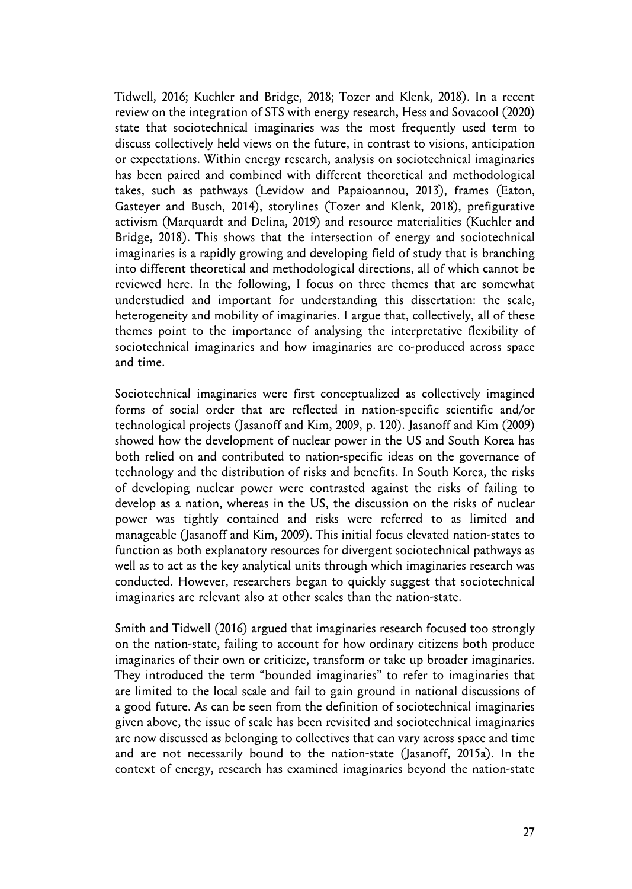Tidwell, 2016; Kuchler and Bridge, 2018; Tozer and Klenk, 2018). In a recent review on the integration of STS with energy research, Hess and Sovacool (2020) state that sociotechnical imaginaries was the most frequently used term to discuss collectively held views on the future, in contrast to visions, anticipation or expectations. Within energy research, analysis on sociotechnical imaginaries has been paired and combined with different theoretical and methodological takes, such as pathways (Levidow and Papaioannou, 2013), frames (Eaton, Gasteyer and Busch, 2014), storylines (Tozer and Klenk, 2018), prefigurative activism (Marquardt and Delina, 2019) and resource materialities (Kuchler and Bridge, 2018). This shows that the intersection of energy and sociotechnical imaginaries is a rapidly growing and developing field of study that is branching into different theoretical and methodological directions, all of which cannot be reviewed here. In the following, I focus on three themes that are somewhat understudied and important for understanding this dissertation: the scale, heterogeneity and mobility of imaginaries. I argue that, collectively, all of these themes point to the importance of analysing the interpretative flexibility of sociotechnical imaginaries and how imaginaries are co-produced across space and time.

Sociotechnical imaginaries were first conceptualized as collectively imagined forms of social order that are reflected in nation-specific scientific and/or technological projects (Jasanoff and Kim, 2009, p. 120). Jasanoff and Kim (2009) showed how the development of nuclear power in the US and South Korea has both relied on and contributed to nation-specific ideas on the governance of technology and the distribution of risks and benefits. In South Korea, the risks of developing nuclear power were contrasted against the risks of failing to develop as a nation, whereas in the US, the discussion on the risks of nuclear power was tightly contained and risks were referred to as limited and manageable (Jasanoff and Kim, 2009). This initial focus elevated nation-states to function as both explanatory resources for divergent sociotechnical pathways as well as to act as the key analytical units through which imaginaries research was conducted. However, researchers began to quickly suggest that sociotechnical imaginaries are relevant also at other scales than the nation-state.

Smith and Tidwell (2016) argued that imaginaries research focused too strongly on the nation-state, failing to account for how ordinary citizens both produce imaginaries of their own or criticize, transform or take up broader imaginaries. They introduced the term "bounded imaginaries" to refer to imaginaries that are limited to the local scale and fail to gain ground in national discussions of a good future. As can be seen from the definition of sociotechnical imaginaries given above, the issue of scale has been revisited and sociotechnical imaginaries are now discussed as belonging to collectives that can vary across space and time and are not necessarily bound to the nation-state (Jasanoff, 2015a). In the context of energy, research has examined imaginaries beyond the nation-state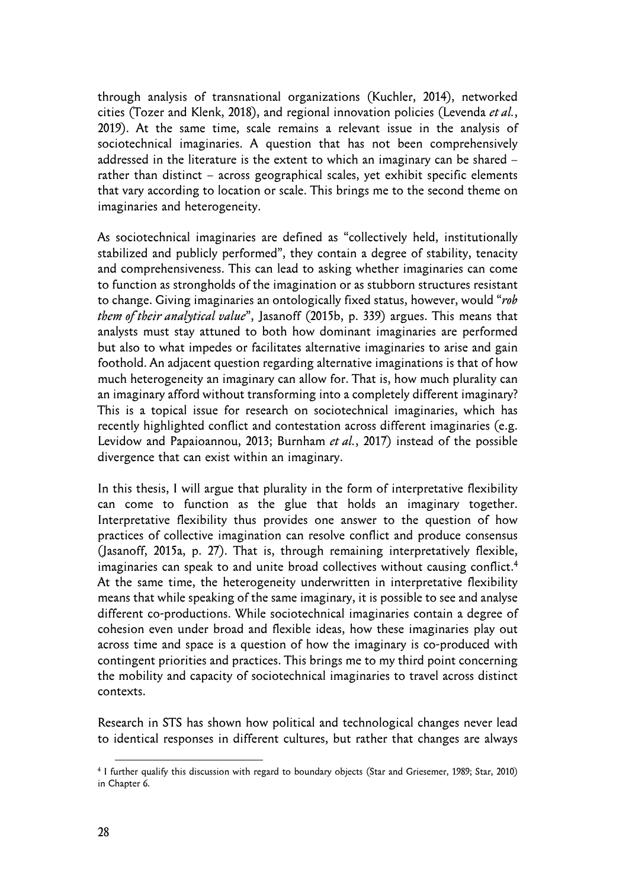through analysis of transnational organizations (Kuchler, 2014), networked cities (Tozer and Klenk, 2018), and regional innovation policies (Levenda *et al.*, 2019). At the same time, scale remains a relevant issue in the analysis of sociotechnical imaginaries. A question that has not been comprehensively addressed in the literature is the extent to which an imaginary can be shared – rather than distinct – across geographical scales, yet exhibit specific elements that vary according to location or scale. This brings me to the second theme on imaginaries and heterogeneity.

As sociotechnical imaginaries are defined as "collectively held, institutionally stabilized and publicly performed", they contain a degree of stability, tenacity and comprehensiveness. This can lead to asking whether imaginaries can come to function as strongholds of the imagination or as stubborn structures resistant to change. Giving imaginaries an ontologically fixed status, however, would "*rob them of their analytical value*", Jasanoff (2015b, p. 339) argues. This means that analysts must stay attuned to both how dominant imaginaries are performed but also to what impedes or facilitates alternative imaginaries to arise and gain foothold. An adjacent question regarding alternative imaginations is that of how much heterogeneity an imaginary can allow for. That is, how much plurality can an imaginary afford without transforming into a completely different imaginary? This is a topical issue for research on sociotechnical imaginaries, which has recently highlighted conflict and contestation across different imaginaries (e.g. Levidow and Papaioannou, 2013; Burnham *et al.*, 2017) instead of the possible divergence that can exist within an imaginary.

In this thesis, I will argue that plurality in the form of interpretative flexibility can come to function as the glue that holds an imaginary together. Interpretative flexibility thus provides one answer to the question of how practices of collective imagination can resolve conflict and produce consensus (Jasanoff, 2015a, p. 27). That is, through remaining interpretatively flexible, imaginaries can speak to and unite broad collectives without causing conflict.<sup>4</sup> At the same time, the heterogeneity underwritten in interpretative flexibility means that while speaking of the same imaginary, it is possible to see and analyse different co-productions. While sociotechnical imaginaries contain a degree of cohesion even under broad and flexible ideas, how these imaginaries play out across time and space is a question of how the imaginary is co-produced with contingent priorities and practices. This brings me to my third point concerning the mobility and capacity of sociotechnical imaginaries to travel across distinct contexts.

Research in STS has shown how political and technological changes never lead to identical responses in different cultures, but rather that changes are always

<sup>4</sup> I further qualify this discussion with regard to boundary objects (Star and Griesemer, 1989; Star, 2010) in Chapter 6.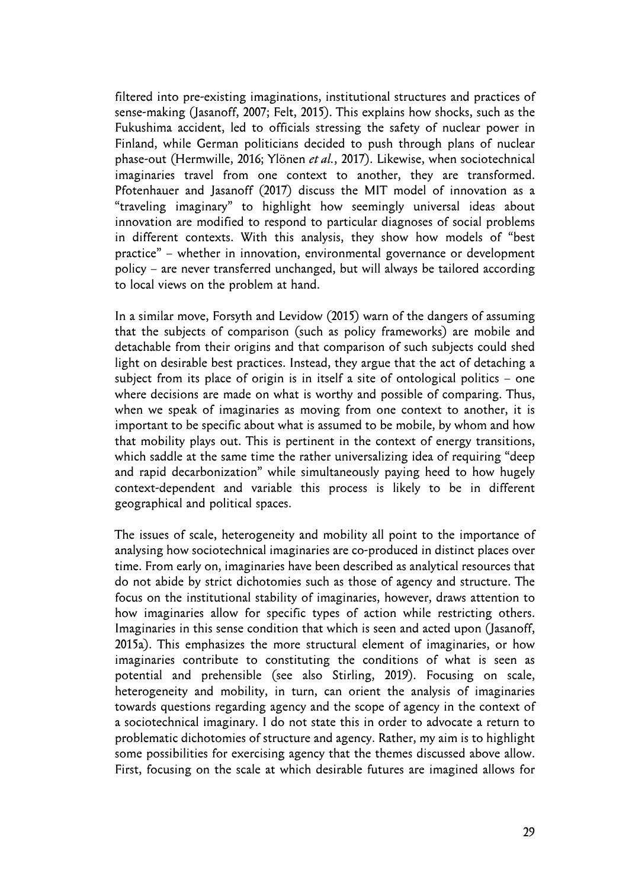filtered into pre-existing imaginations, institutional structures and practices of sense-making (Jasanoff, 2007; Felt, 2015). This explains how shocks, such as the Fukushima accident, led to officials stressing the safety of nuclear power in Finland, while German politicians decided to push through plans of nuclear phase-out (Hermwille, 2016; Ylönen *et al.*, 2017). Likewise, when sociotechnical imaginaries travel from one context to another, they are transformed. Pfotenhauer and Jasanoff (2017) discuss the MIT model of innovation as a "traveling imaginary" to highlight how seemingly universal ideas about innovation are modified to respond to particular diagnoses of social problems in different contexts. With this analysis, they show how models of "best practice" – whether in innovation, environmental governance or development policy – are never transferred unchanged, but will always be tailored according to local views on the problem at hand.

In a similar move, Forsyth and Levidow (2015) warn of the dangers of assuming that the subjects of comparison (such as policy frameworks) are mobile and detachable from their origins and that comparison of such subjects could shed light on desirable best practices. Instead, they argue that the act of detaching a subject from its place of origin is in itself a site of ontological politics – one where decisions are made on what is worthy and possible of comparing. Thus, when we speak of imaginaries as moving from one context to another, it is important to be specific about what is assumed to be mobile, by whom and how that mobility plays out. This is pertinent in the context of energy transitions, which saddle at the same time the rather universalizing idea of requiring "deep and rapid decarbonization" while simultaneously paying heed to how hugely context-dependent and variable this process is likely to be in different geographical and political spaces.

The issues of scale, heterogeneity and mobility all point to the importance of analysing how sociotechnical imaginaries are co-produced in distinct places over time. From early on, imaginaries have been described as analytical resources that do not abide by strict dichotomies such as those of agency and structure. The focus on the institutional stability of imaginaries, however, draws attention to how imaginaries allow for specific types of action while restricting others. Imaginaries in this sense condition that which is seen and acted upon (Jasanoff, 2015a). This emphasizes the more structural element of imaginaries, or how imaginaries contribute to constituting the conditions of what is seen as potential and prehensible (see also Stirling, 2019). Focusing on scale, heterogeneity and mobility, in turn, can orient the analysis of imaginaries towards questions regarding agency and the scope of agency in the context of a sociotechnical imaginary. I do not state this in order to advocate a return to problematic dichotomies of structure and agency. Rather, my aim is to highlight some possibilities for exercising agency that the themes discussed above allow. First, focusing on the scale at which desirable futures are imagined allows for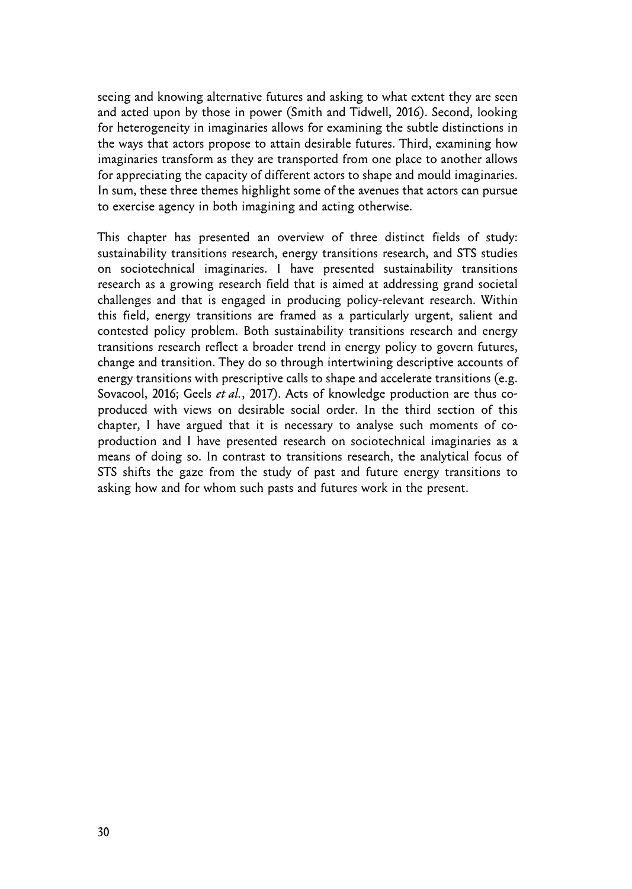seeing and knowing alternative futures and asking to what extent they are seen and acted upon by those in power (Smith and Tidwell, 2016). Second, looking for heterogeneity in imaginaries allows for examining the subtle distinctions in the ways that actors propose to attain desirable futures. Third, examining how imaginaries transform as they are transported from one place to another allows for appreciating the capacity of different actors to shape and mould imaginaries. In sum, these three themes highlight some of the avenues that actors can pursue to exercise agency in both imagining and acting otherwise.

This chapter has presented an overview of three distinct fields of study: sustainability transitions research, energy transitions research, and STS studies on sociotechnical imaginaries. I have presented sustainability transitions research as a growing research field that is aimed at addressing grand societal challenges and that is engaged in producing policy-relevant research. Within this field, energy transitions are framed as a particularly urgent, salient and contested policy problem. Both sustainability transitions research and energy transitions research reflect a broader trend in energy policy to govern futures, change and transition. They do so through intertwining descriptive accounts of energy transitions with prescriptive calls to shape and accelerate transitions (e.g. Sovacool, 2016; Geels *et al.*, 2017). Acts of knowledge production are thus coproduced with views on desirable social order. In the third section of this chapter, I have argued that it is necessary to analyse such moments of coproduction and I have presented research on sociotechnical imaginaries as a means of doing so. In contrast to transitions research, the analytical focus of STS shifts the gaze from the study of past and future energy transitions to asking how and for whom such pasts and futures work in the present.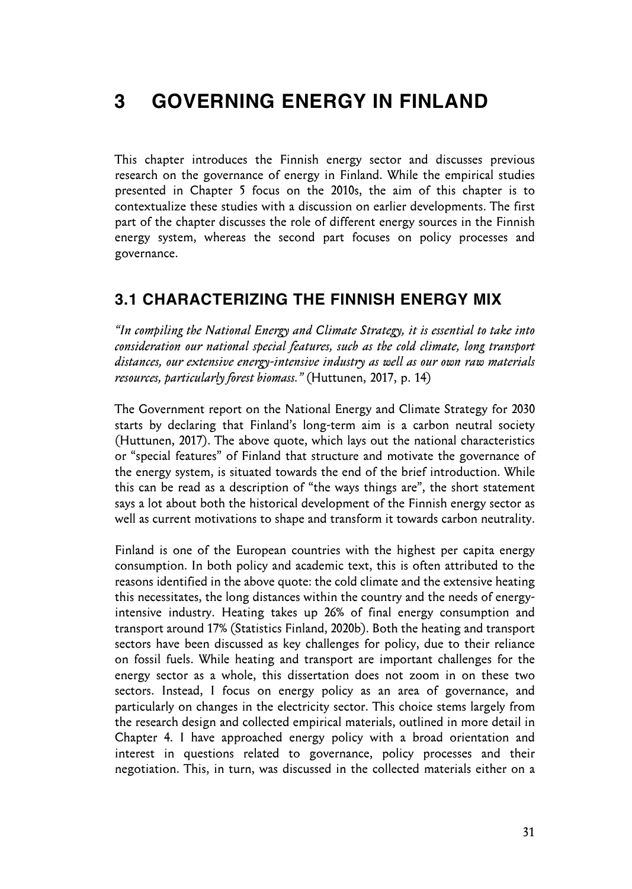## **3 GOVERNING ENERGY IN FINLAND**

This chapter introduces the Finnish energy sector and discusses previous research on the governance of energy in Finland. While the empirical studies presented in Chapter 5 focus on the 2010s, the aim of this chapter is to contextualize these studies with a discussion on earlier developments. The first part of the chapter discusses the role of different energy sources in the Finnish energy system, whereas the second part focuses on policy processes and governance.

### **3.1 CHARACTERIZING THE FINNISH ENERGY MIX**

*"In compiling the National Energy and Climate Strategy, it is essential to take into consideration our national special features, such as the cold climate, long transport distances, our extensive energy-intensive industry as well as our own raw materials resources, particularly forest biomass."* (Huttunen, 2017, p. 14)

The Government report on the National Energy and Climate Strategy for 2030 starts by declaring that Finland's long-term aim is a carbon neutral society (Huttunen, 2017). The above quote, which lays out the national characteristics or "special features" of Finland that structure and motivate the governance of the energy system, is situated towards the end of the brief introduction. While this can be read as a description of "the ways things are", the short statement says a lot about both the historical development of the Finnish energy sector as well as current motivations to shape and transform it towards carbon neutrality.

Finland is one of the European countries with the highest per capita energy consumption. In both policy and academic text, this is often attributed to the reasons identified in the above quote: the cold climate and the extensive heating this necessitates, the long distances within the country and the needs of energyintensive industry. Heating takes up 26% of final energy consumption and transport around 17% (Statistics Finland, 2020b). Both the heating and transport sectors have been discussed as key challenges for policy, due to their reliance on fossil fuels. While heating and transport are important challenges for the energy sector as a whole, this dissertation does not zoom in on these two sectors. Instead, I focus on energy policy as an area of governance, and particularly on changes in the electricity sector. This choice stems largely from the research design and collected empirical materials, outlined in more detail in Chapter 4. I have approached energy policy with a broad orientation and interest in questions related to governance, policy processes and their negotiation. This, in turn, was discussed in the collected materials either on a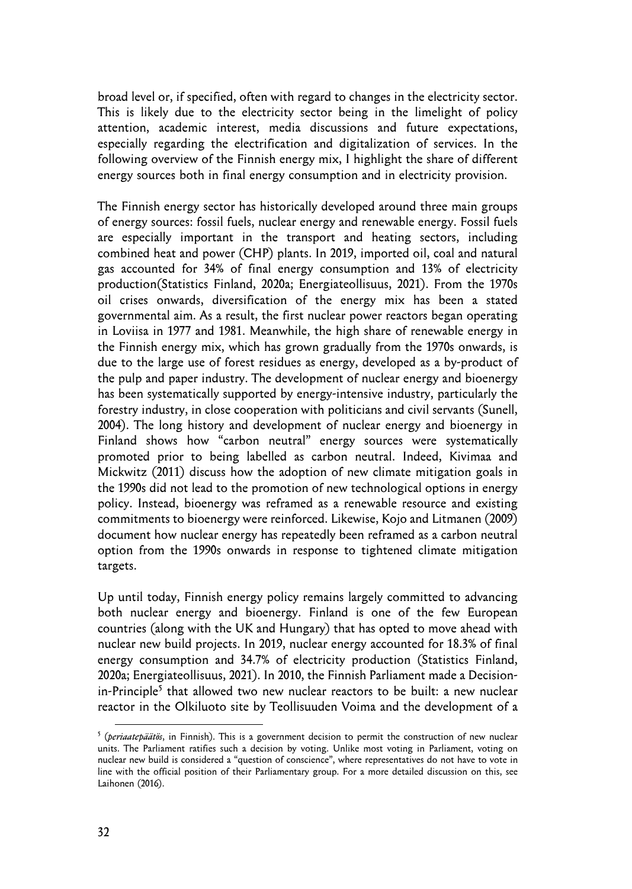broad level or, if specified, often with regard to changes in the electricity sector. This is likely due to the electricity sector being in the limelight of policy attention, academic interest, media discussions and future expectations, especially regarding the electrification and digitalization of services. In the following overview of the Finnish energy mix, I highlight the share of different energy sources both in final energy consumption and in electricity provision.

The Finnish energy sector has historically developed around three main groups of energy sources: fossil fuels, nuclear energy and renewable energy. Fossil fuels are especially important in the transport and heating sectors, including combined heat and power (CHP) plants. In 2019, imported oil, coal and natural gas accounted for 34% of final energy consumption and 13% of electricity production(Statistics Finland, 2020a; Energiateollisuus, 2021). From the 1970s oil crises onwards, diversification of the energy mix has been a stated governmental aim. As a result, the first nuclear power reactors began operating in Loviisa in 1977 and 1981. Meanwhile, the high share of renewable energy in the Finnish energy mix, which has grown gradually from the 1970s onwards, is due to the large use of forest residues as energy, developed as a by-product of the pulp and paper industry. The development of nuclear energy and bioenergy has been systematically supported by energy-intensive industry, particularly the forestry industry, in close cooperation with politicians and civil servants (Sunell, 2004). The long history and development of nuclear energy and bioenergy in Finland shows how "carbon neutral" energy sources were systematically promoted prior to being labelled as carbon neutral. Indeed, Kivimaa and Mickwitz (2011) discuss how the adoption of new climate mitigation goals in the 1990s did not lead to the promotion of new technological options in energy policy. Instead, bioenergy was reframed as a renewable resource and existing commitments to bioenergy were reinforced. Likewise, Kojo and Litmanen (2009) document how nuclear energy has repeatedly been reframed as a carbon neutral option from the 1990s onwards in response to tightened climate mitigation targets.

Up until today, Finnish energy policy remains largely committed to advancing both nuclear energy and bioenergy. Finland is one of the few European countries (along with the UK and Hungary) that has opted to move ahead with nuclear new build projects. In 2019, nuclear energy accounted for 18.3% of final energy consumption and 34.7% of electricity production (Statistics Finland, 2020a; Energiateollisuus, 2021). In 2010, the Finnish Parliament made a Decisionin-Principle<sup>5</sup> that allowed two new nuclear reactors to be built: a new nuclear reactor in the Olkiluoto site by Teollisuuden Voima and the development of a

<sup>5</sup> (*periaatepäätös*, in Finnish). This is a government decision to permit the construction of new nuclear units. The Parliament ratifies such a decision by voting. Unlike most voting in Parliament, voting on nuclear new build is considered a "question of conscience", where representatives do not have to vote in line with the official position of their Parliamentary group. For a more detailed discussion on this, see Laihonen (2016).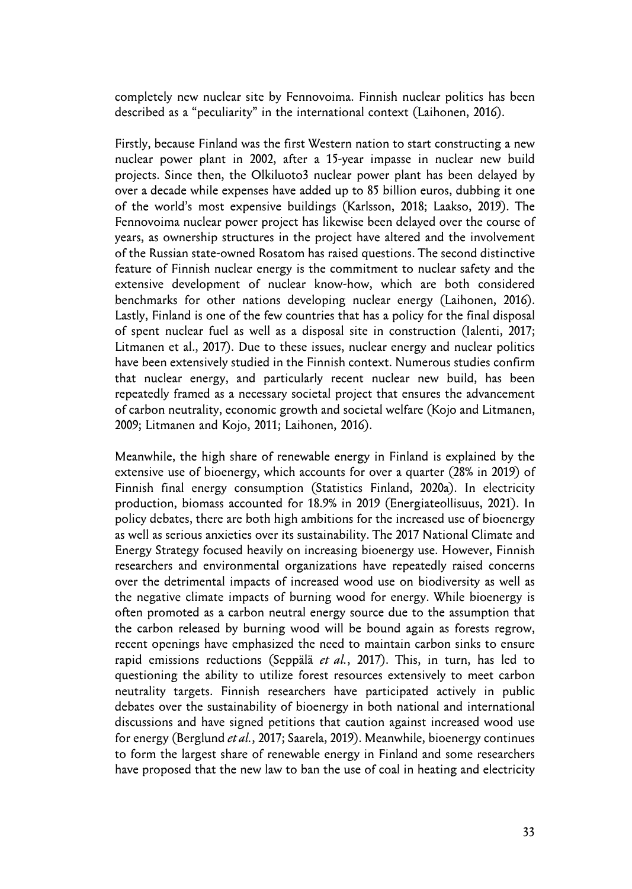completely new nuclear site by Fennovoima. Finnish nuclear politics has been described as a "peculiarity" in the international context (Laihonen, 2016).

Firstly, because Finland was the first Western nation to start constructing a new nuclear power plant in 2002, after a 15-year impasse in nuclear new build projects. Since then, the Olkiluoto3 nuclear power plant has been delayed by over a decade while expenses have added up to 85 billion euros, dubbing it one of the world's most expensive buildings (Karlsson, 2018; Laakso, 2019). The Fennovoima nuclear power project has likewise been delayed over the course of years, as ownership structures in the project have altered and the involvement of the Russian state-owned Rosatom has raised questions. The second distinctive feature of Finnish nuclear energy is the commitment to nuclear safety and the extensive development of nuclear know-how, which are both considered benchmarks for other nations developing nuclear energy (Laihonen, 2016). Lastly, Finland is one of the few countries that has a policy for the final disposal of spent nuclear fuel as well as a disposal site in construction (Ialenti, 2017; Litmanen et al., 2017). Due to these issues, nuclear energy and nuclear politics have been extensively studied in the Finnish context. Numerous studies confirm that nuclear energy, and particularly recent nuclear new build, has been repeatedly framed as a necessary societal project that ensures the advancement of carbon neutrality, economic growth and societal welfare (Kojo and Litmanen, 2009; Litmanen and Kojo, 2011; Laihonen, 2016).

Meanwhile, the high share of renewable energy in Finland is explained by the extensive use of bioenergy, which accounts for over a quarter (28% in 2019) of Finnish final energy consumption (Statistics Finland, 2020a). In electricity production, biomass accounted for 18.9% in 2019 (Energiateollisuus, 2021). In policy debates, there are both high ambitions for the increased use of bioenergy as well as serious anxieties over its sustainability. The 2017 National Climate and Energy Strategy focused heavily on increasing bioenergy use. However, Finnish researchers and environmental organizations have repeatedly raised concerns over the detrimental impacts of increased wood use on biodiversity as well as the negative climate impacts of burning wood for energy. While bioenergy is often promoted as a carbon neutral energy source due to the assumption that the carbon released by burning wood will be bound again as forests regrow, recent openings have emphasized the need to maintain carbon sinks to ensure rapid emissions reductions (Seppälä *et al.*, 2017). This, in turn, has led to questioning the ability to utilize forest resources extensively to meet carbon neutrality targets. Finnish researchers have participated actively in public debates over the sustainability of bioenergy in both national and international discussions and have signed petitions that caution against increased wood use for energy (Berglund *et al.*, 2017; Saarela, 2019). Meanwhile, bioenergy continues to form the largest share of renewable energy in Finland and some researchers have proposed that the new law to ban the use of coal in heating and electricity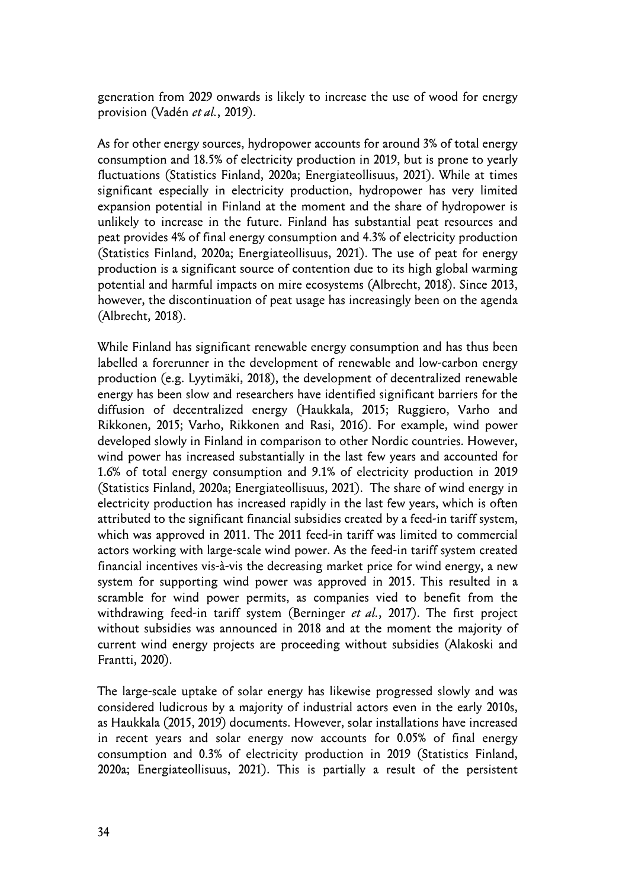generation from 2029 onwards is likely to increase the use of wood for energy provision (Vadén *et al.*, 2019).

As for other energy sources, hydropower accounts for around 3% of total energy consumption and 18.5% of electricity production in 2019, but is prone to yearly fluctuations (Statistics Finland, 2020a; Energiateollisuus, 2021). While at times significant especially in electricity production, hydropower has very limited expansion potential in Finland at the moment and the share of hydropower is unlikely to increase in the future. Finland has substantial peat resources and peat provides 4% of final energy consumption and 4.3% of electricity production (Statistics Finland, 2020a; Energiateollisuus, 2021). The use of peat for energy production is a significant source of contention due to its high global warming potential and harmful impacts on mire ecosystems (Albrecht, 2018). Since 2013, however, the discontinuation of peat usage has increasingly been on the agenda (Albrecht, 2018).

While Finland has significant renewable energy consumption and has thus been labelled a forerunner in the development of renewable and low-carbon energy production (e.g. Lyytimäki, 2018), the development of decentralized renewable energy has been slow and researchers have identified significant barriers for the diffusion of decentralized energy (Haukkala, 2015; Ruggiero, Varho and Rikkonen, 2015; Varho, Rikkonen and Rasi, 2016). For example, wind power developed slowly in Finland in comparison to other Nordic countries. However, wind power has increased substantially in the last few years and accounted for 1.6% of total energy consumption and 9.1% of electricity production in 2019 (Statistics Finland, 2020a; Energiateollisuus, 2021). The share of wind energy in electricity production has increased rapidly in the last few years, which is often attributed to the significant financial subsidies created by a feed-in tariff system, which was approved in 2011. The 2011 feed-in tariff was limited to commercial actors working with large-scale wind power. As the feed-in tariff system created financial incentives vis-à-vis the decreasing market price for wind energy, a new system for supporting wind power was approved in 2015. This resulted in a scramble for wind power permits, as companies vied to benefit from the withdrawing feed-in tariff system (Berninger *et al.*, 2017). The first project without subsidies was announced in 2018 and at the moment the majority of current wind energy projects are proceeding without subsidies (Alakoski and Frantti, 2020).

The large-scale uptake of solar energy has likewise progressed slowly and was considered ludicrous by a majority of industrial actors even in the early 2010s, as Haukkala (2015, 2019) documents. However, solar installations have increased in recent years and solar energy now accounts for 0.05% of final energy consumption and 0.3% of electricity production in 2019 (Statistics Finland, 2020a; Energiateollisuus, 2021). This is partially a result of the persistent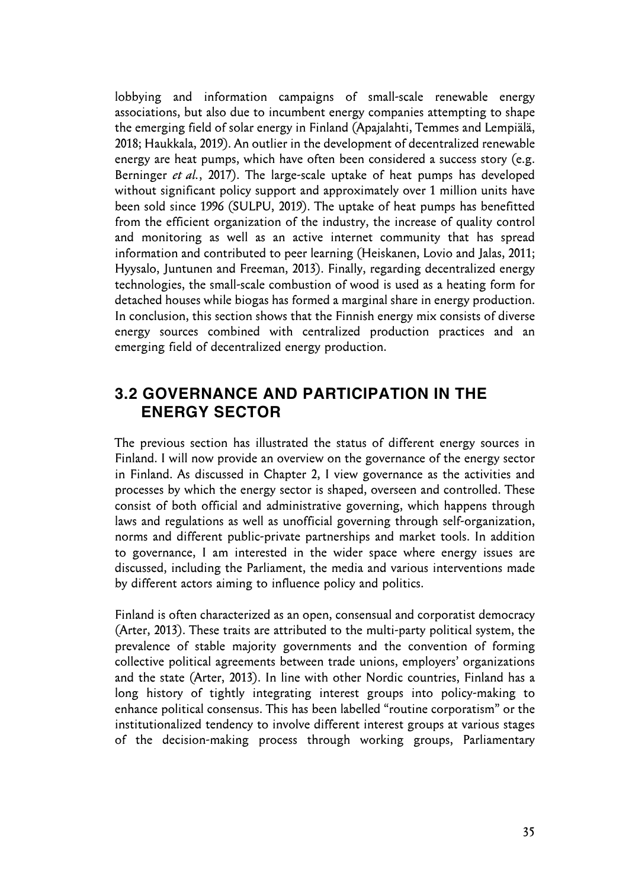lobbying and information campaigns of small-scale renewable energy associations, but also due to incumbent energy companies attempting to shape the emerging field of solar energy in Finland (Apajalahti, Temmes and Lempiälä, 2018; Haukkala, 2019). An outlier in the development of decentralized renewable energy are heat pumps, which have often been considered a success story (e.g. Berninger *et al.*, 2017). The large-scale uptake of heat pumps has developed without significant policy support and approximately over 1 million units have been sold since 1996 (SULPU, 2019). The uptake of heat pumps has benefitted from the efficient organization of the industry, the increase of quality control and monitoring as well as an active internet community that has spread information and contributed to peer learning (Heiskanen, Lovio and Jalas, 2011; Hyysalo, Juntunen and Freeman, 2013). Finally, regarding decentralized energy technologies, the small-scale combustion of wood is used as a heating form for detached houses while biogas has formed a marginal share in energy production. In conclusion, this section shows that the Finnish energy mix consists of diverse energy sources combined with centralized production practices and an emerging field of decentralized energy production.

### **3.2 GOVERNANCE AND PARTICIPATION IN THE ENERGY SECTOR**

The previous section has illustrated the status of different energy sources in Finland. I will now provide an overview on the governance of the energy sector in Finland. As discussed in Chapter 2, I view governance as the activities and processes by which the energy sector is shaped, overseen and controlled. These consist of both official and administrative governing, which happens through laws and regulations as well as unofficial governing through self-organization, norms and different public-private partnerships and market tools. In addition to governance, I am interested in the wider space where energy issues are discussed, including the Parliament, the media and various interventions made by different actors aiming to influence policy and politics.

Finland is often characterized as an open, consensual and corporatist democracy (Arter, 2013). These traits are attributed to the multi-party political system, the prevalence of stable majority governments and the convention of forming collective political agreements between trade unions, employers' organizations and the state (Arter, 2013). In line with other Nordic countries, Finland has a long history of tightly integrating interest groups into policy-making to enhance political consensus. This has been labelled "routine corporatism" or the institutionalized tendency to involve different interest groups at various stages of the decision-making process through working groups, Parliamentary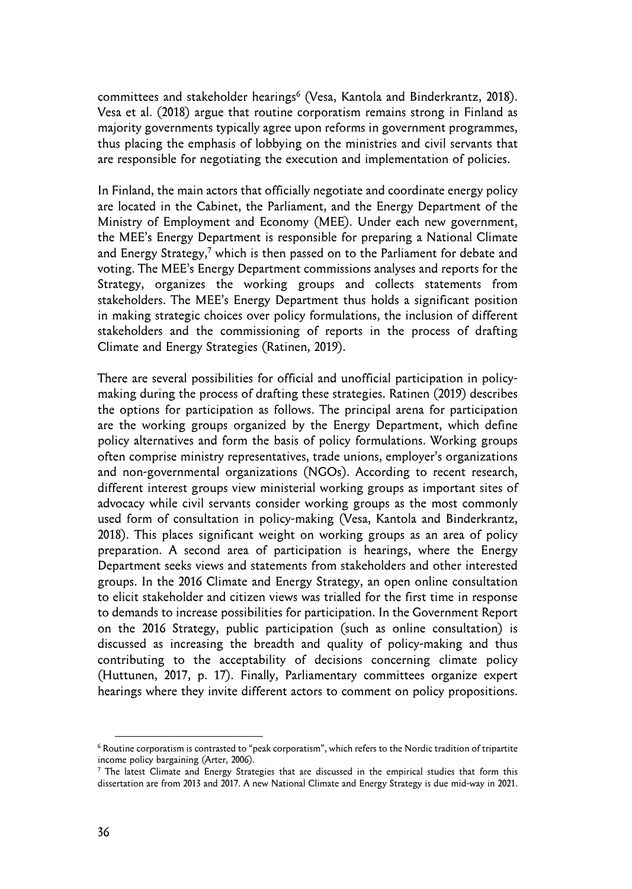committees and stakeholder hearings<sup>6</sup> (Vesa, Kantola and Binderkrantz, 2018). Vesa et al. (2018) argue that routine corporatism remains strong in Finland as majority governments typically agree upon reforms in government programmes, thus placing the emphasis of lobbying on the ministries and civil servants that are responsible for negotiating the execution and implementation of policies.

In Finland, the main actors that officially negotiate and coordinate energy policy are located in the Cabinet, the Parliament, and the Energy Department of the Ministry of Employment and Economy (MEE). Under each new government, the MEE's Energy Department is responsible for preparing a National Climate and Energy Strategy,<sup>7</sup> which is then passed on to the Parliament for debate and voting. The MEE's Energy Department commissions analyses and reports for the Strategy, organizes the working groups and collects statements from stakeholders. The MEE's Energy Department thus holds a significant position in making strategic choices over policy formulations, the inclusion of different stakeholders and the commissioning of reports in the process of drafting Climate and Energy Strategies (Ratinen, 2019).

There are several possibilities for official and unofficial participation in policymaking during the process of drafting these strategies. Ratinen (2019) describes the options for participation as follows. The principal arena for participation are the working groups organized by the Energy Department, which define policy alternatives and form the basis of policy formulations. Working groups often comprise ministry representatives, trade unions, employer's organizations and non-governmental organizations (NGOs). According to recent research, different interest groups view ministerial working groups as important sites of advocacy while civil servants consider working groups as the most commonly used form of consultation in policy-making (Vesa, Kantola and Binderkrantz, 2018). This places significant weight on working groups as an area of policy preparation. A second area of participation is hearings, where the Energy Department seeks views and statements from stakeholders and other interested groups. In the 2016 Climate and Energy Strategy, an open online consultation to elicit stakeholder and citizen views was trialled for the first time in response to demands to increase possibilities for participation. In the Government Report on the 2016 Strategy, public participation (such as online consultation) is discussed as increasing the breadth and quality of policy-making and thus contributing to the acceptability of decisions concerning climate policy (Huttunen, 2017, p. 17). Finally, Parliamentary committees organize expert hearings where they invite different actors to comment on policy propositions.

<sup>6</sup> Routine corporatism is contrasted to "peak corporatism", which refers to the Nordic tradition of tripartite income policy bargaining (Arter, 2006).

<sup>7</sup> The latest Climate and Energy Strategies that are discussed in the empirical studies that form this dissertation are from 2013 and 2017. A new National Climate and Energy Strategy is due mid-way in 2021.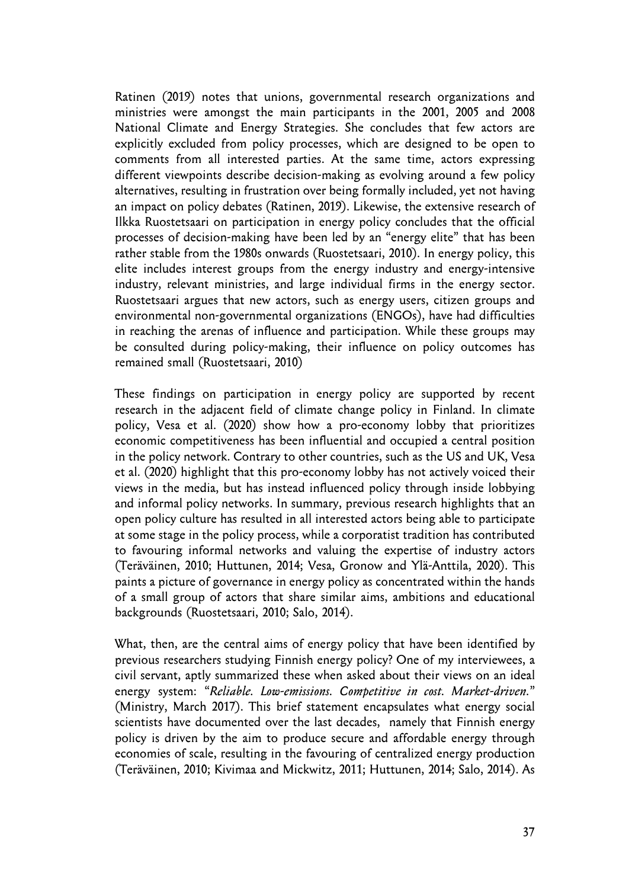Ratinen (2019) notes that unions, governmental research organizations and ministries were amongst the main participants in the 2001, 2005 and 2008 National Climate and Energy Strategies. She concludes that few actors are explicitly excluded from policy processes, which are designed to be open to comments from all interested parties. At the same time, actors expressing different viewpoints describe decision-making as evolving around a few policy alternatives, resulting in frustration over being formally included, yet not having an impact on policy debates (Ratinen, 2019). Likewise, the extensive research of Ilkka Ruostetsaari on participation in energy policy concludes that the official processes of decision-making have been led by an "energy elite" that has been rather stable from the 1980s onwards (Ruostetsaari, 2010). In energy policy, this elite includes interest groups from the energy industry and energy-intensive industry, relevant ministries, and large individual firms in the energy sector. Ruostetsaari argues that new actors, such as energy users, citizen groups and environmental non-governmental organizations (ENGOs), have had difficulties in reaching the arenas of influence and participation. While these groups may be consulted during policy-making, their influence on policy outcomes has remained small (Ruostetsaari, 2010)

These findings on participation in energy policy are supported by recent research in the adjacent field of climate change policy in Finland. In climate policy, Vesa et al. (2020) show how a pro-economy lobby that prioritizes economic competitiveness has been influential and occupied a central position in the policy network. Contrary to other countries, such as the US and UK, Vesa et al. (2020) highlight that this pro-economy lobby has not actively voiced their views in the media, but has instead influenced policy through inside lobbying and informal policy networks. In summary, previous research highlights that an open policy culture has resulted in all interested actors being able to participate at some stage in the policy process, while a corporatist tradition has contributed to favouring informal networks and valuing the expertise of industry actors (Teräväinen, 2010; Huttunen, 2014; Vesa, Gronow and Ylä-Anttila, 2020). This paints a picture of governance in energy policy as concentrated within the hands of a small group of actors that share similar aims, ambitions and educational backgrounds (Ruostetsaari, 2010; Salo, 2014).

What, then, are the central aims of energy policy that have been identified by previous researchers studying Finnish energy policy? One of my interviewees, a civil servant, aptly summarized these when asked about their views on an ideal energy system: "*Reliable. Low-emissions. Competitive in cost. Market-driven.*" (Ministry, March 2017). This brief statement encapsulates what energy social scientists have documented over the last decades, namely that Finnish energy policy is driven by the aim to produce secure and affordable energy through economies of scale, resulting in the favouring of centralized energy production (Teräväinen, 2010; Kivimaa and Mickwitz, 2011; Huttunen, 2014; Salo, 2014). As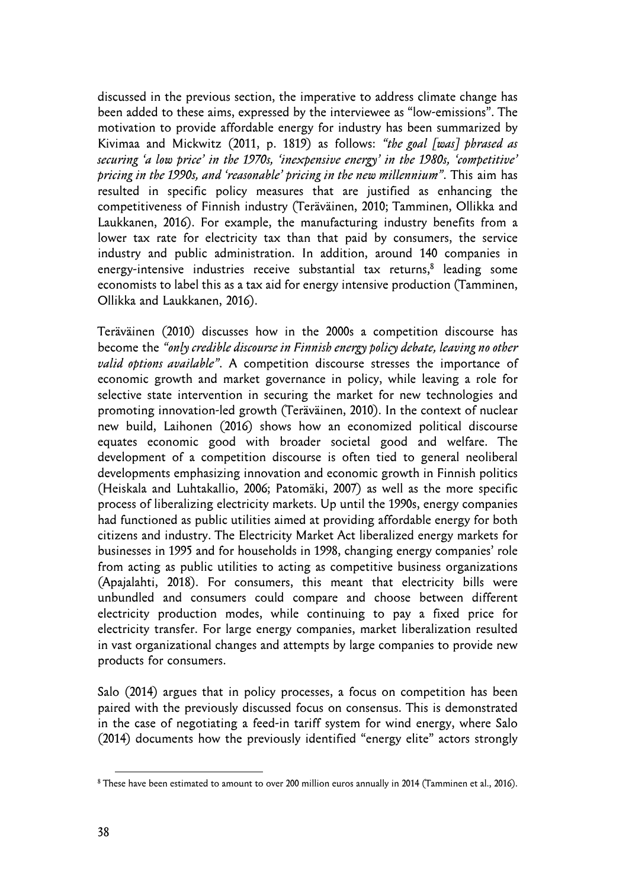discussed in the previous section, the imperative to address climate change has been added to these aims, expressed by the interviewee as "low-emissions". The motivation to provide affordable energy for industry has been summarized by Kivimaa and Mickwitz (2011, p. 1819) as follows: *"the goal [was] phrased as securing 'a low price' in the 1970s, 'inexpensive energy' in the 1980s, 'competitive' pricing in the 1990s, and 'reasonable' pricing in the new millennium"*. This aim has resulted in specific policy measures that are justified as enhancing the competitiveness of Finnish industry (Teräväinen, 2010; Tamminen, Ollikka and Laukkanen, 2016). For example, the manufacturing industry benefits from a lower tax rate for electricity tax than that paid by consumers, the service industry and public administration. In addition, around 140 companies in energy-intensive industries receive substantial tax returns,<sup>8</sup> leading some economists to label this as a tax aid for energy intensive production (Tamminen, Ollikka and Laukkanen, 2016).

Teräväinen (2010) discusses how in the 2000s a competition discourse has become the *"only credible discourse in Finnish energy policy debate, leaving no other valid options available"*. A competition discourse stresses the importance of economic growth and market governance in policy, while leaving a role for selective state intervention in securing the market for new technologies and promoting innovation-led growth (Teräväinen, 2010). In the context of nuclear new build, Laihonen (2016) shows how an economized political discourse equates economic good with broader societal good and welfare. The development of a competition discourse is often tied to general neoliberal developments emphasizing innovation and economic growth in Finnish politics (Heiskala and Luhtakallio, 2006; Patomäki, 2007) as well as the more specific process of liberalizing electricity markets. Up until the 1990s, energy companies had functioned as public utilities aimed at providing affordable energy for both citizens and industry. The Electricity Market Act liberalized energy markets for businesses in 1995 and for households in 1998, changing energy companies' role from acting as public utilities to acting as competitive business organizations (Apajalahti, 2018). For consumers, this meant that electricity bills were unbundled and consumers could compare and choose between different electricity production modes, while continuing to pay a fixed price for electricity transfer. For large energy companies, market liberalization resulted in vast organizational changes and attempts by large companies to provide new products for consumers.

Salo (2014) argues that in policy processes, a focus on competition has been paired with the previously discussed focus on consensus. This is demonstrated in the case of negotiating a feed-in tariff system for wind energy, where Salo (2014) documents how the previously identified "energy elite" actors strongly

<sup>&</sup>lt;sup>8</sup> These have been estimated to amount to over 200 million euros annually in 2014 (Tamminen et al., 2016).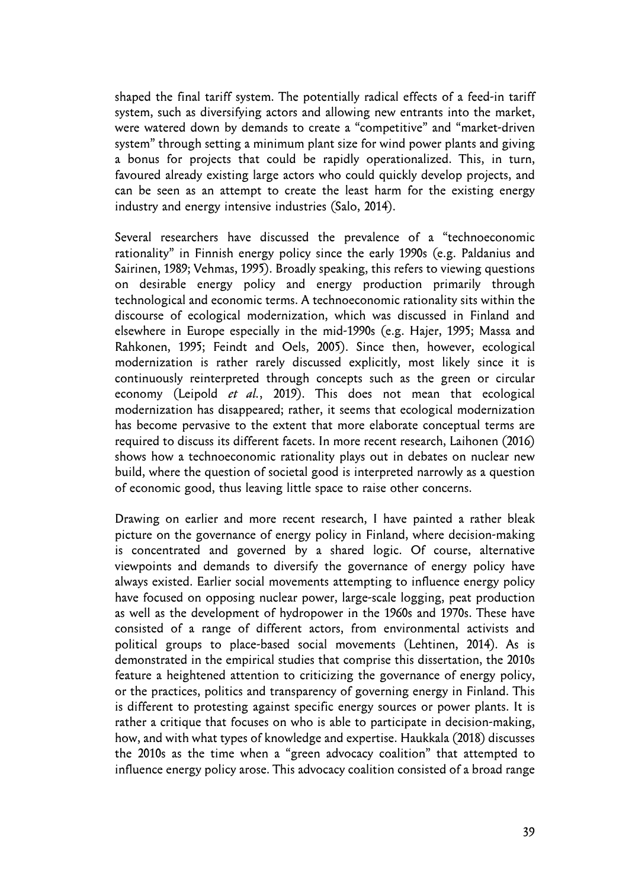shaped the final tariff system. The potentially radical effects of a feed-in tariff system, such as diversifying actors and allowing new entrants into the market, were watered down by demands to create a "competitive" and "market-driven system" through setting a minimum plant size for wind power plants and giving a bonus for projects that could be rapidly operationalized. This, in turn, favoured already existing large actors who could quickly develop projects, and can be seen as an attempt to create the least harm for the existing energy industry and energy intensive industries (Salo, 2014).

Several researchers have discussed the prevalence of a "technoeconomic rationality" in Finnish energy policy since the early 1990s (e.g. Paldanius and Sairinen, 1989; Vehmas, 1995). Broadly speaking, this refers to viewing questions on desirable energy policy and energy production primarily through technological and economic terms. A technoeconomic rationality sits within the discourse of ecological modernization, which was discussed in Finland and elsewhere in Europe especially in the mid-1990s (e.g. Hajer, 1995; Massa and Rahkonen, 1995; Feindt and Oels, 2005). Since then, however, ecological modernization is rather rarely discussed explicitly, most likely since it is continuously reinterpreted through concepts such as the green or circular economy (Leipold *et al.*, 2019). This does not mean that ecological modernization has disappeared; rather, it seems that ecological modernization has become pervasive to the extent that more elaborate conceptual terms are required to discuss its different facets. In more recent research, Laihonen (2016) shows how a technoeconomic rationality plays out in debates on nuclear new build, where the question of societal good is interpreted narrowly as a question of economic good, thus leaving little space to raise other concerns.

Drawing on earlier and more recent research, I have painted a rather bleak picture on the governance of energy policy in Finland, where decision-making is concentrated and governed by a shared logic. Of course, alternative viewpoints and demands to diversify the governance of energy policy have always existed. Earlier social movements attempting to influence energy policy have focused on opposing nuclear power, large-scale logging, peat production as well as the development of hydropower in the 1960s and 1970s. These have consisted of a range of different actors, from environmental activists and political groups to place-based social movements (Lehtinen, 2014). As is demonstrated in the empirical studies that comprise this dissertation, the 2010s feature a heightened attention to criticizing the governance of energy policy, or the practices, politics and transparency of governing energy in Finland. This is different to protesting against specific energy sources or power plants. It is rather a critique that focuses on who is able to participate in decision-making, how, and with what types of knowledge and expertise. Haukkala (2018) discusses the 2010s as the time when a "green advocacy coalition" that attempted to influence energy policy arose. This advocacy coalition consisted of a broad range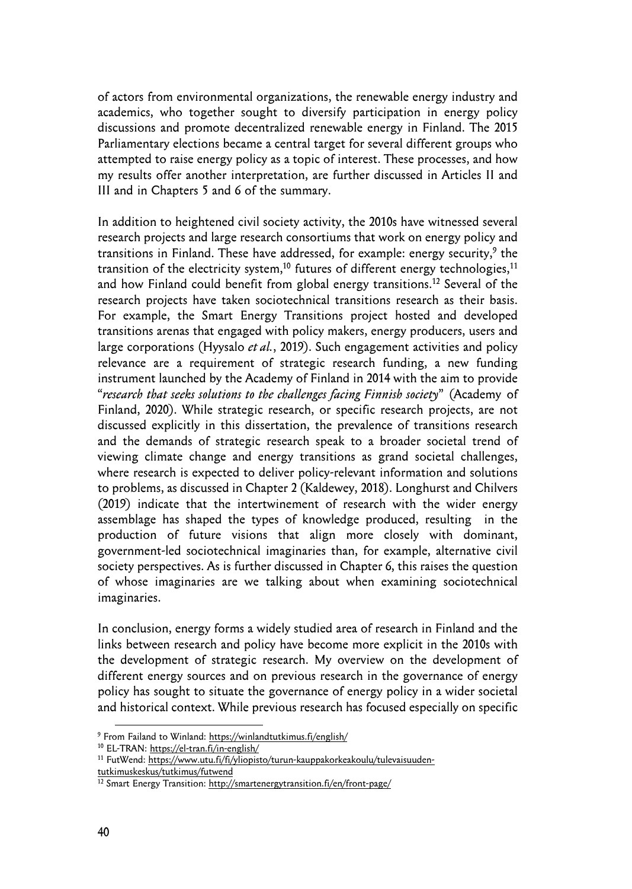of actors from environmental organizations, the renewable energy industry and academics, who together sought to diversify participation in energy policy discussions and promote decentralized renewable energy in Finland. The 2015 Parliamentary elections became a central target for several different groups who attempted to raise energy policy as a topic of interest. These processes, and how my results offer another interpretation, are further discussed in Articles II and III and in Chapters 5 and 6 of the summary.

In addition to heightened civil society activity, the 2010s have witnessed several research projects and large research consortiums that work on energy policy and transitions in Finland. These have addressed, for example: energy security,<sup>9</sup> the transition of the electricity system,<sup>10</sup> futures of different energy technologies,<sup>11</sup> and how Finland could benefit from global energy transitions.12 Several of the research projects have taken sociotechnical transitions research as their basis. For example, the Smart Energy Transitions project hosted and developed transitions arenas that engaged with policy makers, energy producers, users and large corporations (Hyysalo *et al.*, 2019). Such engagement activities and policy relevance are a requirement of strategic research funding, a new funding instrument launched by the Academy of Finland in 2014 with the aim to provide "*research that seeks solutions to the challenges facing Finnish society*" (Academy of Finland, 2020). While strategic research, or specific research projects, are not discussed explicitly in this dissertation, the prevalence of transitions research and the demands of strategic research speak to a broader societal trend of viewing climate change and energy transitions as grand societal challenges, where research is expected to deliver policy-relevant information and solutions to problems, as discussed in Chapter 2 (Kaldewey, 2018). Longhurst and Chilvers (2019) indicate that the intertwinement of research with the wider energy assemblage has shaped the types of knowledge produced, resulting in the production of future visions that align more closely with dominant, government-led sociotechnical imaginaries than, for example, alternative civil society perspectives. As is further discussed in Chapter 6, this raises the question of whose imaginaries are we talking about when examining sociotechnical imaginaries.

In conclusion, energy forms a widely studied area of research in Finland and the links between research and policy have become more explicit in the 2010s with the development of strategic research. My overview on the development of different energy sources and on previous research in the governance of energy policy has sought to situate the governance of energy policy in a wider societal and historical context. While previous research has focused especially on specific

<sup>&</sup>lt;sup>9</sup> From Failand to Winland: https://winlandtutkimus.fi/english/

<sup>&</sup>lt;sup>10</sup> EL-TRAN: https://el-tran.fi/in-english/

<sup>&</sup>lt;sup>11</sup> FutWend: https://www.utu.fi/fi/yliopisto/turun-kauppakorkeakoulu/tulevaisuudentutkimuskeskus/tutkimus/futwend

<sup>12</sup> Smart Energy Transition: http://smartenergytransition.fi/en/front-page/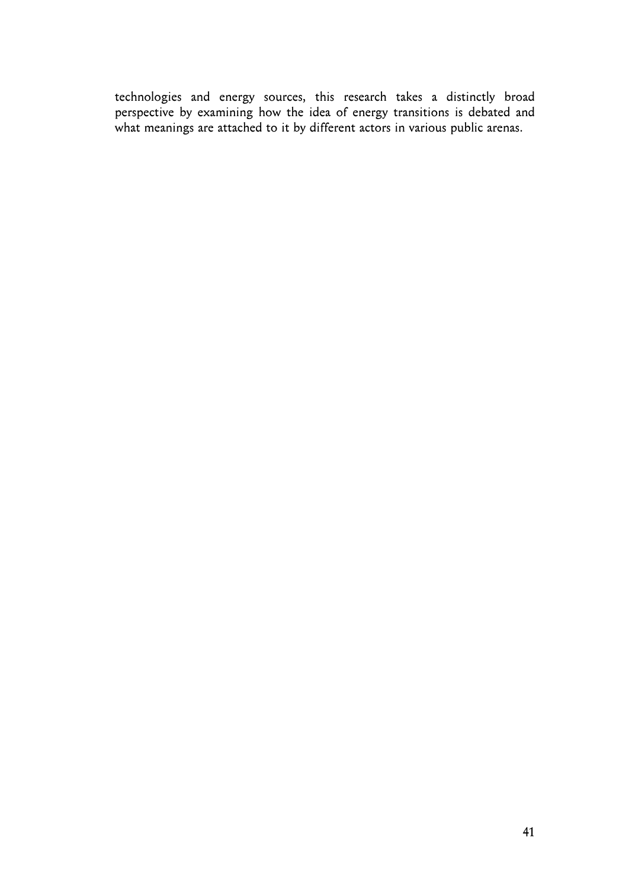technologies and energy sources, this research takes a distinctly broad perspective by examining how the idea of energy transitions is debated and what meanings are attached to it by different actors in various public arenas.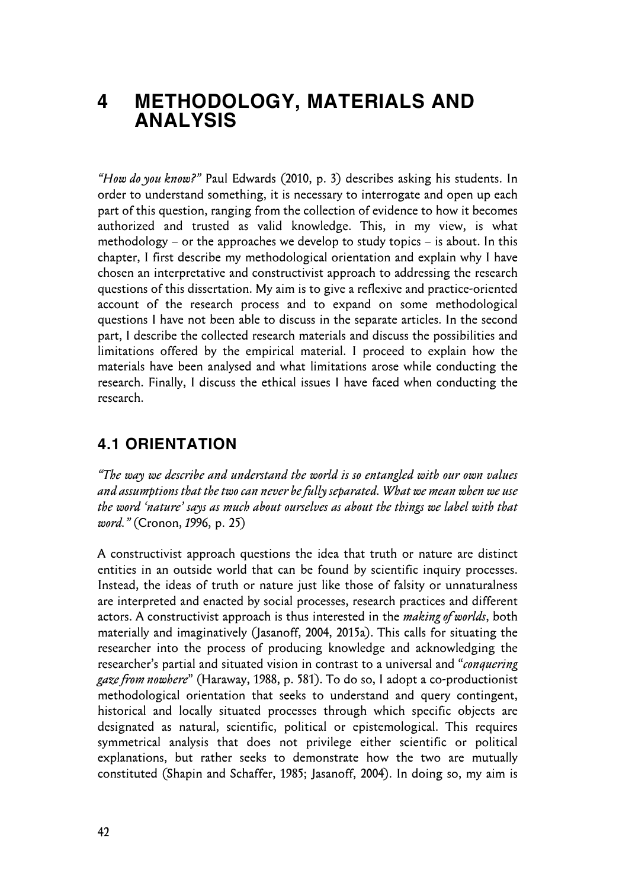## **4 METHODOLOGY, MATERIALS AND ANALYSIS**

*"How do you know?"* Paul Edwards (2010, p. 3) describes asking his students. In order to understand something, it is necessary to interrogate and open up each part of this question, ranging from the collection of evidence to how it becomes authorized and trusted as valid knowledge. This, in my view, is what methodology – or the approaches we develop to study topics – is about. In this chapter, I first describe my methodological orientation and explain why I have chosen an interpretative and constructivist approach to addressing the research questions of this dissertation. My aim is to give a reflexive and practice-oriented account of the research process and to expand on some methodological questions I have not been able to discuss in the separate articles. In the second part, I describe the collected research materials and discuss the possibilities and limitations offered by the empirical material. I proceed to explain how the materials have been analysed and what limitations arose while conducting the research. Finally, I discuss the ethical issues I have faced when conducting the research.

### **4.1 ORIENTATION**

*"The way we describe and understand the world is so entangled with our own values and assumptions that the two can never be fully separated. What we mean when we use the word 'nature' says as much about ourselves as about the things we label with that word."* (Cronon, *1*996, p. 25)

A constructivist approach questions the idea that truth or nature are distinct entities in an outside world that can be found by scientific inquiry processes. Instead, the ideas of truth or nature just like those of falsity or unnaturalness are interpreted and enacted by social processes, research practices and different actors. A constructivist approach is thus interested in the *making of worlds*, both materially and imaginatively (Jasanoff, 2004, 2015a). This calls for situating the researcher into the process of producing knowledge and acknowledging the researcher's partial and situated vision in contrast to a universal and "*conquering gaze from nowhere*" (Haraway, 1988, p. 581). To do so, I adopt a co-productionist methodological orientation that seeks to understand and query contingent, historical and locally situated processes through which specific objects are designated as natural, scientific, political or epistemological. This requires symmetrical analysis that does not privilege either scientific or political explanations, but rather seeks to demonstrate how the two are mutually constituted (Shapin and Schaffer, 1985; Jasanoff, 2004). In doing so, my aim is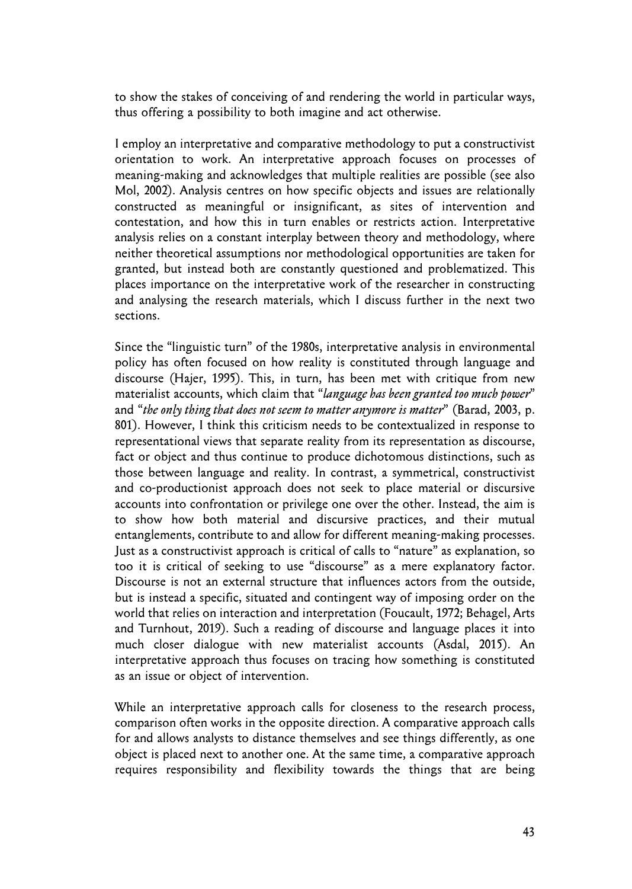to show the stakes of conceiving of and rendering the world in particular ways, thus offering a possibility to both imagine and act otherwise.

I employ an interpretative and comparative methodology to put a constructivist orientation to work. An interpretative approach focuses on processes of meaning-making and acknowledges that multiple realities are possible (see also Mol, 2002). Analysis centres on how specific objects and issues are relationally constructed as meaningful or insignificant, as sites of intervention and contestation, and how this in turn enables or restricts action. Interpretative analysis relies on a constant interplay between theory and methodology, where neither theoretical assumptions nor methodological opportunities are taken for granted, but instead both are constantly questioned and problematized. This places importance on the interpretative work of the researcher in constructing and analysing the research materials, which I discuss further in the next two sections.

Since the "linguistic turn" of the 1980s, interpretative analysis in environmental policy has often focused on how reality is constituted through language and discourse (Hajer, 1995). This, in turn, has been met with critique from new materialist accounts, which claim that "*language has been granted too much power*" and "*the only thing that does not seem to matter anymore is matter*" (Barad, 2003, p. 801). However, I think this criticism needs to be contextualized in response to representational views that separate reality from its representation as discourse, fact or object and thus continue to produce dichotomous distinctions, such as those between language and reality. In contrast, a symmetrical, constructivist and co-productionist approach does not seek to place material or discursive accounts into confrontation or privilege one over the other. Instead, the aim is to show how both material and discursive practices, and their mutual entanglements, contribute to and allow for different meaning-making processes. Just as a constructivist approach is critical of calls to "nature" as explanation, so too it is critical of seeking to use "discourse" as a mere explanatory factor. Discourse is not an external structure that influences actors from the outside, but is instead a specific, situated and contingent way of imposing order on the world that relies on interaction and interpretation (Foucault, 1972; Behagel, Arts and Turnhout, 2019). Such a reading of discourse and language places it into much closer dialogue with new materialist accounts (Asdal, 2015). An interpretative approach thus focuses on tracing how something is constituted as an issue or object of intervention.

While an interpretative approach calls for closeness to the research process, comparison often works in the opposite direction. A comparative approach calls for and allows analysts to distance themselves and see things differently, as one object is placed next to another one. At the same time, a comparative approach requires responsibility and flexibility towards the things that are being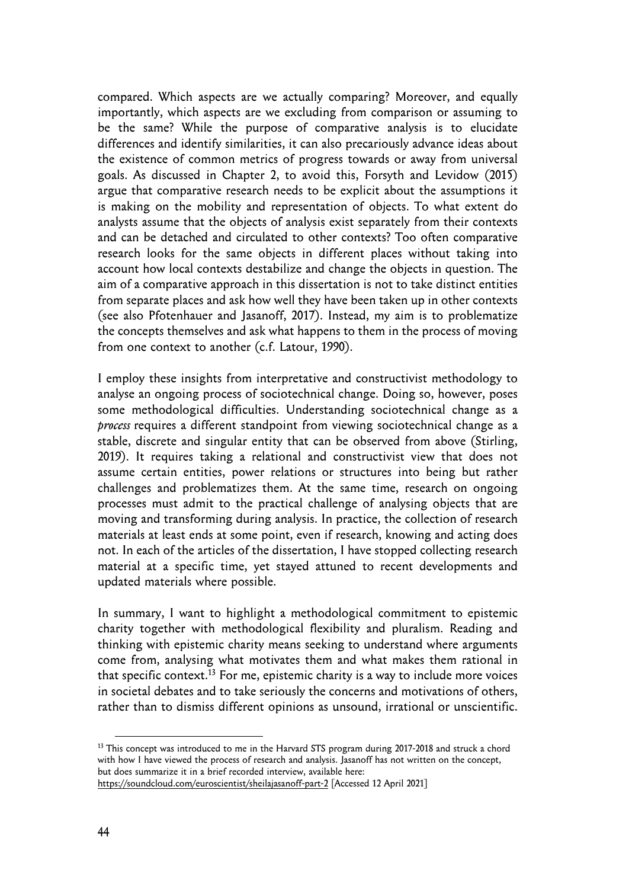compared. Which aspects are we actually comparing? Moreover, and equally importantly, which aspects are we excluding from comparison or assuming to be the same? While the purpose of comparative analysis is to elucidate differences and identify similarities, it can also precariously advance ideas about the existence of common metrics of progress towards or away from universal goals. As discussed in Chapter 2, to avoid this, Forsyth and Levidow (2015) argue that comparative research needs to be explicit about the assumptions it is making on the mobility and representation of objects. To what extent do analysts assume that the objects of analysis exist separately from their contexts and can be detached and circulated to other contexts? Too often comparative research looks for the same objects in different places without taking into account how local contexts destabilize and change the objects in question. The aim of a comparative approach in this dissertation is not to take distinct entities from separate places and ask how well they have been taken up in other contexts (see also Pfotenhauer and Jasanoff, 2017). Instead, my aim is to problematize the concepts themselves and ask what happens to them in the process of moving from one context to another (c.f. Latour, 1990).

I employ these insights from interpretative and constructivist methodology to analyse an ongoing process of sociotechnical change. Doing so, however, poses some methodological difficulties. Understanding sociotechnical change as a *process* requires a different standpoint from viewing sociotechnical change as a stable, discrete and singular entity that can be observed from above (Stirling, 2019). It requires taking a relational and constructivist view that does not assume certain entities, power relations or structures into being but rather challenges and problematizes them. At the same time, research on ongoing processes must admit to the practical challenge of analysing objects that are moving and transforming during analysis. In practice, the collection of research materials at least ends at some point, even if research, knowing and acting does not. In each of the articles of the dissertation, I have stopped collecting research material at a specific time, yet stayed attuned to recent developments and updated materials where possible.

In summary, I want to highlight a methodological commitment to epistemic charity together with methodological flexibility and pluralism. Reading and thinking with epistemic charity means seeking to understand where arguments come from, analysing what motivates them and what makes them rational in that specific context.<sup>13</sup> For me, epistemic charity is a way to include more voices in societal debates and to take seriously the concerns and motivations of others, rather than to dismiss different opinions as unsound, irrational or unscientific.

https://soundcloud.com/euroscientist/sheilajasanoff-part-2 [Accessed 12 April 2021]

<sup>&</sup>lt;sup>13</sup> This concept was introduced to me in the Harvard STS program during 2017-2018 and struck a chord with how I have viewed the process of research and analysis. Jasanoff has not written on the concept, but does summarize it in a brief recorded interview, available here: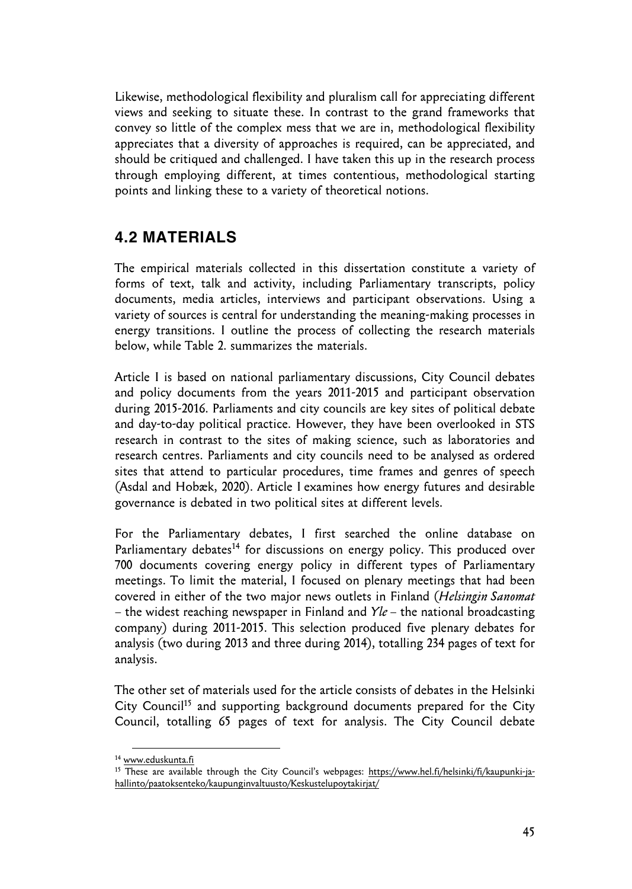Likewise, methodological flexibility and pluralism call for appreciating different views and seeking to situate these. In contrast to the grand frameworks that convey so little of the complex mess that we are in, methodological flexibility appreciates that a diversity of approaches is required, can be appreciated, and should be critiqued and challenged. I have taken this up in the research process through employing different, at times contentious, methodological starting points and linking these to a variety of theoretical notions.

### **4.2 MATERIALS**

The empirical materials collected in this dissertation constitute a variety of forms of text, talk and activity, including Parliamentary transcripts, policy documents, media articles, interviews and participant observations. Using a variety of sources is central for understanding the meaning-making processes in energy transitions. I outline the process of collecting the research materials below, while Table 2. summarizes the materials.

Article I is based on national parliamentary discussions, City Council debates and policy documents from the years 2011-2015 and participant observation during 2015-2016. Parliaments and city councils are key sites of political debate and day-to-day political practice. However, they have been overlooked in STS research in contrast to the sites of making science, such as laboratories and research centres. Parliaments and city councils need to be analysed as ordered sites that attend to particular procedures, time frames and genres of speech (Asdal and Hobæk, 2020). Article I examines how energy futures and desirable governance is debated in two political sites at different levels.

For the Parliamentary debates, I first searched the online database on Parliamentary debates<sup>14</sup> for discussions on energy policy. This produced over 700 documents covering energy policy in different types of Parliamentary meetings. To limit the material, I focused on plenary meetings that had been covered in either of the two major news outlets in Finland (*Helsingin Sanomat*  – the widest reaching newspaper in Finland and *Yle* – the national broadcasting company) during 2011-2015. This selection produced five plenary debates for analysis (two during 2013 and three during 2014), totalling 234 pages of text for analysis.

The other set of materials used for the article consists of debates in the Helsinki City Council<sup>15</sup> and supporting background documents prepared for the City Council, totalling 65 pages of text for analysis. The City Council debate

<sup>14</sup> www.eduskunta.fi

<sup>15</sup> These are available through the City Council's webpages: https://www.hel.fi/helsinki/fi/kaupunki-jahallinto/paatoksenteko/kaupunginvaltuusto/Keskustelupoytakirjat/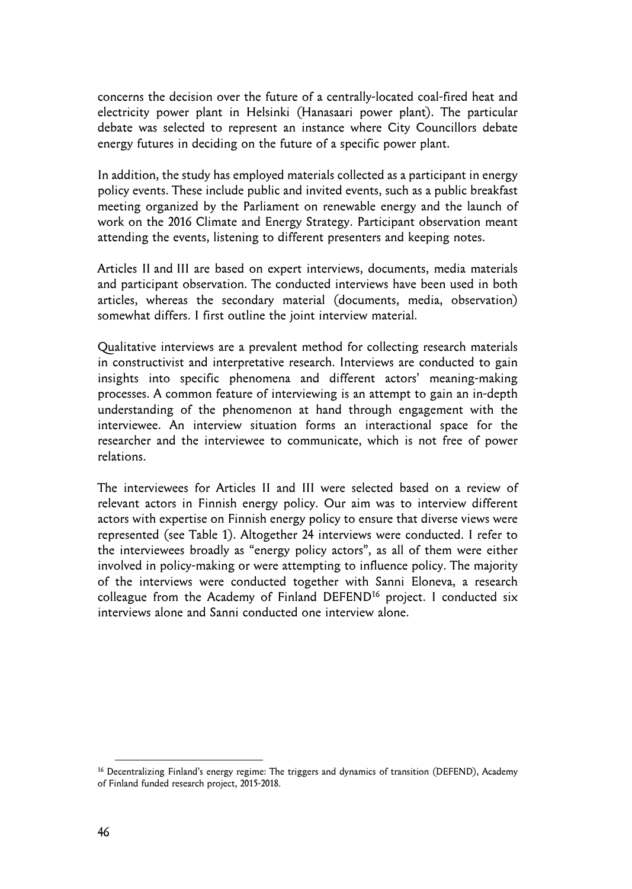concerns the decision over the future of a centrally-located coal-fired heat and electricity power plant in Helsinki (Hanasaari power plant). The particular debate was selected to represent an instance where City Councillors debate energy futures in deciding on the future of a specific power plant.

In addition, the study has employed materials collected as a participant in energy policy events. These include public and invited events, such as a public breakfast meeting organized by the Parliament on renewable energy and the launch of work on the 2016 Climate and Energy Strategy. Participant observation meant attending the events, listening to different presenters and keeping notes.

Articles II and III are based on expert interviews, documents, media materials and participant observation. The conducted interviews have been used in both articles, whereas the secondary material (documents, media, observation) somewhat differs. I first outline the joint interview material.

Qualitative interviews are a prevalent method for collecting research materials in constructivist and interpretative research. Interviews are conducted to gain insights into specific phenomena and different actors' meaning-making processes. A common feature of interviewing is an attempt to gain an in-depth understanding of the phenomenon at hand through engagement with the interviewee. An interview situation forms an interactional space for the researcher and the interviewee to communicate, which is not free of power relations.

The interviewees for Articles II and III were selected based on a review of relevant actors in Finnish energy policy. Our aim was to interview different actors with expertise on Finnish energy policy to ensure that diverse views were represented (see Table 1). Altogether 24 interviews were conducted. I refer to the interviewees broadly as "energy policy actors", as all of them were either involved in policy-making or were attempting to influence policy. The majority of the interviews were conducted together with Sanni Eloneva, a research colleague from the Academy of Finland DEFEND<sup>16</sup> project. I conducted six interviews alone and Sanni conducted one interview alone.

<sup>&</sup>lt;sup>16</sup> Decentralizing Finland's energy regime: The triggers and dynamics of transition (DEFEND), Academy of Finland funded research project, 2015-2018.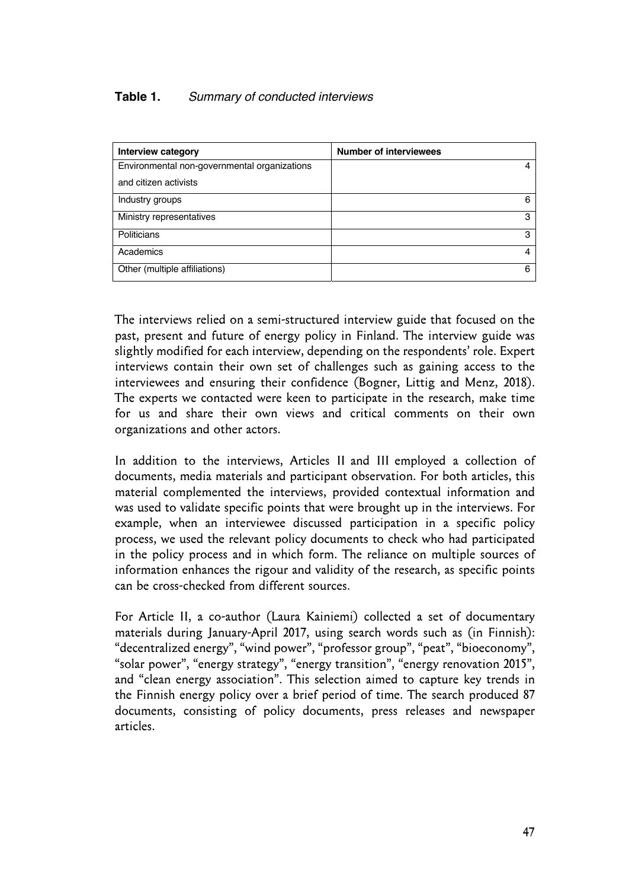### **Table 1.** *Summary of conducted interviews*

| Interview category                           | <b>Number of interviewees</b> |
|----------------------------------------------|-------------------------------|
| Environmental non-governmental organizations | 4                             |
| and citizen activists                        |                               |
| Industry groups                              | 6                             |
| Ministry representatives                     | з                             |
| Politicians                                  | з                             |
| Academics                                    |                               |
| Other (multiple affiliations)                | 6                             |

The interviews relied on a semi-structured interview guide that focused on the past, present and future of energy policy in Finland. The interview guide was slightly modified for each interview, depending on the respondents' role. Expert interviews contain their own set of challenges such as gaining access to the interviewees and ensuring their confidence (Bogner, Littig and Menz, 2018). The experts we contacted were keen to participate in the research, make time for us and share their own views and critical comments on their own organizations and other actors.

In addition to the interviews, Articles II and III employed a collection of documents, media materials and participant observation. For both articles, this material complemented the interviews, provided contextual information and was used to validate specific points that were brought up in the interviews. For example, when an interviewee discussed participation in a specific policy process, we used the relevant policy documents to check who had participated in the policy process and in which form. The reliance on multiple sources of information enhances the rigour and validity of the research, as specific points can be cross-checked from different sources.

For Article II, a co-author (Laura Kainiemi) collected a set of documentary materials during January-April 2017, using search words such as (in Finnish): "decentralized energy", "wind power", "professor group", "peat", "bioeconomy", "solar power", "energy strategy", "energy transition", "energy renovation 2015", and "clean energy association". This selection aimed to capture key trends in the Finnish energy policy over a brief period of time. The search produced 87 documents, consisting of policy documents, press releases and newspaper articles.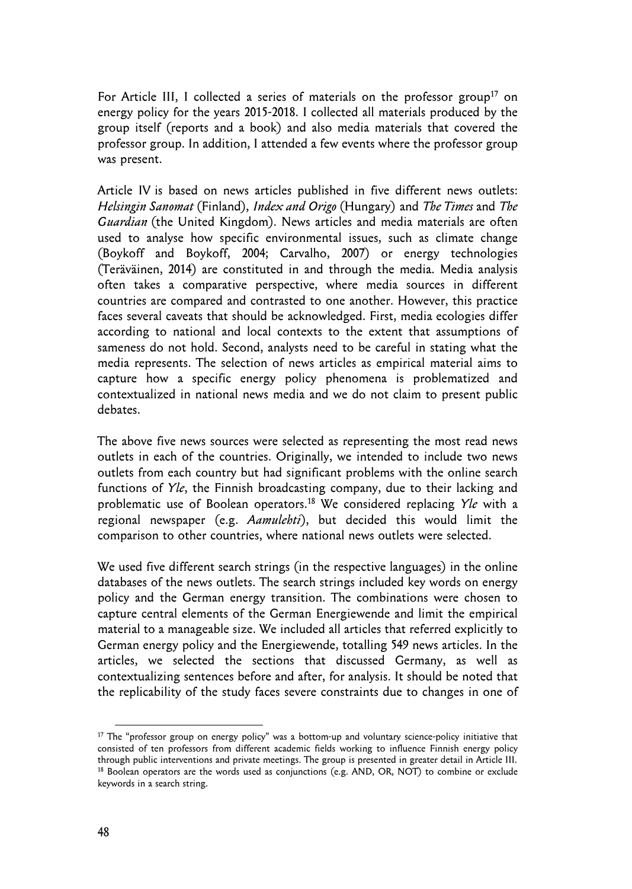For Article III, I collected a series of materials on the professor group<sup>17</sup> on energy policy for the years 2015-2018. I collected all materials produced by the group itself (reports and a book) and also media materials that covered the professor group. In addition, I attended a few events where the professor group was present.

Article IV is based on news articles published in five different news outlets: *Helsingin Sanomat* (Finland), *Index and Origo* (Hungary) and *The Times* and *The Guardian* (the United Kingdom). News articles and media materials are often used to analyse how specific environmental issues, such as climate change (Boykoff and Boykoff, 2004; Carvalho, 2007) or energy technologies (Teräväinen, 2014) are constituted in and through the media. Media analysis often takes a comparative perspective, where media sources in different countries are compared and contrasted to one another. However, this practice faces several caveats that should be acknowledged. First, media ecologies differ according to national and local contexts to the extent that assumptions of sameness do not hold. Second, analysts need to be careful in stating what the media represents. The selection of news articles as empirical material aims to capture how a specific energy policy phenomena is problematized and contextualized in national news media and we do not claim to present public debates.

The above five news sources were selected as representing the most read news outlets in each of the countries. Originally, we intended to include two news outlets from each country but had significant problems with the online search functions of *Yle*, the Finnish broadcasting company, due to their lacking and problematic use of Boolean operators.18 We considered replacing *Yle* with a regional newspaper (e.g. *Aamulehti*), but decided this would limit the comparison to other countries, where national news outlets were selected.

We used five different search strings (in the respective languages) in the online databases of the news outlets. The search strings included key words on energy policy and the German energy transition. The combinations were chosen to capture central elements of the German Energiewende and limit the empirical material to a manageable size. We included all articles that referred explicitly to German energy policy and the Energiewende, totalling 549 news articles. In the articles, we selected the sections that discussed Germany, as well as contextualizing sentences before and after, for analysis. It should be noted that the replicability of the study faces severe constraints due to changes in one of

<sup>&</sup>lt;sup>17</sup> The "professor group on energy policy" was a bottom-up and voluntary science-policy initiative that consisted of ten professors from different academic fields working to influence Finnish energy policy through public interventions and private meetings. The group is presented in greater detail in Article III.<br><sup>18</sup> Boolean operators are the words used as conjunctions (e.g. AND, OR, NOT) to combine or exclude keywords in a search string.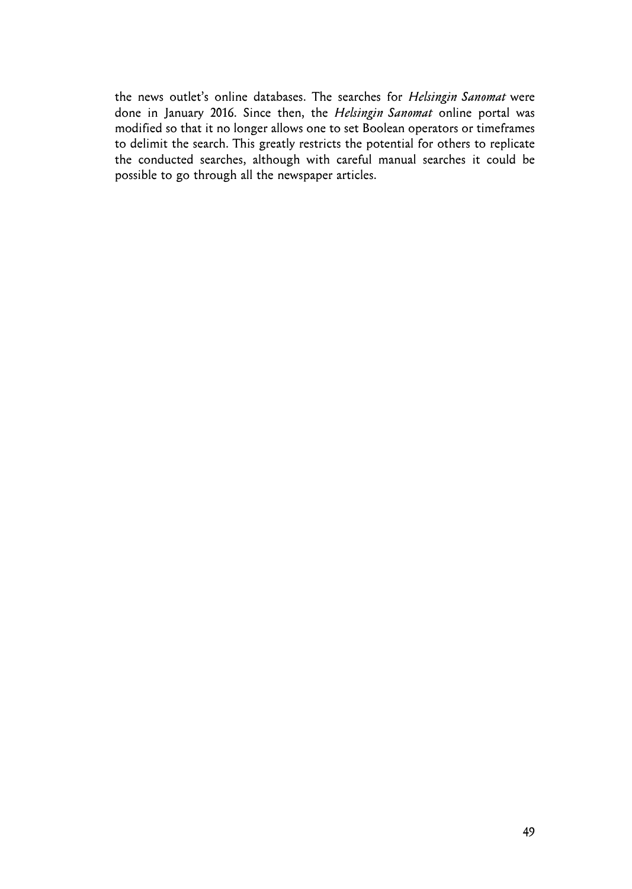the news outlet's online databases. The searches for *Helsingin Sanomat* were done in January 2016. Since then, the *Helsingin Sanomat* online portal was modified so that it no longer allows one to set Boolean operators or timeframes to delimit the search. This greatly restricts the potential for others to replicate the conducted searches, although with careful manual searches it could be possible to go through all the newspaper articles.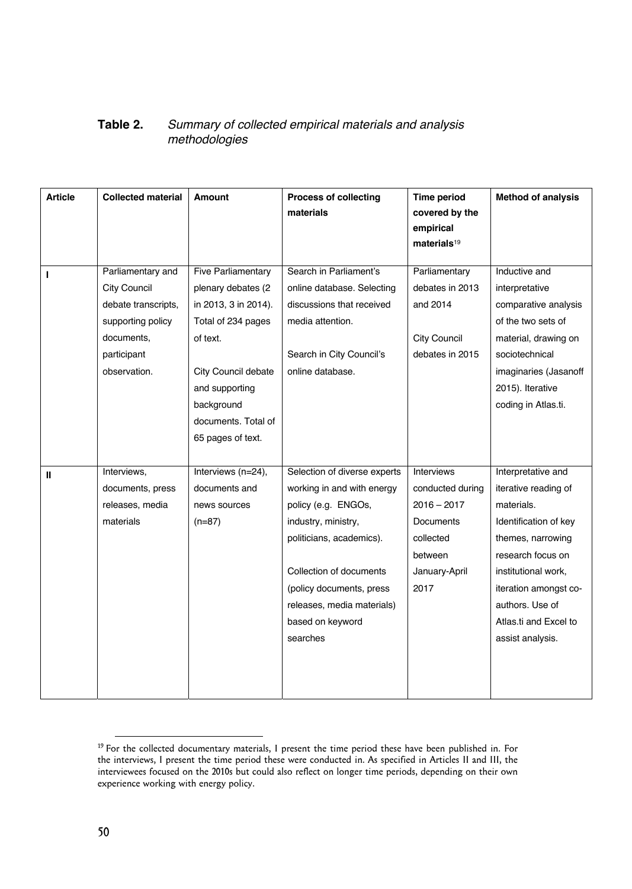### **Table 2.** *Summary of collected empirical materials and analysis methodologies*

| <b>Article</b> | <b>Collected material</b>                | Amount                                          | <b>Process of collecting</b><br>materials              | Time period<br>covered by the<br>empirical<br>materials <sup>19</sup> | <b>Method of analysis</b>                |
|----------------|------------------------------------------|-------------------------------------------------|--------------------------------------------------------|-----------------------------------------------------------------------|------------------------------------------|
| T              | Parliamentary and<br><b>City Council</b> | <b>Five Parliamentary</b><br>plenary debates (2 | Search in Parliament's<br>online database. Selecting   | Parliamentary<br>debates in 2013                                      | Inductive and<br>interpretative          |
|                | debate transcripts,                      | in 2013, 3 in 2014).                            | discussions that received                              | and 2014                                                              | comparative analysis                     |
|                | supporting policy                        | Total of 234 pages                              | media attention.                                       |                                                                       | of the two sets of                       |
|                | documents,                               | of text.                                        |                                                        | <b>City Council</b>                                                   | material, drawing on                     |
|                | participant                              |                                                 | Search in City Council's                               | debates in 2015                                                       | sociotechnical                           |
|                | observation.                             | City Council debate                             | online database.                                       |                                                                       | imaginaries (Jasanoff                    |
|                |                                          | and supporting                                  |                                                        |                                                                       | 2015). Iterative                         |
|                |                                          | background                                      |                                                        |                                                                       | coding in Atlas.ti.                      |
|                |                                          | documents. Total of                             |                                                        |                                                                       |                                          |
|                |                                          | 65 pages of text.                               |                                                        |                                                                       |                                          |
|                |                                          |                                                 |                                                        |                                                                       |                                          |
| Ш              | Interviews,                              | Interviews (n=24),                              | Selection of diverse experts                           | Interviews                                                            | Interpretative and                       |
|                | documents, press                         | documents and                                   | working in and with energy                             | conducted during                                                      | iterative reading of                     |
|                | releases, media                          | news sources                                    | policy (e.g. ENGOs,                                    | $2016 - 2017$                                                         | materials.                               |
|                | materials                                | $(n=87)$                                        | industry, ministry,                                    | Documents                                                             | Identification of key                    |
|                |                                          |                                                 | politicians, academics).                               | collected                                                             | themes, narrowing                        |
|                |                                          |                                                 |                                                        | between                                                               | research focus on                        |
|                |                                          |                                                 | Collection of documents                                | January-April<br>2017                                                 | institutional work,                      |
|                |                                          |                                                 | (policy documents, press<br>releases, media materials) |                                                                       | iteration amongst co-<br>authors. Use of |
|                |                                          |                                                 | based on keyword                                       |                                                                       | Atlas.ti and Excel to                    |
|                |                                          |                                                 | searches                                               |                                                                       | assist analysis.                         |
|                |                                          |                                                 |                                                        |                                                                       |                                          |
|                |                                          |                                                 |                                                        |                                                                       |                                          |
|                |                                          |                                                 |                                                        |                                                                       |                                          |

<sup>&</sup>lt;sup>19</sup> For the collected documentary materials, I present the time period these have been published in. For the interviews, I present the time period these were conducted in. As specified in Articles II and III, the interviewees focused on the 2010s but could also reflect on longer time periods, depending on their own experience working with energy policy.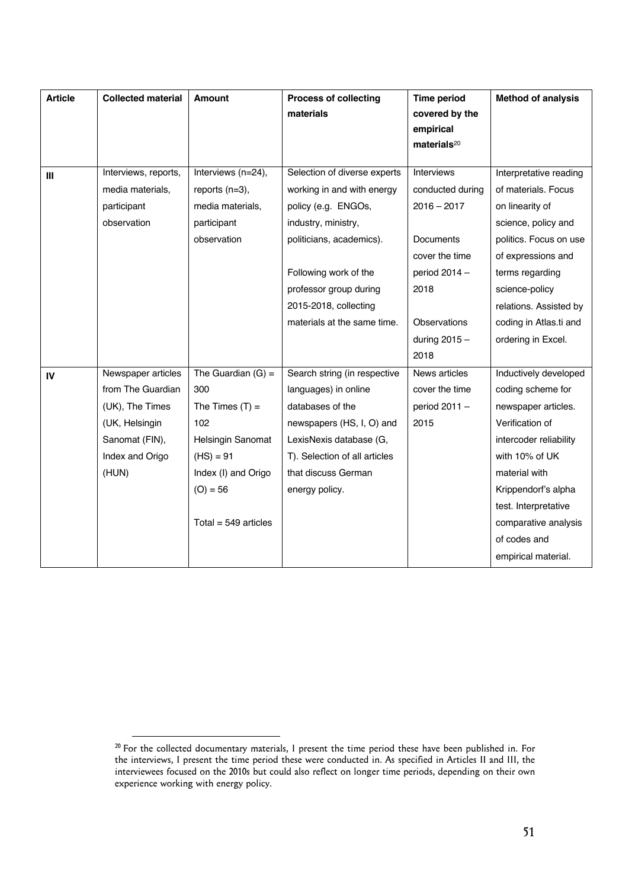| <b>Article</b> | <b>Collected material</b> | Amount                   | <b>Process of collecting</b><br>materials | <b>Time period</b><br>covered by the<br>empirical<br>materials <sup>20</sup> | <b>Method of analysis</b> |
|----------------|---------------------------|--------------------------|-------------------------------------------|------------------------------------------------------------------------------|---------------------------|
| Ш              | Interviews, reports,      | Interviews (n=24),       | Selection of diverse experts              | Interviews                                                                   | Interpretative reading    |
|                | media materials,          | reports $(n=3)$ ,        | working in and with energy                | conducted during                                                             | of materials. Focus       |
|                | participant               | media materials.         | policy (e.g. ENGOs,                       | $2016 - 2017$                                                                | on linearity of           |
|                | observation               | participant              | industry, ministry,                       |                                                                              | science, policy and       |
|                |                           | observation              | politicians, academics).                  | Documents                                                                    | politics. Focus on use    |
|                |                           |                          |                                           | cover the time                                                               | of expressions and        |
|                |                           |                          | Following work of the                     | period $2014 -$                                                              | terms regarding           |
|                |                           |                          | professor group during                    | 2018                                                                         | science-policy            |
|                |                           |                          | 2015-2018, collecting                     |                                                                              | relations. Assisted by    |
|                |                           |                          | materials at the same time.               | <b>Observations</b>                                                          | coding in Atlas.ti and    |
|                |                           |                          |                                           | during $2015 -$                                                              | ordering in Excel.        |
|                |                           |                          |                                           | 2018                                                                         |                           |
| IV             | Newspaper articles        | The Guardian $(G)$ =     | Search string (in respective              | News articles                                                                | Inductively developed     |
|                | from The Guardian         | 300                      | languages) in online                      | cover the time                                                               | coding scheme for         |
|                | (UK), The Times           | The Times $(T)$ =        | databases of the                          | period 2011 -                                                                | newspaper articles.       |
|                | (UK, Helsingin            | 102                      | newspapers (HS, I, O) and                 | 2015                                                                         | Verification of           |
|                | Sanomat (FIN),            | <b>Helsingin Sanomat</b> | LexisNexis database (G,                   |                                                                              | intercoder reliability    |
|                | Index and Origo           | $(HS) = 91$              | T). Selection of all articles             |                                                                              | with 10% of UK            |
|                | (HUN)                     | Index (I) and Origo      | that discuss German                       |                                                                              | material with             |
|                |                           | $(O) = 56$               | energy policy.                            |                                                                              | Krippendorf's alpha       |
|                |                           |                          |                                           |                                                                              | test. Interpretative      |
|                |                           | Total = $549$ articles   |                                           |                                                                              | comparative analysis      |
|                |                           |                          |                                           |                                                                              | of codes and              |
|                |                           |                          |                                           |                                                                              | empirical material.       |

 $20$  For the collected documentary materials, I present the time period these have been published in. For the interviews, I present the time period these were conducted in. As specified in Articles II and III, the interviewees focused on the 2010s but could also reflect on longer time periods, depending on their own experience working with energy policy.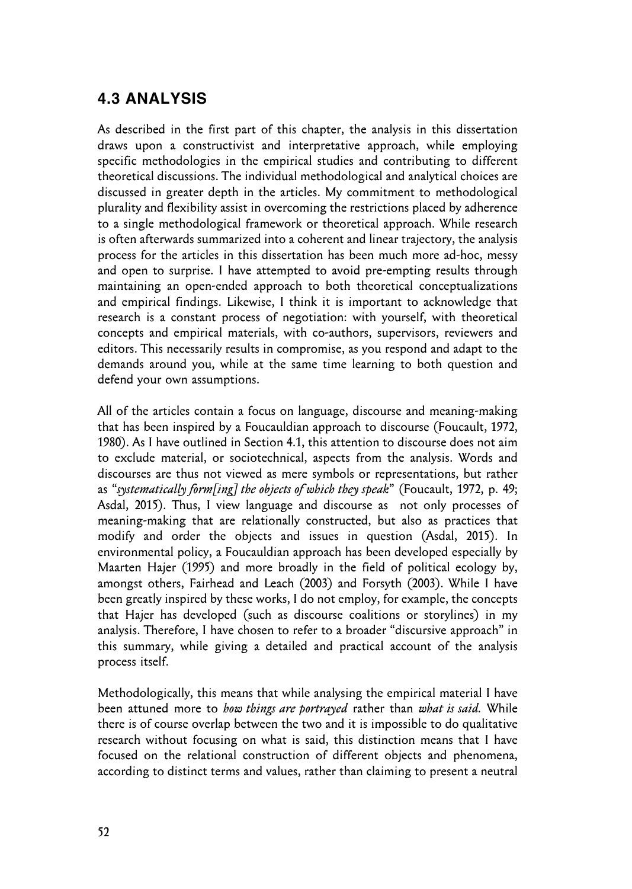### **4.3 ANALYSIS**

As described in the first part of this chapter, the analysis in this dissertation draws upon a constructivist and interpretative approach, while employing specific methodologies in the empirical studies and contributing to different theoretical discussions. The individual methodological and analytical choices are discussed in greater depth in the articles. My commitment to methodological plurality and flexibility assist in overcoming the restrictions placed by adherence to a single methodological framework or theoretical approach. While research is often afterwards summarized into a coherent and linear trajectory, the analysis process for the articles in this dissertation has been much more ad-hoc, messy and open to surprise. I have attempted to avoid pre-empting results through maintaining an open-ended approach to both theoretical conceptualizations and empirical findings. Likewise, I think it is important to acknowledge that research is a constant process of negotiation: with yourself, with theoretical concepts and empirical materials, with co-authors, supervisors, reviewers and editors. This necessarily results in compromise, as you respond and adapt to the demands around you, while at the same time learning to both question and defend your own assumptions.

All of the articles contain a focus on language, discourse and meaning-making that has been inspired by a Foucauldian approach to discourse (Foucault, 1972, 1980). As I have outlined in Section 4.1, this attention to discourse does not aim to exclude material, or sociotechnical, aspects from the analysis. Words and discourses are thus not viewed as mere symbols or representations, but rather as "*systematically form[ing] the objects of which they speak*" (Foucault, 1972, p. 49; Asdal, 2015). Thus, I view language and discourse as not only processes of meaning-making that are relationally constructed, but also as practices that modify and order the objects and issues in question (Asdal, 2015). In environmental policy, a Foucauldian approach has been developed especially by Maarten Hajer (1995) and more broadly in the field of political ecology by, amongst others, Fairhead and Leach (2003) and Forsyth (2003). While I have been greatly inspired by these works, I do not employ, for example, the concepts that Hajer has developed (such as discourse coalitions or storylines) in my analysis. Therefore, I have chosen to refer to a broader "discursive approach" in this summary, while giving a detailed and practical account of the analysis process itself.

Methodologically, this means that while analysing the empirical material I have been attuned more to *how things are portrayed* rather than *what is said.* While there is of course overlap between the two and it is impossible to do qualitative research without focusing on what is said, this distinction means that I have focused on the relational construction of different objects and phenomena, according to distinct terms and values, rather than claiming to present a neutral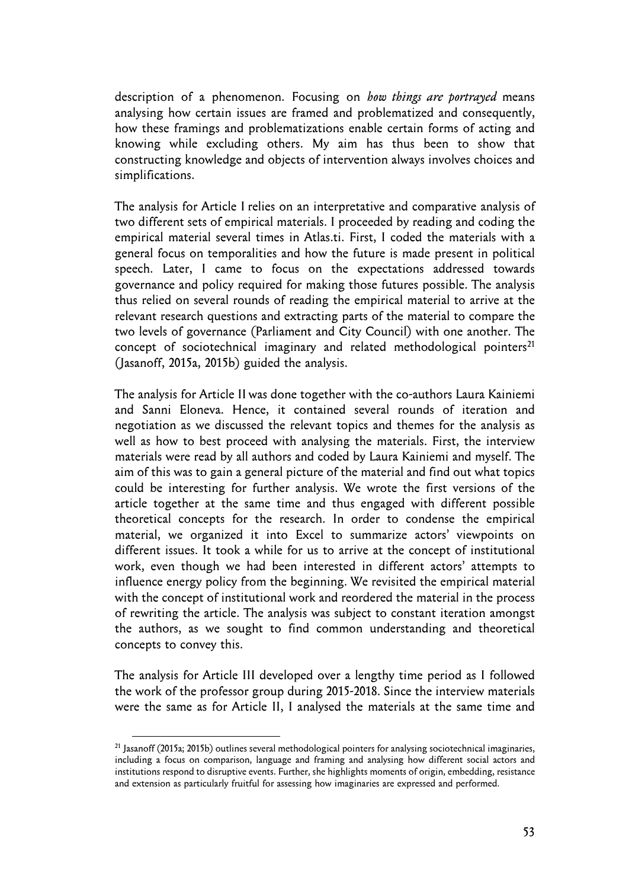description of a phenomenon. Focusing on *how things are portrayed* means analysing how certain issues are framed and problematized and consequently, how these framings and problematizations enable certain forms of acting and knowing while excluding others. My aim has thus been to show that constructing knowledge and objects of intervention always involves choices and simplifications.

The analysis for Article I relies on an interpretative and comparative analysis of two different sets of empirical materials. I proceeded by reading and coding the empirical material several times in Atlas.ti. First, I coded the materials with a general focus on temporalities and how the future is made present in political speech. Later, I came to focus on the expectations addressed towards governance and policy required for making those futures possible. The analysis thus relied on several rounds of reading the empirical material to arrive at the relevant research questions and extracting parts of the material to compare the two levels of governance (Parliament and City Council) with one another. The concept of sociotechnical imaginary and related methodological pointers $^{21}$ (Jasanoff, 2015a, 2015b) guided the analysis.

The analysis for Article II was done together with the co-authors Laura Kainiemi and Sanni Eloneva. Hence, it contained several rounds of iteration and negotiation as we discussed the relevant topics and themes for the analysis as well as how to best proceed with analysing the materials. First, the interview materials were read by all authors and coded by Laura Kainiemi and myself. The aim of this was to gain a general picture of the material and find out what topics could be interesting for further analysis. We wrote the first versions of the article together at the same time and thus engaged with different possible theoretical concepts for the research. In order to condense the empirical material, we organized it into Excel to summarize actors' viewpoints on different issues. It took a while for us to arrive at the concept of institutional work, even though we had been interested in different actors' attempts to influence energy policy from the beginning. We revisited the empirical material with the concept of institutional work and reordered the material in the process of rewriting the article. The analysis was subject to constant iteration amongst the authors, as we sought to find common understanding and theoretical concepts to convey this.

The analysis for Article III developed over a lengthy time period as I followed the work of the professor group during 2015-2018. Since the interview materials were the same as for Article II, I analysed the materials at the same time and

 $^{21}$  Jasanoff (2015a; 2015b) outlines several methodological pointers for analysing sociotechnical imaginaries, including a focus on comparison, language and framing and analysing how different social actors and institutions respond to disruptive events. Further, she highlights moments of origin, embedding, resistance and extension as particularly fruitful for assessing how imaginaries are expressed and performed.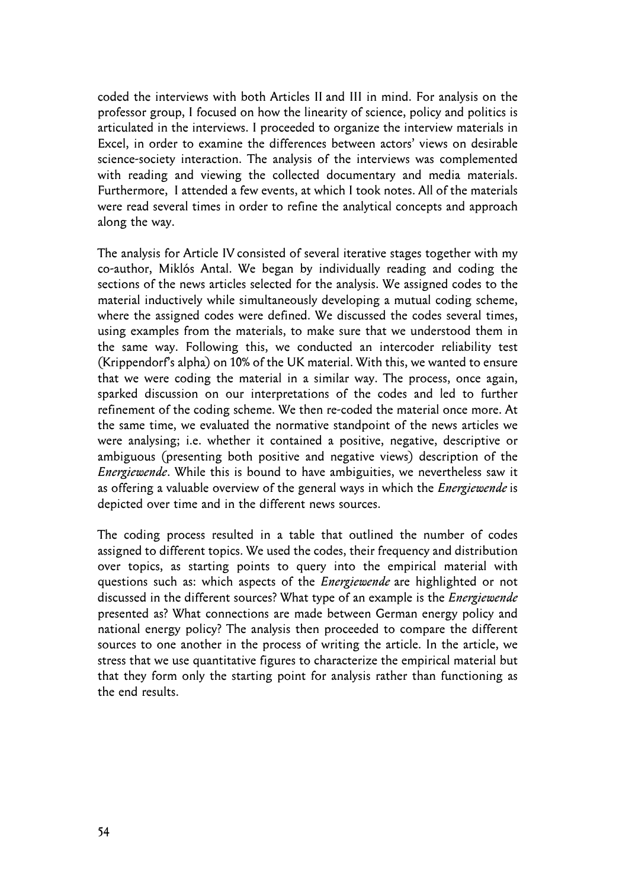coded the interviews with both Articles II and III in mind. For analysis on the professor group, I focused on how the linearity of science, policy and politics is articulated in the interviews. I proceeded to organize the interview materials in Excel, in order to examine the differences between actors' views on desirable science-society interaction. The analysis of the interviews was complemented with reading and viewing the collected documentary and media materials. Furthermore, I attended a few events, at which I took notes. All of the materials were read several times in order to refine the analytical concepts and approach along the way.

The analysis for Article IV consisted of several iterative stages together with my co-author, Miklós Antal. We began by individually reading and coding the sections of the news articles selected for the analysis. We assigned codes to the material inductively while simultaneously developing a mutual coding scheme, where the assigned codes were defined. We discussed the codes several times, using examples from the materials, to make sure that we understood them in the same way. Following this, we conducted an intercoder reliability test (Krippendorf's alpha) on 10% of the UK material. With this, we wanted to ensure that we were coding the material in a similar way. The process, once again, sparked discussion on our interpretations of the codes and led to further refinement of the coding scheme. We then re-coded the material once more. At the same time, we evaluated the normative standpoint of the news articles we were analysing; i.e. whether it contained a positive, negative, descriptive or ambiguous (presenting both positive and negative views) description of the *Energiewende*. While this is bound to have ambiguities, we nevertheless saw it as offering a valuable overview of the general ways in which the *Energiewende* is depicted over time and in the different news sources.

The coding process resulted in a table that outlined the number of codes assigned to different topics. We used the codes, their frequency and distribution over topics, as starting points to query into the empirical material with questions such as: which aspects of the *Energiewende* are highlighted or not discussed in the different sources? What type of an example is the *Energiewende* presented as? What connections are made between German energy policy and national energy policy? The analysis then proceeded to compare the different sources to one another in the process of writing the article. In the article, we stress that we use quantitative figures to characterize the empirical material but that they form only the starting point for analysis rather than functioning as the end results.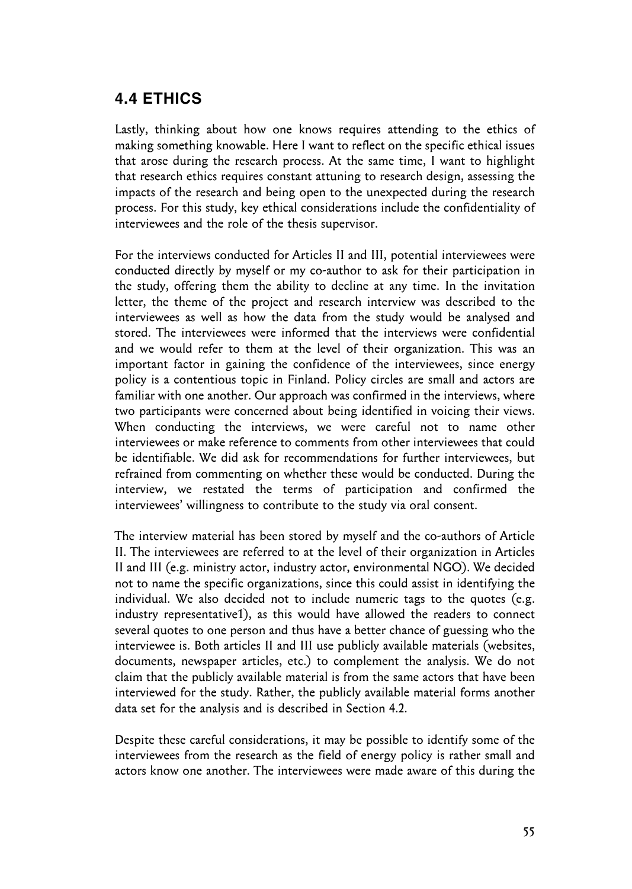### **4.4 ETHICS**

Lastly, thinking about how one knows requires attending to the ethics of making something knowable. Here I want to reflect on the specific ethical issues that arose during the research process. At the same time, I want to highlight that research ethics requires constant attuning to research design, assessing the impacts of the research and being open to the unexpected during the research process. For this study, key ethical considerations include the confidentiality of interviewees and the role of the thesis supervisor.

For the interviews conducted for Articles II and III, potential interviewees were conducted directly by myself or my co-author to ask for their participation in the study, offering them the ability to decline at any time. In the invitation letter, the theme of the project and research interview was described to the interviewees as well as how the data from the study would be analysed and stored. The interviewees were informed that the interviews were confidential and we would refer to them at the level of their organization. This was an important factor in gaining the confidence of the interviewees, since energy policy is a contentious topic in Finland. Policy circles are small and actors are familiar with one another. Our approach was confirmed in the interviews, where two participants were concerned about being identified in voicing their views. When conducting the interviews, we were careful not to name other interviewees or make reference to comments from other interviewees that could be identifiable. We did ask for recommendations for further interviewees, but refrained from commenting on whether these would be conducted. During the interview, we restated the terms of participation and confirmed the interviewees' willingness to contribute to the study via oral consent.

The interview material has been stored by myself and the co-authors of Article II. The interviewees are referred to at the level of their organization in Articles II and III (e.g. ministry actor, industry actor, environmental NGO). We decided not to name the specific organizations, since this could assist in identifying the individual. We also decided not to include numeric tags to the quotes (e.g. industry representative1), as this would have allowed the readers to connect several quotes to one person and thus have a better chance of guessing who the interviewee is. Both articles II and III use publicly available materials (websites, documents, newspaper articles, etc.) to complement the analysis. We do not claim that the publicly available material is from the same actors that have been interviewed for the study. Rather, the publicly available material forms another data set for the analysis and is described in Section 4.2.

Despite these careful considerations, it may be possible to identify some of the interviewees from the research as the field of energy policy is rather small and actors know one another. The interviewees were made aware of this during the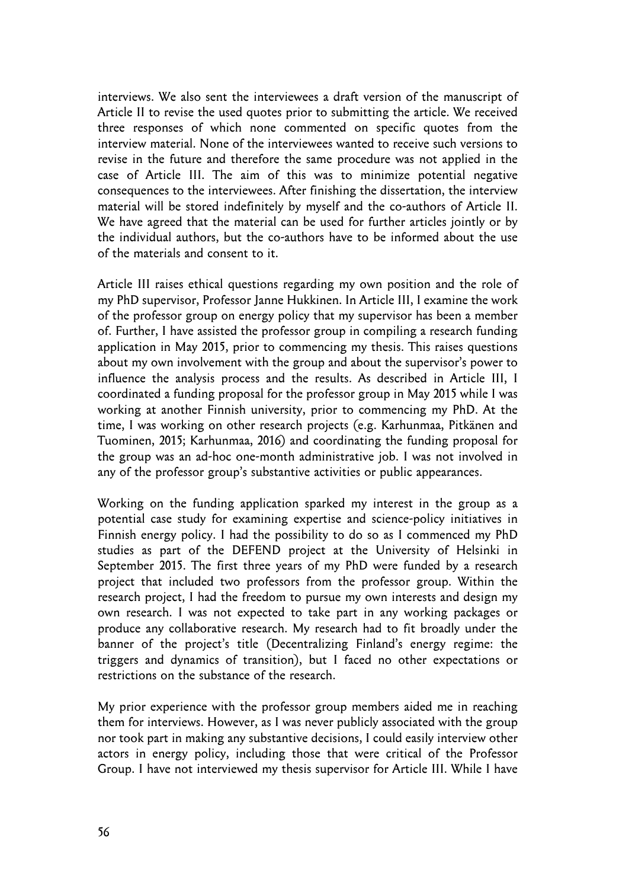interviews. We also sent the interviewees a draft version of the manuscript of Article II to revise the used quotes prior to submitting the article. We received three responses of which none commented on specific quotes from the interview material. None of the interviewees wanted to receive such versions to revise in the future and therefore the same procedure was not applied in the case of Article III. The aim of this was to minimize potential negative consequences to the interviewees. After finishing the dissertation, the interview material will be stored indefinitely by myself and the co-authors of Article II. We have agreed that the material can be used for further articles jointly or by the individual authors, but the co-authors have to be informed about the use of the materials and consent to it.

Article III raises ethical questions regarding my own position and the role of my PhD supervisor, Professor Janne Hukkinen. In Article III, I examine the work of the professor group on energy policy that my supervisor has been a member of. Further, I have assisted the professor group in compiling a research funding application in May 2015, prior to commencing my thesis. This raises questions about my own involvement with the group and about the supervisor's power to influence the analysis process and the results. As described in Article III, I coordinated a funding proposal for the professor group in May 2015 while I was working at another Finnish university, prior to commencing my PhD. At the time, I was working on other research projects (e.g. Karhunmaa, Pitkänen and Tuominen, 2015; Karhunmaa, 2016) and coordinating the funding proposal for the group was an ad-hoc one-month administrative job. I was not involved in any of the professor group's substantive activities or public appearances.

Working on the funding application sparked my interest in the group as a potential case study for examining expertise and science-policy initiatives in Finnish energy policy. I had the possibility to do so as I commenced my PhD studies as part of the DEFEND project at the University of Helsinki in September 2015. The first three years of my PhD were funded by a research project that included two professors from the professor group. Within the research project, I had the freedom to pursue my own interests and design my own research. I was not expected to take part in any working packages or produce any collaborative research. My research had to fit broadly under the banner of the project's title (Decentralizing Finland's energy regime: the triggers and dynamics of transition), but I faced no other expectations or restrictions on the substance of the research.

My prior experience with the professor group members aided me in reaching them for interviews. However, as I was never publicly associated with the group nor took part in making any substantive decisions, I could easily interview other actors in energy policy, including those that were critical of the Professor Group. I have not interviewed my thesis supervisor for Article III. While I have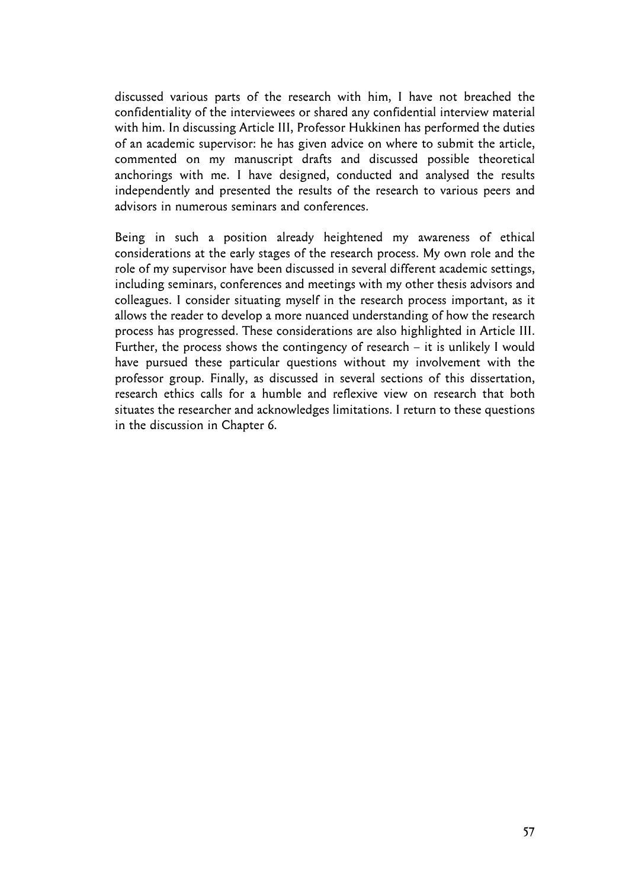discussed various parts of the research with him, I have not breached the confidentiality of the interviewees or shared any confidential interview material with him. In discussing Article III, Professor Hukkinen has performed the duties of an academic supervisor: he has given advice on where to submit the article, commented on my manuscript drafts and discussed possible theoretical anchorings with me. I have designed, conducted and analysed the results independently and presented the results of the research to various peers and advisors in numerous seminars and conferences.

Being in such a position already heightened my awareness of ethical considerations at the early stages of the research process. My own role and the role of my supervisor have been discussed in several different academic settings, including seminars, conferences and meetings with my other thesis advisors and colleagues. I consider situating myself in the research process important, as it allows the reader to develop a more nuanced understanding of how the research process has progressed. These considerations are also highlighted in Article III. Further, the process shows the contingency of research – it is unlikely I would have pursued these particular questions without my involvement with the professor group. Finally, as discussed in several sections of this dissertation, research ethics calls for a humble and reflexive view on research that both situates the researcher and acknowledges limitations. I return to these questions in the discussion in Chapter 6.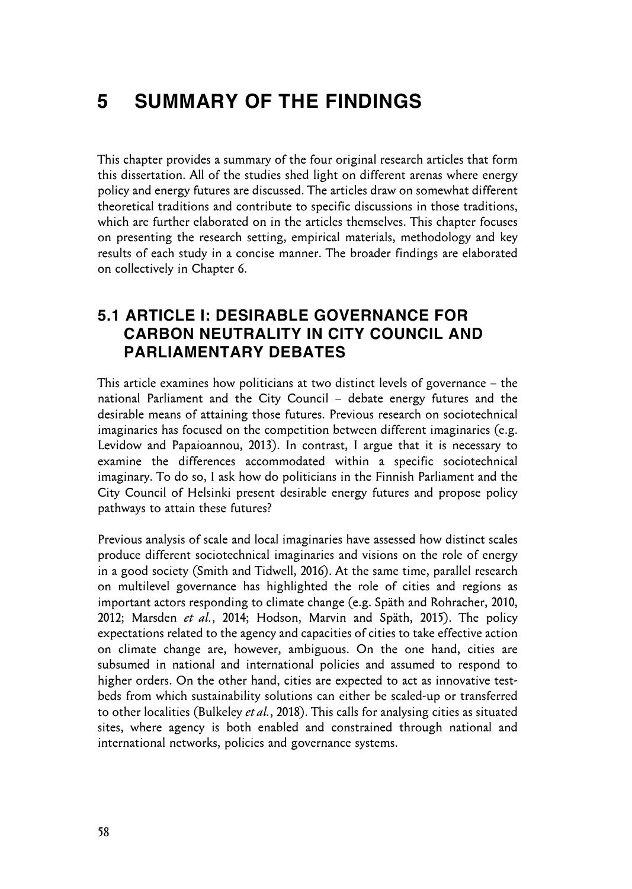# **5 SUMMARY OF THE FINDINGS**

This chapter provides a summary of the four original research articles that form this dissertation. All of the studies shed light on different arenas where energy policy and energy futures are discussed. The articles draw on somewhat different theoretical traditions and contribute to specific discussions in those traditions, which are further elaborated on in the articles themselves. This chapter focuses on presenting the research setting, empirical materials, methodology and key results of each study in a concise manner. The broader findings are elaborated on collectively in Chapter 6.

### **5.1 ARTICLE I: DESIRABLE GOVERNANCE FOR CARBON NEUTRALITY IN CITY COUNCIL AND PARLIAMENTARY DEBATES**

This article examines how politicians at two distinct levels of governance – the national Parliament and the City Council – debate energy futures and the desirable means of attaining those futures. Previous research on sociotechnical imaginaries has focused on the competition between different imaginaries (e.g. Levidow and Papaioannou, 2013). In contrast, I argue that it is necessary to examine the differences accommodated within a specific sociotechnical imaginary. To do so, I ask how do politicians in the Finnish Parliament and the City Council of Helsinki present desirable energy futures and propose policy pathways to attain these futures?

Previous analysis of scale and local imaginaries have assessed how distinct scales produce different sociotechnical imaginaries and visions on the role of energy in a good society (Smith and Tidwell, 2016). At the same time, parallel research on multilevel governance has highlighted the role of cities and regions as important actors responding to climate change (e.g. Späth and Rohracher, 2010, 2012; Marsden *et al.*, 2014; Hodson, Marvin and Späth, 2015). The policy expectations related to the agency and capacities of cities to take effective action on climate change are, however, ambiguous. On the one hand, cities are subsumed in national and international policies and assumed to respond to higher orders. On the other hand, cities are expected to act as innovative testbeds from which sustainability solutions can either be scaled-up or transferred to other localities (Bulkeley *et al.*, 2018). This calls for analysing cities as situated sites, where agency is both enabled and constrained through national and international networks, policies and governance systems.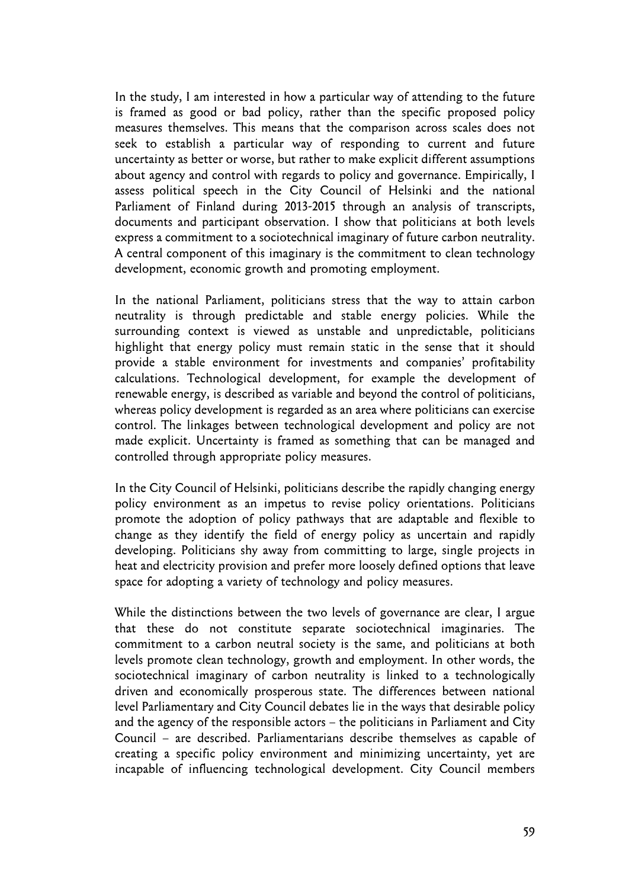In the study, I am interested in how a particular way of attending to the future is framed as good or bad policy, rather than the specific proposed policy measures themselves. This means that the comparison across scales does not seek to establish a particular way of responding to current and future uncertainty as better or worse, but rather to make explicit different assumptions about agency and control with regards to policy and governance. Empirically, I assess political speech in the City Council of Helsinki and the national Parliament of Finland during 2013-2015 through an analysis of transcripts, documents and participant observation. I show that politicians at both levels express a commitment to a sociotechnical imaginary of future carbon neutrality. A central component of this imaginary is the commitment to clean technology development, economic growth and promoting employment.

In the national Parliament, politicians stress that the way to attain carbon neutrality is through predictable and stable energy policies. While the surrounding context is viewed as unstable and unpredictable, politicians highlight that energy policy must remain static in the sense that it should provide a stable environment for investments and companies' profitability calculations. Technological development, for example the development of renewable energy, is described as variable and beyond the control of politicians, whereas policy development is regarded as an area where politicians can exercise control. The linkages between technological development and policy are not made explicit. Uncertainty is framed as something that can be managed and controlled through appropriate policy measures.

In the City Council of Helsinki, politicians describe the rapidly changing energy policy environment as an impetus to revise policy orientations. Politicians promote the adoption of policy pathways that are adaptable and flexible to change as they identify the field of energy policy as uncertain and rapidly developing. Politicians shy away from committing to large, single projects in heat and electricity provision and prefer more loosely defined options that leave space for adopting a variety of technology and policy measures.

While the distinctions between the two levels of governance are clear, I argue that these do not constitute separate sociotechnical imaginaries. The commitment to a carbon neutral society is the same, and politicians at both levels promote clean technology, growth and employment. In other words, the sociotechnical imaginary of carbon neutrality is linked to a technologically driven and economically prosperous state. The differences between national level Parliamentary and City Council debates lie in the ways that desirable policy and the agency of the responsible actors – the politicians in Parliament and City Council – are described. Parliamentarians describe themselves as capable of creating a specific policy environment and minimizing uncertainty, yet are incapable of influencing technological development. City Council members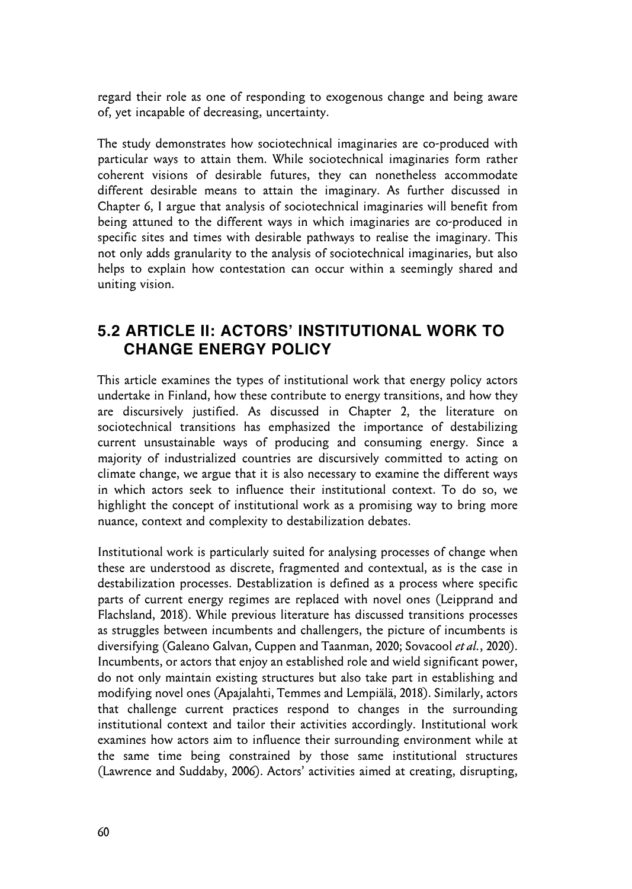regard their role as one of responding to exogenous change and being aware of, yet incapable of decreasing, uncertainty.

The study demonstrates how sociotechnical imaginaries are co-produced with particular ways to attain them. While sociotechnical imaginaries form rather coherent visions of desirable futures, they can nonetheless accommodate different desirable means to attain the imaginary. As further discussed in Chapter 6, I argue that analysis of sociotechnical imaginaries will benefit from being attuned to the different ways in which imaginaries are co-produced in specific sites and times with desirable pathways to realise the imaginary. This not only adds granularity to the analysis of sociotechnical imaginaries, but also helps to explain how contestation can occur within a seemingly shared and uniting vision.

### **5.2 ARTICLE II: ACTORS' INSTITUTIONAL WORK TO CHANGE ENERGY POLICY**

This article examines the types of institutional work that energy policy actors undertake in Finland, how these contribute to energy transitions, and how they are discursively justified. As discussed in Chapter 2, the literature on sociotechnical transitions has emphasized the importance of destabilizing current unsustainable ways of producing and consuming energy. Since a majority of industrialized countries are discursively committed to acting on climate change, we argue that it is also necessary to examine the different ways in which actors seek to influence their institutional context. To do so, we highlight the concept of institutional work as a promising way to bring more nuance, context and complexity to destabilization debates.

Institutional work is particularly suited for analysing processes of change when these are understood as discrete, fragmented and contextual, as is the case in destabilization processes. Destablization is defined as a process where specific parts of current energy regimes are replaced with novel ones (Leipprand and Flachsland, 2018). While previous literature has discussed transitions processes as struggles between incumbents and challengers, the picture of incumbents is diversifying (Galeano Galvan, Cuppen and Taanman, 2020; Sovacool *et al.*, 2020). Incumbents, or actors that enjoy an established role and wield significant power, do not only maintain existing structures but also take part in establishing and modifying novel ones (Apajalahti, Temmes and Lempiälä, 2018). Similarly, actors that challenge current practices respond to changes in the surrounding institutional context and tailor their activities accordingly. Institutional work examines how actors aim to influence their surrounding environment while at the same time being constrained by those same institutional structures (Lawrence and Suddaby, 2006). Actors' activities aimed at creating, disrupting,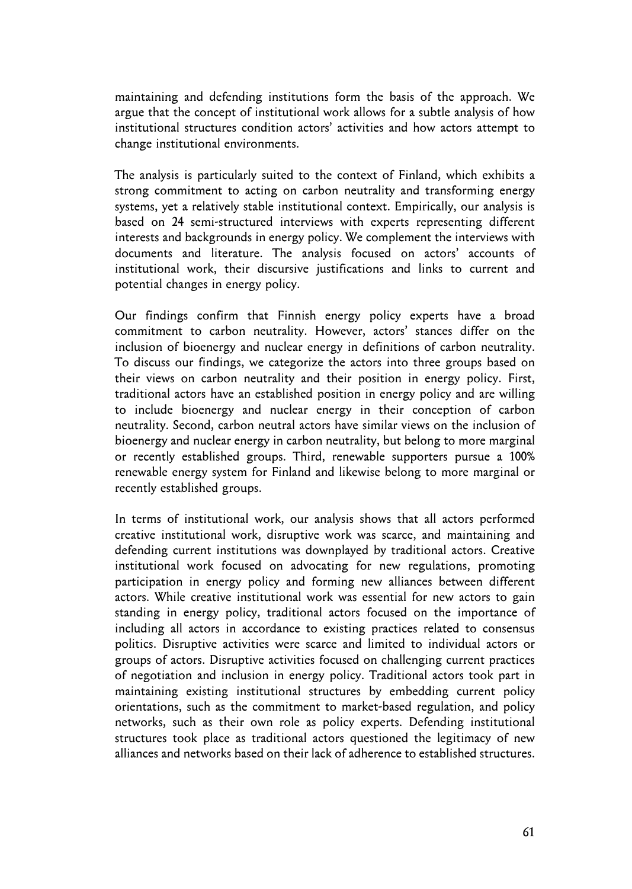maintaining and defending institutions form the basis of the approach. We argue that the concept of institutional work allows for a subtle analysis of how institutional structures condition actors' activities and how actors attempt to change institutional environments.

The analysis is particularly suited to the context of Finland, which exhibits a strong commitment to acting on carbon neutrality and transforming energy systems, yet a relatively stable institutional context. Empirically, our analysis is based on 24 semi-structured interviews with experts representing different interests and backgrounds in energy policy. We complement the interviews with documents and literature. The analysis focused on actors' accounts of institutional work, their discursive justifications and links to current and potential changes in energy policy.

Our findings confirm that Finnish energy policy experts have a broad commitment to carbon neutrality. However, actors' stances differ on the inclusion of bioenergy and nuclear energy in definitions of carbon neutrality. To discuss our findings, we categorize the actors into three groups based on their views on carbon neutrality and their position in energy policy. First, traditional actors have an established position in energy policy and are willing to include bioenergy and nuclear energy in their conception of carbon neutrality. Second, carbon neutral actors have similar views on the inclusion of bioenergy and nuclear energy in carbon neutrality, but belong to more marginal or recently established groups. Third, renewable supporters pursue a 100% renewable energy system for Finland and likewise belong to more marginal or recently established groups.

In terms of institutional work, our analysis shows that all actors performed creative institutional work, disruptive work was scarce, and maintaining and defending current institutions was downplayed by traditional actors. Creative institutional work focused on advocating for new regulations, promoting participation in energy policy and forming new alliances between different actors. While creative institutional work was essential for new actors to gain standing in energy policy, traditional actors focused on the importance of including all actors in accordance to existing practices related to consensus politics. Disruptive activities were scarce and limited to individual actors or groups of actors. Disruptive activities focused on challenging current practices of negotiation and inclusion in energy policy. Traditional actors took part in maintaining existing institutional structures by embedding current policy orientations, such as the commitment to market-based regulation, and policy networks, such as their own role as policy experts. Defending institutional structures took place as traditional actors questioned the legitimacy of new alliances and networks based on their lack of adherence to established structures.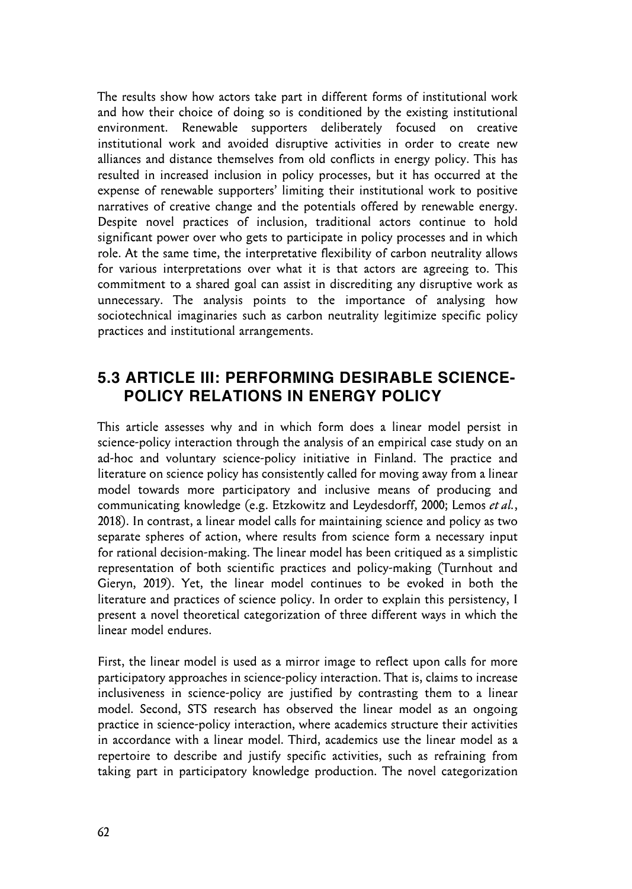The results show how actors take part in different forms of institutional work and how their choice of doing so is conditioned by the existing institutional environment. Renewable supporters deliberately focused on creative institutional work and avoided disruptive activities in order to create new alliances and distance themselves from old conflicts in energy policy. This has resulted in increased inclusion in policy processes, but it has occurred at the expense of renewable supporters' limiting their institutional work to positive narratives of creative change and the potentials offered by renewable energy. Despite novel practices of inclusion, traditional actors continue to hold significant power over who gets to participate in policy processes and in which role. At the same time, the interpretative flexibility of carbon neutrality allows for various interpretations over what it is that actors are agreeing to. This commitment to a shared goal can assist in discrediting any disruptive work as unnecessary. The analysis points to the importance of analysing how sociotechnical imaginaries such as carbon neutrality legitimize specific policy practices and institutional arrangements.

### **5.3 ARTICLE III: PERFORMING DESIRABLE SCIENCE-POLICY RELATIONS IN ENERGY POLICY**

This article assesses why and in which form does a linear model persist in science-policy interaction through the analysis of an empirical case study on an ad-hoc and voluntary science-policy initiative in Finland. The practice and literature on science policy has consistently called for moving away from a linear model towards more participatory and inclusive means of producing and communicating knowledge (e.g. Etzkowitz and Leydesdorff, 2000; Lemos *et al.*, 2018). In contrast, a linear model calls for maintaining science and policy as two separate spheres of action, where results from science form a necessary input for rational decision-making. The linear model has been critiqued as a simplistic representation of both scientific practices and policy-making (Turnhout and Gieryn, 2019). Yet, the linear model continues to be evoked in both the literature and practices of science policy. In order to explain this persistency, I present a novel theoretical categorization of three different ways in which the linear model endures.

First, the linear model is used as a mirror image to reflect upon calls for more participatory approaches in science-policy interaction. That is, claims to increase inclusiveness in science-policy are justified by contrasting them to a linear model. Second, STS research has observed the linear model as an ongoing practice in science-policy interaction, where academics structure their activities in accordance with a linear model. Third, academics use the linear model as a repertoire to describe and justify specific activities, such as refraining from taking part in participatory knowledge production. The novel categorization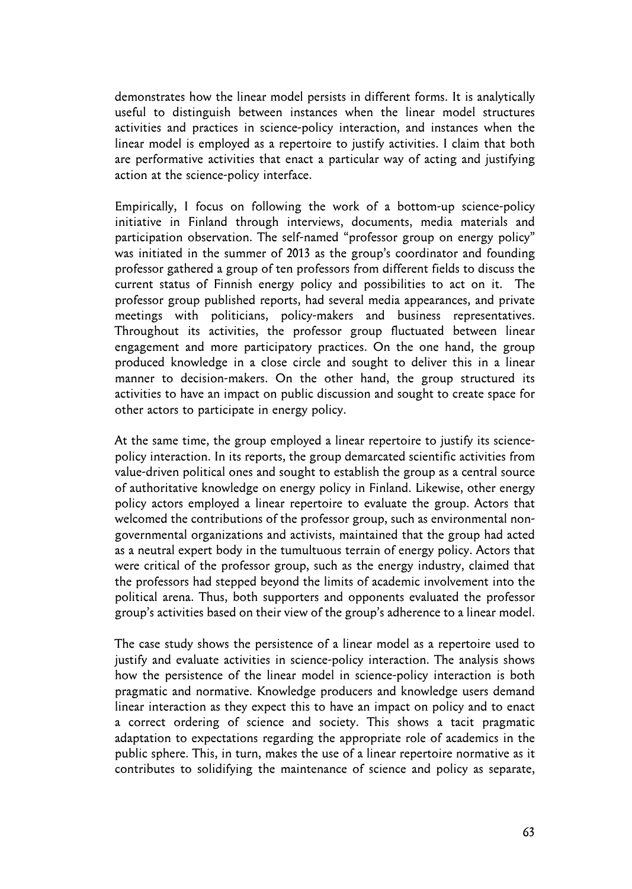demonstrates how the linear model persists in different forms. It is analytically useful to distinguish between instances when the linear model structures activities and practices in science-policy interaction, and instances when the linear model is employed as a repertoire to justify activities. I claim that both are performative activities that enact a particular way of acting and justifying action at the science-policy interface.

Empirically, I focus on following the work of a bottom-up science-policy initiative in Finland through interviews, documents, media materials and participation observation. The self-named "professor group on energy policy" was initiated in the summer of 2013 as the group's coordinator and founding professor gathered a group of ten professors from different fields to discuss the current status of Finnish energy policy and possibilities to act on it. The professor group published reports, had several media appearances, and private meetings with politicians, policy-makers and business representatives. Throughout its activities, the professor group fluctuated between linear engagement and more participatory practices. On the one hand, the group produced knowledge in a close circle and sought to deliver this in a linear manner to decision-makers. On the other hand, the group structured its activities to have an impact on public discussion and sought to create space for other actors to participate in energy policy.

At the same time, the group employed a linear repertoire to justify its sciencepolicy interaction. In its reports, the group demarcated scientific activities from value-driven political ones and sought to establish the group as a central source of authoritative knowledge on energy policy in Finland. Likewise, other energy policy actors employed a linear repertoire to evaluate the group. Actors that welcomed the contributions of the professor group, such as environmental nongovernmental organizations and activists, maintained that the group had acted as a neutral expert body in the tumultuous terrain of energy policy. Actors that were critical of the professor group, such as the energy industry, claimed that the professors had stepped beyond the limits of academic involvement into the political arena. Thus, both supporters and opponents evaluated the professor group's activities based on their view of the group's adherence to a linear model.

The case study shows the persistence of a linear model as a repertoire used to justify and evaluate activities in science-policy interaction. The analysis shows how the persistence of the linear model in science-policy interaction is both pragmatic and normative. Knowledge producers and knowledge users demand linear interaction as they expect this to have an impact on policy and to enact a correct ordering of science and society. This shows a tacit pragmatic adaptation to expectations regarding the appropriate role of academics in the public sphere. This, in turn, makes the use of a linear repertoire normative as it contributes to solidifying the maintenance of science and policy as separate,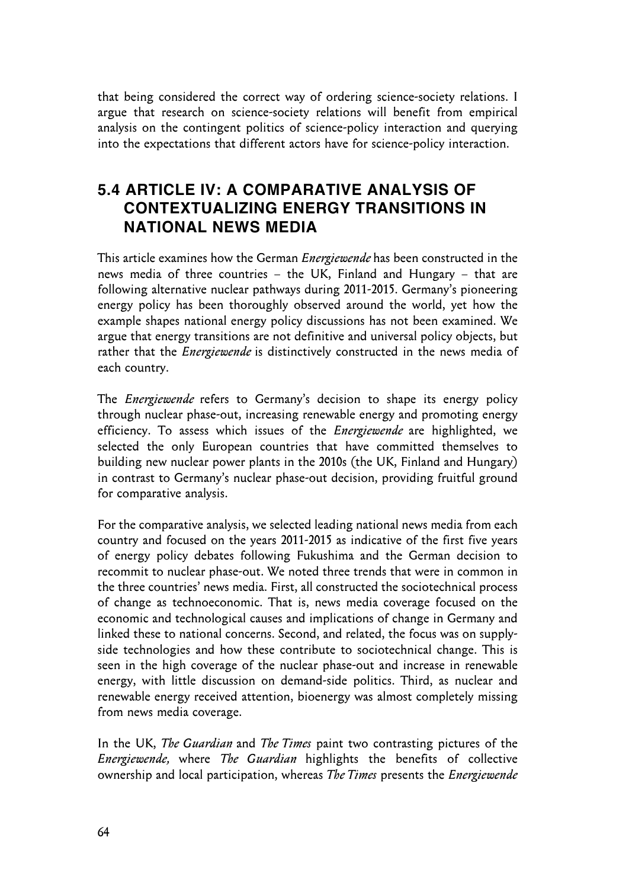that being considered the correct way of ordering science-society relations. I argue that research on science-society relations will benefit from empirical analysis on the contingent politics of science-policy interaction and querying into the expectations that different actors have for science-policy interaction.

### **5.4 ARTICLE IV: A COMPARATIVE ANALYSIS OF CONTEXTUALIZING ENERGY TRANSITIONS IN NATIONAL NEWS MEDIA**

This article examines how the German *Energiewende* has been constructed in the news media of three countries – the UK, Finland and Hungary – that are following alternative nuclear pathways during 2011-2015. Germany's pioneering energy policy has been thoroughly observed around the world, yet how the example shapes national energy policy discussions has not been examined. We argue that energy transitions are not definitive and universal policy objects, but rather that the *Energiewende* is distinctively constructed in the news media of each country.

The *Energiewende* refers to Germany's decision to shape its energy policy through nuclear phase-out, increasing renewable energy and promoting energy efficiency. To assess which issues of the *Energiewende* are highlighted, we selected the only European countries that have committed themselves to building new nuclear power plants in the 2010s (the UK, Finland and Hungary) in contrast to Germany's nuclear phase-out decision, providing fruitful ground for comparative analysis.

For the comparative analysis, we selected leading national news media from each country and focused on the years 2011-2015 as indicative of the first five years of energy policy debates following Fukushima and the German decision to recommit to nuclear phase-out. We noted three trends that were in common in the three countries' news media. First, all constructed the sociotechnical process of change as technoeconomic. That is, news media coverage focused on the economic and technological causes and implications of change in Germany and linked these to national concerns. Second, and related, the focus was on supplyside technologies and how these contribute to sociotechnical change. This is seen in the high coverage of the nuclear phase-out and increase in renewable energy, with little discussion on demand-side politics. Third, as nuclear and renewable energy received attention, bioenergy was almost completely missing from news media coverage.

In the UK, *The Guardian* and *The Times* paint two contrasting pictures of the *Energiewende,* where *The Guardian* highlights the benefits of collective ownership and local participation, whereas *The Times* presents the *Energiewende*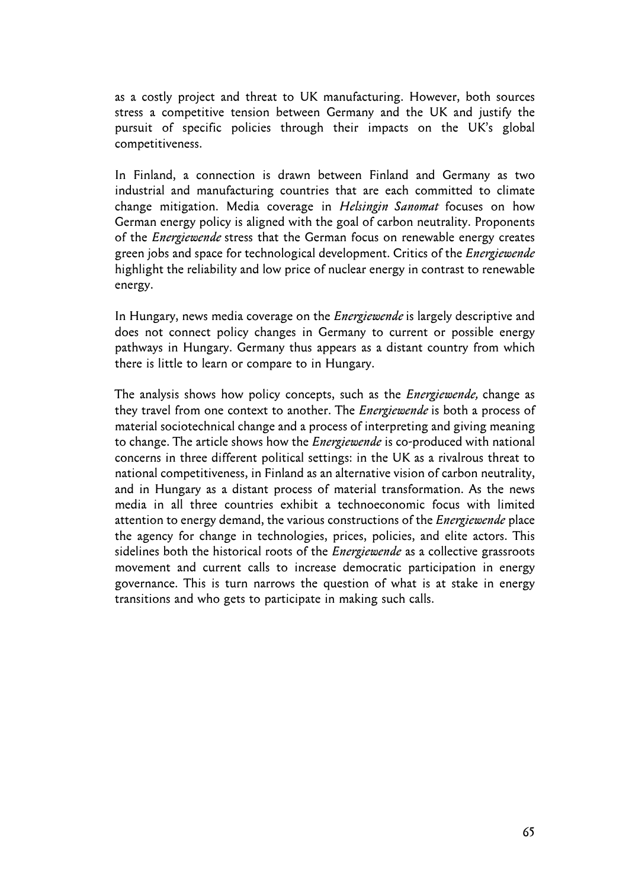as a costly project and threat to UK manufacturing. However, both sources stress a competitive tension between Germany and the UK and justify the pursuit of specific policies through their impacts on the UK's global competitiveness.

In Finland, a connection is drawn between Finland and Germany as two industrial and manufacturing countries that are each committed to climate change mitigation. Media coverage in *Helsingin Sanomat* focuses on how German energy policy is aligned with the goal of carbon neutrality. Proponents of the *Energiewende* stress that the German focus on renewable energy creates green jobs and space for technological development. Critics of the *Energiewende*  highlight the reliability and low price of nuclear energy in contrast to renewable energy.

In Hungary, news media coverage on the *Energiewende* is largely descriptive and does not connect policy changes in Germany to current or possible energy pathways in Hungary. Germany thus appears as a distant country from which there is little to learn or compare to in Hungary.

The analysis shows how policy concepts, such as the *Energiewende,* change as they travel from one context to another. The *Energiewende* is both a process of material sociotechnical change and a process of interpreting and giving meaning to change. The article shows how the *Energiewende* is co-produced with national concerns in three different political settings: in the UK as a rivalrous threat to national competitiveness, in Finland as an alternative vision of carbon neutrality, and in Hungary as a distant process of material transformation. As the news media in all three countries exhibit a technoeconomic focus with limited attention to energy demand, the various constructions of the *Energiewende* place the agency for change in technologies, prices, policies, and elite actors. This sidelines both the historical roots of the *Energiewende* as a collective grassroots movement and current calls to increase democratic participation in energy governance. This is turn narrows the question of what is at stake in energy transitions and who gets to participate in making such calls.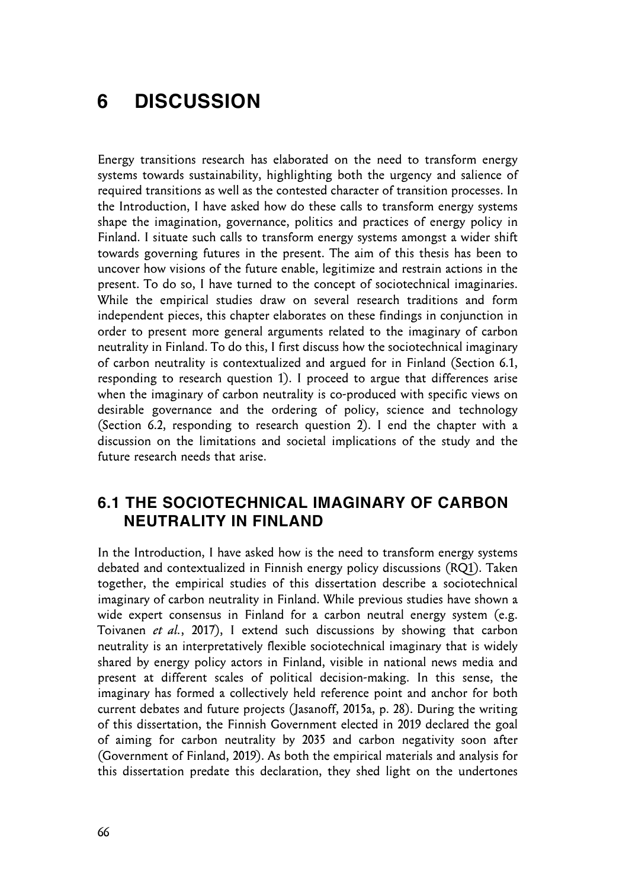# **6 DISCUSSION**

Energy transitions research has elaborated on the need to transform energy systems towards sustainability, highlighting both the urgency and salience of required transitions as well as the contested character of transition processes. In the Introduction, I have asked how do these calls to transform energy systems shape the imagination, governance, politics and practices of energy policy in Finland. I situate such calls to transform energy systems amongst a wider shift towards governing futures in the present. The aim of this thesis has been to uncover how visions of the future enable, legitimize and restrain actions in the present. To do so, I have turned to the concept of sociotechnical imaginaries. While the empirical studies draw on several research traditions and form independent pieces, this chapter elaborates on these findings in conjunction in order to present more general arguments related to the imaginary of carbon neutrality in Finland. To do this, I first discuss how the sociotechnical imaginary of carbon neutrality is contextualized and argued for in Finland (Section 6.1, responding to research question 1). I proceed to argue that differences arise when the imaginary of carbon neutrality is co-produced with specific views on desirable governance and the ordering of policy, science and technology (Section 6.2, responding to research question 2). I end the chapter with a discussion on the limitations and societal implications of the study and the future research needs that arise.

### **6.1 THE SOCIOTECHNICAL IMAGINARY OF CARBON NEUTRALITY IN FINLAND**

In the Introduction, I have asked how is the need to transform energy systems debated and contextualized in Finnish energy policy discussions (RQ1). Taken together, the empirical studies of this dissertation describe a sociotechnical imaginary of carbon neutrality in Finland. While previous studies have shown a wide expert consensus in Finland for a carbon neutral energy system (e.g. Toivanen *et al.*, 2017), I extend such discussions by showing that carbon neutrality is an interpretatively flexible sociotechnical imaginary that is widely shared by energy policy actors in Finland, visible in national news media and present at different scales of political decision-making. In this sense, the imaginary has formed a collectively held reference point and anchor for both current debates and future projects (Jasanoff, 2015a, p. 28). During the writing of this dissertation, the Finnish Government elected in 2019 declared the goal of aiming for carbon neutrality by 2035 and carbon negativity soon after (Government of Finland, 2019). As both the empirical materials and analysis for this dissertation predate this declaration, they shed light on the undertones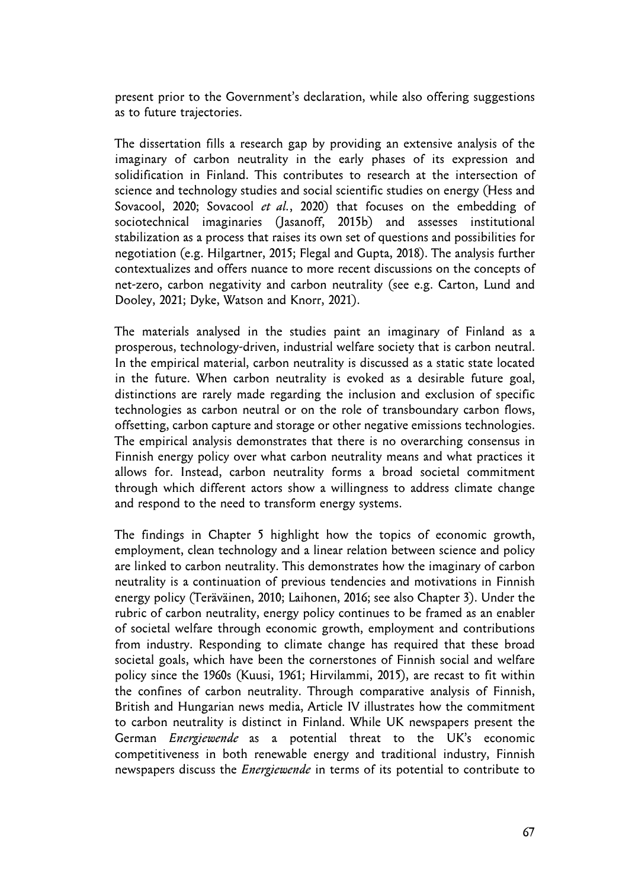present prior to the Government's declaration, while also offering suggestions as to future trajectories.

The dissertation fills a research gap by providing an extensive analysis of the imaginary of carbon neutrality in the early phases of its expression and solidification in Finland. This contributes to research at the intersection of science and technology studies and social scientific studies on energy (Hess and Sovacool, 2020; Sovacool *et al.*, 2020) that focuses on the embedding of sociotechnical imaginaries (Jasanoff, 2015b) and assesses institutional stabilization as a process that raises its own set of questions and possibilities for negotiation (e.g. Hilgartner, 2015; Flegal and Gupta, 2018). The analysis further contextualizes and offers nuance to more recent discussions on the concepts of net-zero, carbon negativity and carbon neutrality (see e.g. Carton, Lund and Dooley, 2021; Dyke, Watson and Knorr, 2021).

The materials analysed in the studies paint an imaginary of Finland as a prosperous, technology-driven, industrial welfare society that is carbon neutral. In the empirical material, carbon neutrality is discussed as a static state located in the future. When carbon neutrality is evoked as a desirable future goal, distinctions are rarely made regarding the inclusion and exclusion of specific technologies as carbon neutral or on the role of transboundary carbon flows, offsetting, carbon capture and storage or other negative emissions technologies. The empirical analysis demonstrates that there is no overarching consensus in Finnish energy policy over what carbon neutrality means and what practices it allows for. Instead, carbon neutrality forms a broad societal commitment through which different actors show a willingness to address climate change and respond to the need to transform energy systems.

The findings in Chapter 5 highlight how the topics of economic growth, employment, clean technology and a linear relation between science and policy are linked to carbon neutrality. This demonstrates how the imaginary of carbon neutrality is a continuation of previous tendencies and motivations in Finnish energy policy (Teräväinen, 2010; Laihonen, 2016; see also Chapter 3). Under the rubric of carbon neutrality, energy policy continues to be framed as an enabler of societal welfare through economic growth, employment and contributions from industry. Responding to climate change has required that these broad societal goals, which have been the cornerstones of Finnish social and welfare policy since the 1960s (Kuusi, 1961; Hirvilammi, 2015), are recast to fit within the confines of carbon neutrality. Through comparative analysis of Finnish, British and Hungarian news media, Article IV illustrates how the commitment to carbon neutrality is distinct in Finland. While UK newspapers present the German *Energiewende* as a potential threat to the UK's economic competitiveness in both renewable energy and traditional industry, Finnish newspapers discuss the *Energiewende* in terms of its potential to contribute to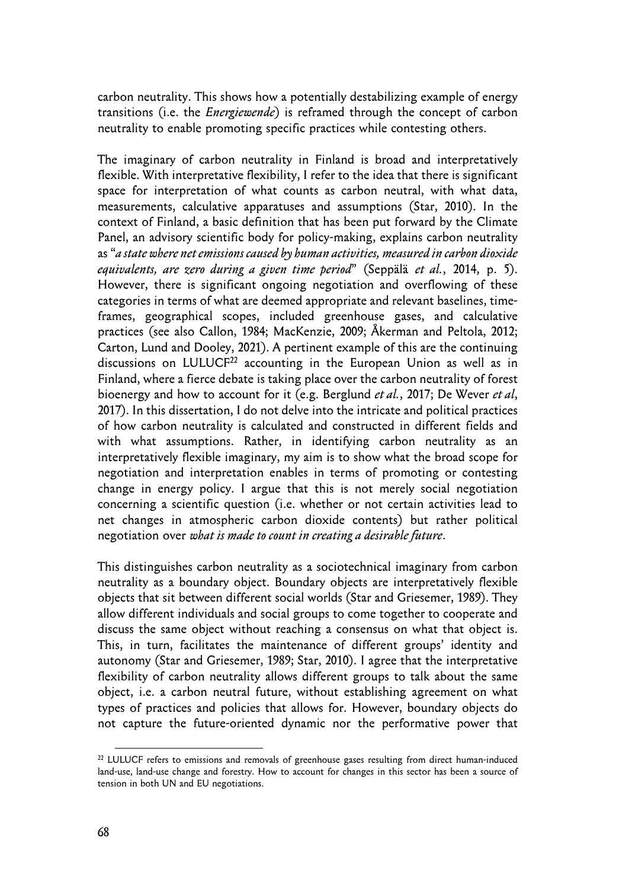carbon neutrality. This shows how a potentially destabilizing example of energy transitions (i.e. the *Energiewende*) is reframed through the concept of carbon neutrality to enable promoting specific practices while contesting others.

The imaginary of carbon neutrality in Finland is broad and interpretatively flexible. With interpretative flexibility, I refer to the idea that there is significant space for interpretation of what counts as carbon neutral, with what data, measurements, calculative apparatuses and assumptions (Star, 2010). In the context of Finland, a basic definition that has been put forward by the Climate Panel, an advisory scientific body for policy-making, explains carbon neutrality as "*a state where net emissions caused by human activities, measured in carbon dioxide equivalents, are zero during a given time period*" (Seppälä *et al.*, 2014, p. 5). However, there is significant ongoing negotiation and overflowing of these categories in terms of what are deemed appropriate and relevant baselines, timeframes, geographical scopes, included greenhouse gases, and calculative practices (see also Callon, 1984; MacKenzie, 2009; Åkerman and Peltola, 2012; Carton, Lund and Dooley, 2021). A pertinent example of this are the continuing discussions on LULUCF<sup>22</sup> accounting in the European Union as well as in Finland, where a fierce debate is taking place over the carbon neutrality of forest bioenergy and how to account for it (e.g. Berglund *et al.*, 2017; De Wever *et al*, 2017). In this dissertation, I do not delve into the intricate and political practices of how carbon neutrality is calculated and constructed in different fields and with what assumptions. Rather, in identifying carbon neutrality as an interpretatively flexible imaginary, my aim is to show what the broad scope for negotiation and interpretation enables in terms of promoting or contesting change in energy policy. I argue that this is not merely social negotiation concerning a scientific question (i.e. whether or not certain activities lead to net changes in atmospheric carbon dioxide contents) but rather political negotiation over *what is made to count in creating a desirable future*.

This distinguishes carbon neutrality as a sociotechnical imaginary from carbon neutrality as a boundary object. Boundary objects are interpretatively flexible objects that sit between different social worlds (Star and Griesemer, 1989). They allow different individuals and social groups to come together to cooperate and discuss the same object without reaching a consensus on what that object is. This, in turn, facilitates the maintenance of different groups' identity and autonomy (Star and Griesemer, 1989; Star, 2010). I agree that the interpretative flexibility of carbon neutrality allows different groups to talk about the same object, i.e. a carbon neutral future, without establishing agreement on what types of practices and policies that allows for. However, boundary objects do not capture the future-oriented dynamic nor the performative power that

<sup>&</sup>lt;sup>22</sup> LULUCF refers to emissions and removals of greenhouse gases resulting from direct human-induced land-use, land-use change and forestry. How to account for changes in this sector has been a source of tension in both UN and EU negotiations.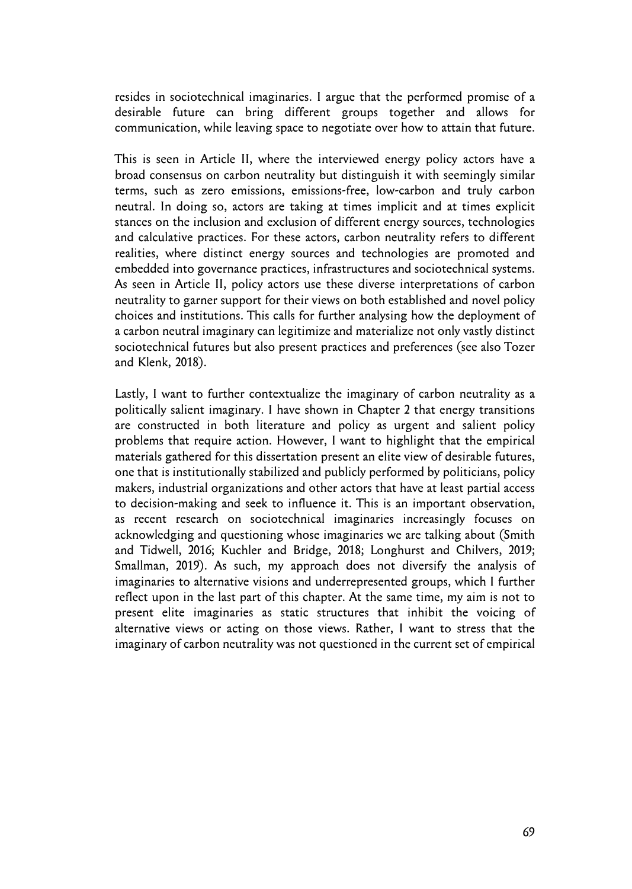resides in sociotechnical imaginaries. I argue that the performed promise of a desirable future can bring different groups together and allows for communication, while leaving space to negotiate over how to attain that future.

This is seen in Article II, where the interviewed energy policy actors have a broad consensus on carbon neutrality but distinguish it with seemingly similar terms, such as zero emissions, emissions-free, low-carbon and truly carbon neutral. In doing so, actors are taking at times implicit and at times explicit stances on the inclusion and exclusion of different energy sources, technologies and calculative practices. For these actors, carbon neutrality refers to different realities, where distinct energy sources and technologies are promoted and embedded into governance practices, infrastructures and sociotechnical systems. As seen in Article II, policy actors use these diverse interpretations of carbon neutrality to garner support for their views on both established and novel policy choices and institutions. This calls for further analysing how the deployment of a carbon neutral imaginary can legitimize and materialize not only vastly distinct sociotechnical futures but also present practices and preferences (see also Tozer and Klenk, 2018).

Lastly, I want to further contextualize the imaginary of carbon neutrality as a politically salient imaginary. I have shown in Chapter 2 that energy transitions are constructed in both literature and policy as urgent and salient policy problems that require action. However, I want to highlight that the empirical materials gathered for this dissertation present an elite view of desirable futures, one that is institutionally stabilized and publicly performed by politicians, policy makers, industrial organizations and other actors that have at least partial access to decision-making and seek to influence it. This is an important observation, as recent research on sociotechnical imaginaries increasingly focuses on acknowledging and questioning whose imaginaries we are talking about (Smith and Tidwell, 2016; Kuchler and Bridge, 2018; Longhurst and Chilvers, 2019; Smallman, 2019). As such, my approach does not diversify the analysis of imaginaries to alternative visions and underrepresented groups, which I further reflect upon in the last part of this chapter. At the same time, my aim is not to present elite imaginaries as static structures that inhibit the voicing of alternative views or acting on those views. Rather, I want to stress that the imaginary of carbon neutrality was not questioned in the current set of empirical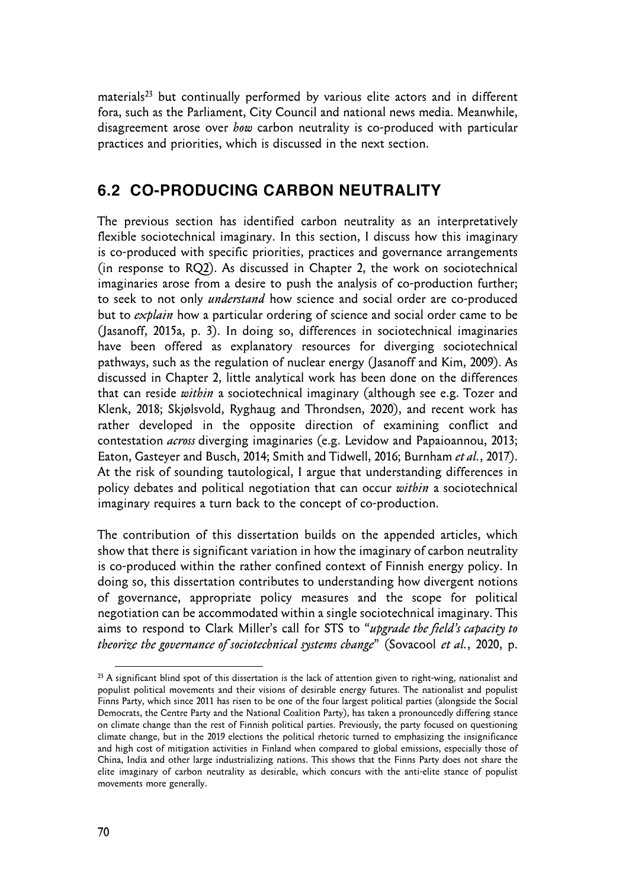materials<sup>23</sup> but continually performed by various elite actors and in different fora, such as the Parliament, City Council and national news media. Meanwhile, disagreement arose over *how* carbon neutrality is co-produced with particular practices and priorities, which is discussed in the next section.

## **6.2 CO-PRODUCING CARBON NEUTRALITY**

The previous section has identified carbon neutrality as an interpretatively flexible sociotechnical imaginary. In this section, I discuss how this imaginary is co-produced with specific priorities, practices and governance arrangements (in response to RQ2). As discussed in Chapter 2, the work on sociotechnical imaginaries arose from a desire to push the analysis of co-production further; to seek to not only *understand* how science and social order are co-produced but to *explain* how a particular ordering of science and social order came to be (Jasanoff, 2015a, p. 3). In doing so, differences in sociotechnical imaginaries have been offered as explanatory resources for diverging sociotechnical pathways, such as the regulation of nuclear energy (Jasanoff and Kim, 2009). As discussed in Chapter 2, little analytical work has been done on the differences that can reside *within* a sociotechnical imaginary (although see e.g. Tozer and Klenk, 2018; Skjølsvold, Ryghaug and Throndsen, 2020), and recent work has rather developed in the opposite direction of examining conflict and contestation *across* diverging imaginaries (e.g. Levidow and Papaioannou, 2013; Eaton, Gasteyer and Busch, 2014; Smith and Tidwell, 2016; Burnham *et al.*, 2017). At the risk of sounding tautological, I argue that understanding differences in policy debates and political negotiation that can occur *within* a sociotechnical imaginary requires a turn back to the concept of co-production.

The contribution of this dissertation builds on the appended articles, which show that there is significant variation in how the imaginary of carbon neutrality is co-produced within the rather confined context of Finnish energy policy. In doing so, this dissertation contributes to understanding how divergent notions of governance, appropriate policy measures and the scope for political negotiation can be accommodated within a single sociotechnical imaginary. This aims to respond to Clark Miller's call for STS to "*upgrade the field's capacity to theorize the governance of sociotechnical systems change*" (Sovacool *et al.*, 2020, p.

<sup>&</sup>lt;sup>23</sup> A significant blind spot of this dissertation is the lack of attention given to right-wing, nationalist and populist political movements and their visions of desirable energy futures. The nationalist and populist Finns Party, which since 2011 has risen to be one of the four largest political parties (alongside the Social Democrats, the Centre Party and the National Coalition Party), has taken a pronouncedly differing stance on climate change than the rest of Finnish political parties. Previously, the party focused on questioning climate change, but in the 2019 elections the political rhetoric turned to emphasizing the insignificance and high cost of mitigation activities in Finland when compared to global emissions, especially those of China, India and other large industrializing nations. This shows that the Finns Party does not share the elite imaginary of carbon neutrality as desirable, which concurs with the anti-elite stance of populist movements more generally.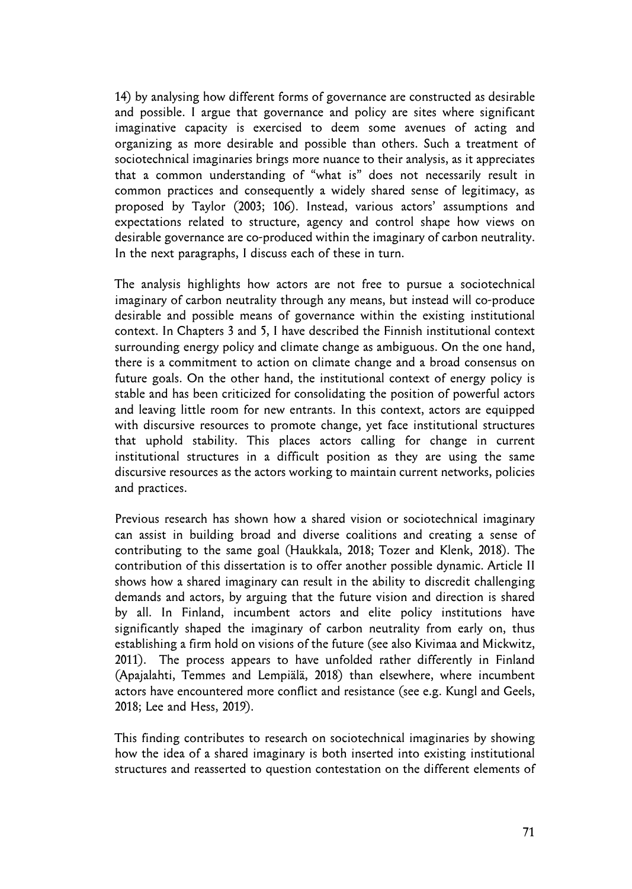14) by analysing how different forms of governance are constructed as desirable and possible. I argue that governance and policy are sites where significant imaginative capacity is exercised to deem some avenues of acting and organizing as more desirable and possible than others. Such a treatment of sociotechnical imaginaries brings more nuance to their analysis, as it appreciates that a common understanding of "what is" does not necessarily result in common practices and consequently a widely shared sense of legitimacy, as proposed by Taylor (2003; 106). Instead, various actors' assumptions and expectations related to structure, agency and control shape how views on desirable governance are co-produced within the imaginary of carbon neutrality. In the next paragraphs, I discuss each of these in turn.

The analysis highlights how actors are not free to pursue a sociotechnical imaginary of carbon neutrality through any means, but instead will co-produce desirable and possible means of governance within the existing institutional context. In Chapters 3 and 5, I have described the Finnish institutional context surrounding energy policy and climate change as ambiguous. On the one hand, there is a commitment to action on climate change and a broad consensus on future goals. On the other hand, the institutional context of energy policy is stable and has been criticized for consolidating the position of powerful actors and leaving little room for new entrants. In this context, actors are equipped with discursive resources to promote change, yet face institutional structures that uphold stability. This places actors calling for change in current institutional structures in a difficult position as they are using the same discursive resources as the actors working to maintain current networks, policies and practices.

Previous research has shown how a shared vision or sociotechnical imaginary can assist in building broad and diverse coalitions and creating a sense of contributing to the same goal (Haukkala, 2018; Tozer and Klenk, 2018). The contribution of this dissertation is to offer another possible dynamic. Article II shows how a shared imaginary can result in the ability to discredit challenging demands and actors, by arguing that the future vision and direction is shared by all. In Finland, incumbent actors and elite policy institutions have significantly shaped the imaginary of carbon neutrality from early on, thus establishing a firm hold on visions of the future (see also Kivimaa and Mickwitz, 2011). The process appears to have unfolded rather differently in Finland (Apajalahti, Temmes and Lempiälä, 2018) than elsewhere, where incumbent actors have encountered more conflict and resistance (see e.g. Kungl and Geels, 2018; Lee and Hess, 2019).

This finding contributes to research on sociotechnical imaginaries by showing how the idea of a shared imaginary is both inserted into existing institutional structures and reasserted to question contestation on the different elements of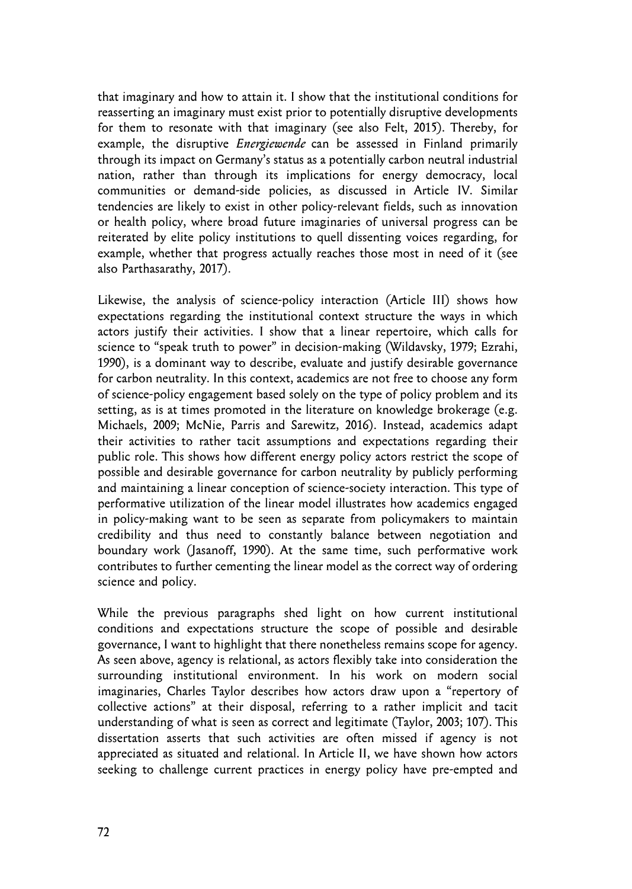that imaginary and how to attain it. I show that the institutional conditions for reasserting an imaginary must exist prior to potentially disruptive developments for them to resonate with that imaginary (see also Felt, 2015). Thereby, for example, the disruptive *Energiewende* can be assessed in Finland primarily through its impact on Germany's status as a potentially carbon neutral industrial nation, rather than through its implications for energy democracy, local communities or demand-side policies, as discussed in Article IV. Similar tendencies are likely to exist in other policy-relevant fields, such as innovation or health policy, where broad future imaginaries of universal progress can be reiterated by elite policy institutions to quell dissenting voices regarding, for example, whether that progress actually reaches those most in need of it (see also Parthasarathy, 2017).

Likewise, the analysis of science-policy interaction (Article III) shows how expectations regarding the institutional context structure the ways in which actors justify their activities. I show that a linear repertoire, which calls for science to "speak truth to power" in decision-making (Wildavsky, 1979; Ezrahi, 1990), is a dominant way to describe, evaluate and justify desirable governance for carbon neutrality. In this context, academics are not free to choose any form of science-policy engagement based solely on the type of policy problem and its setting, as is at times promoted in the literature on knowledge brokerage (e.g. Michaels, 2009; McNie, Parris and Sarewitz, 2016). Instead, academics adapt their activities to rather tacit assumptions and expectations regarding their public role. This shows how different energy policy actors restrict the scope of possible and desirable governance for carbon neutrality by publicly performing and maintaining a linear conception of science-society interaction. This type of performative utilization of the linear model illustrates how academics engaged in policy-making want to be seen as separate from policymakers to maintain credibility and thus need to constantly balance between negotiation and boundary work (Jasanoff, 1990). At the same time, such performative work contributes to further cementing the linear model as the correct way of ordering science and policy.

While the previous paragraphs shed light on how current institutional conditions and expectations structure the scope of possible and desirable governance, I want to highlight that there nonetheless remains scope for agency. As seen above, agency is relational, as actors flexibly take into consideration the surrounding institutional environment. In his work on modern social imaginaries, Charles Taylor describes how actors draw upon a "repertory of collective actions" at their disposal, referring to a rather implicit and tacit understanding of what is seen as correct and legitimate (Taylor, 2003; 107). This dissertation asserts that such activities are often missed if agency is not appreciated as situated and relational. In Article II, we have shown how actors seeking to challenge current practices in energy policy have pre-empted and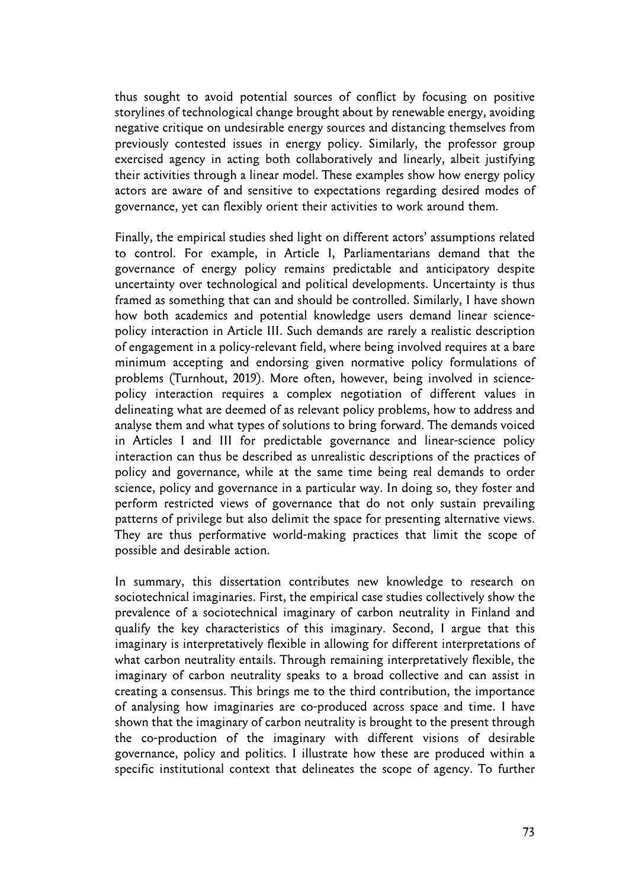thus sought to avoid potential sources of conflict by focusing on positive storylines of technological change brought about by renewable energy, avoiding negative critique on undesirable energy sources and distancing themselves from previously contested issues in energy policy. Similarly, the professor group exercised agency in acting both collaboratively and linearly, albeit justifying their activities through a linear model. These examples show how energy policy actors are aware of and sensitive to expectations regarding desired modes of governance, yet can flexibly orient their activities to work around them.

Finally, the empirical studies shed light on different actors' assumptions related to control. For example, in Article I, Parliamentarians demand that the governance of energy policy remains predictable and anticipatory despite uncertainty over technological and political developments. Uncertainty is thus framed as something that can and should be controlled. Similarly, I have shown how both academics and potential knowledge users demand linear sciencepolicy interaction in Article III. Such demands are rarely a realistic description of engagement in a policy-relevant field, where being involved requires at a bare minimum accepting and endorsing given normative policy formulations of problems (Turnhout, 2019). More often, however, being involved in sciencepolicy interaction requires a complex negotiation of different values in delineating what are deemed of as relevant policy problems, how to address and analyse them and what types of solutions to bring forward. The demands voiced in Articles I and III for predictable governance and linear-science policy interaction can thus be described as unrealistic descriptions of the practices of policy and governance, while at the same time being real demands to order science, policy and governance in a particular way. In doing so, they foster and perform restricted views of governance that do not only sustain prevailing patterns of privilege but also delimit the space for presenting alternative views. They are thus performative world-making practices that limit the scope of possible and desirable action.

In summary, this dissertation contributes new knowledge to research on sociotechnical imaginaries. First, the empirical case studies collectively show the prevalence of a sociotechnical imaginary of carbon neutrality in Finland and qualify the key characteristics of this imaginary. Second, I argue that this imaginary is interpretatively flexible in allowing for different interpretations of what carbon neutrality entails. Through remaining interpretatively flexible, the imaginary of carbon neutrality speaks to a broad collective and can assist in creating a consensus. This brings me to the third contribution, the importance of analysing how imaginaries are co-produced across space and time. I have shown that the imaginary of carbon neutrality is brought to the present through the co-production of the imaginary with different visions of desirable governance, policy and politics. I illustrate how these are produced within a specific institutional context that delineates the scope of agency. To further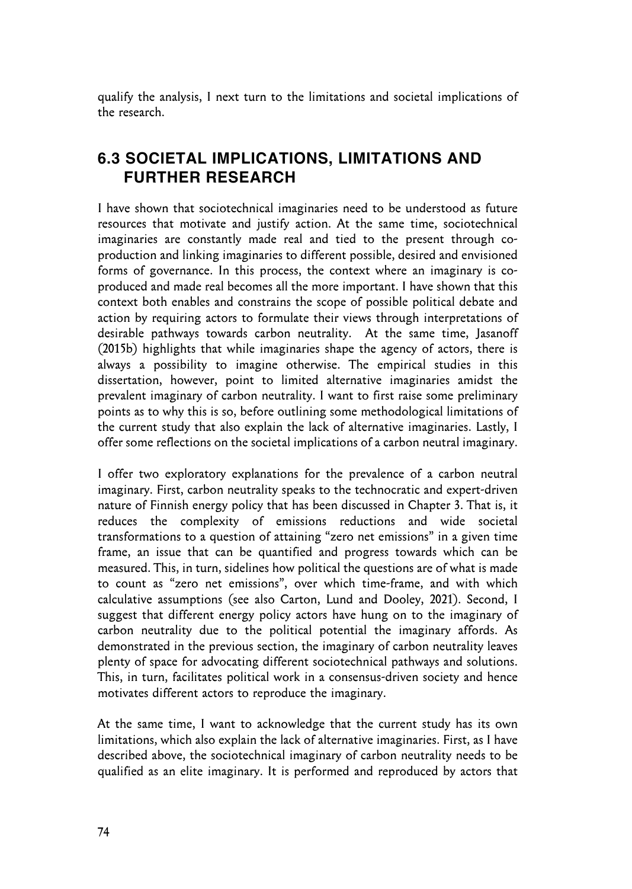qualify the analysis, I next turn to the limitations and societal implications of the research.

## **6.3 SOCIETAL IMPLICATIONS, LIMITATIONS AND FURTHER RESEARCH**

I have shown that sociotechnical imaginaries need to be understood as future resources that motivate and justify action. At the same time, sociotechnical imaginaries are constantly made real and tied to the present through coproduction and linking imaginaries to different possible, desired and envisioned forms of governance. In this process, the context where an imaginary is coproduced and made real becomes all the more important. I have shown that this context both enables and constrains the scope of possible political debate and action by requiring actors to formulate their views through interpretations of desirable pathways towards carbon neutrality. At the same time, Jasanoff (2015b) highlights that while imaginaries shape the agency of actors, there is always a possibility to imagine otherwise. The empirical studies in this dissertation, however, point to limited alternative imaginaries amidst the prevalent imaginary of carbon neutrality. I want to first raise some preliminary points as to why this is so, before outlining some methodological limitations of the current study that also explain the lack of alternative imaginaries. Lastly, I offer some reflections on the societal implications of a carbon neutral imaginary.

I offer two exploratory explanations for the prevalence of a carbon neutral imaginary. First, carbon neutrality speaks to the technocratic and expert-driven nature of Finnish energy policy that has been discussed in Chapter 3. That is, it reduces the complexity of emissions reductions and wide societal transformations to a question of attaining "zero net emissions" in a given time frame, an issue that can be quantified and progress towards which can be measured. This, in turn, sidelines how political the questions are of what is made to count as "zero net emissions", over which time-frame, and with which calculative assumptions (see also Carton, Lund and Dooley, 2021). Second, I suggest that different energy policy actors have hung on to the imaginary of carbon neutrality due to the political potential the imaginary affords. As demonstrated in the previous section, the imaginary of carbon neutrality leaves plenty of space for advocating different sociotechnical pathways and solutions. This, in turn, facilitates political work in a consensus-driven society and hence motivates different actors to reproduce the imaginary.

At the same time, I want to acknowledge that the current study has its own limitations, which also explain the lack of alternative imaginaries. First, as I have described above, the sociotechnical imaginary of carbon neutrality needs to be qualified as an elite imaginary. It is performed and reproduced by actors that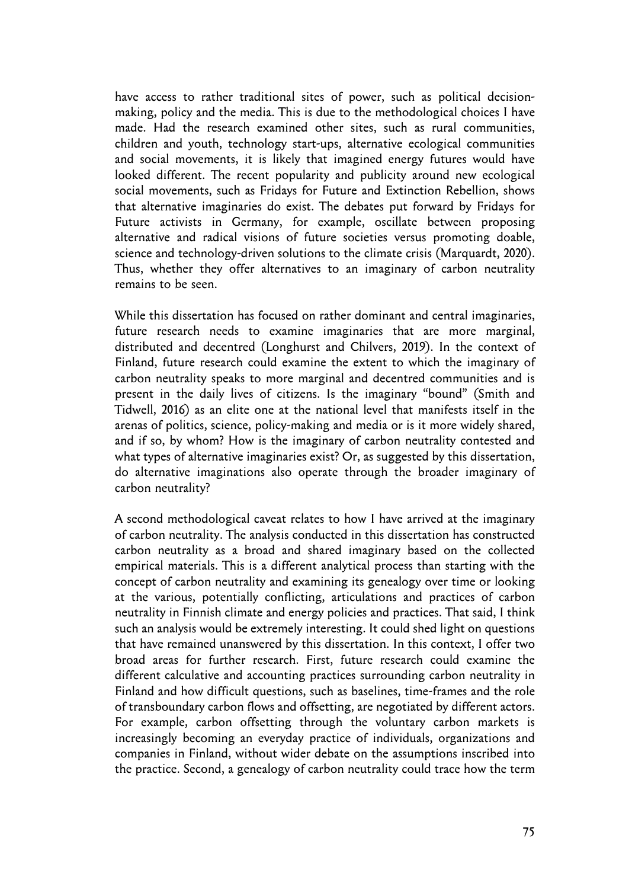have access to rather traditional sites of power, such as political decisionmaking, policy and the media. This is due to the methodological choices I have made. Had the research examined other sites, such as rural communities, children and youth, technology start-ups, alternative ecological communities and social movements, it is likely that imagined energy futures would have looked different. The recent popularity and publicity around new ecological social movements, such as Fridays for Future and Extinction Rebellion, shows that alternative imaginaries do exist. The debates put forward by Fridays for Future activists in Germany, for example, oscillate between proposing alternative and radical visions of future societies versus promoting doable, science and technology-driven solutions to the climate crisis (Marquardt, 2020). Thus, whether they offer alternatives to an imaginary of carbon neutrality remains to be seen.

While this dissertation has focused on rather dominant and central imaginaries, future research needs to examine imaginaries that are more marginal, distributed and decentred (Longhurst and Chilvers, 2019). In the context of Finland, future research could examine the extent to which the imaginary of carbon neutrality speaks to more marginal and decentred communities and is present in the daily lives of citizens. Is the imaginary "bound" (Smith and Tidwell, 2016) as an elite one at the national level that manifests itself in the arenas of politics, science, policy-making and media or is it more widely shared, and if so, by whom? How is the imaginary of carbon neutrality contested and what types of alternative imaginaries exist? Or, as suggested by this dissertation, do alternative imaginations also operate through the broader imaginary of carbon neutrality?

A second methodological caveat relates to how I have arrived at the imaginary of carbon neutrality. The analysis conducted in this dissertation has constructed carbon neutrality as a broad and shared imaginary based on the collected empirical materials. This is a different analytical process than starting with the concept of carbon neutrality and examining its genealogy over time or looking at the various, potentially conflicting, articulations and practices of carbon neutrality in Finnish climate and energy policies and practices. That said, I think such an analysis would be extremely interesting. It could shed light on questions that have remained unanswered by this dissertation. In this context, I offer two broad areas for further research. First, future research could examine the different calculative and accounting practices surrounding carbon neutrality in Finland and how difficult questions, such as baselines, time-frames and the role of transboundary carbon flows and offsetting, are negotiated by different actors. For example, carbon offsetting through the voluntary carbon markets is increasingly becoming an everyday practice of individuals, organizations and companies in Finland, without wider debate on the assumptions inscribed into the practice. Second, a genealogy of carbon neutrality could trace how the term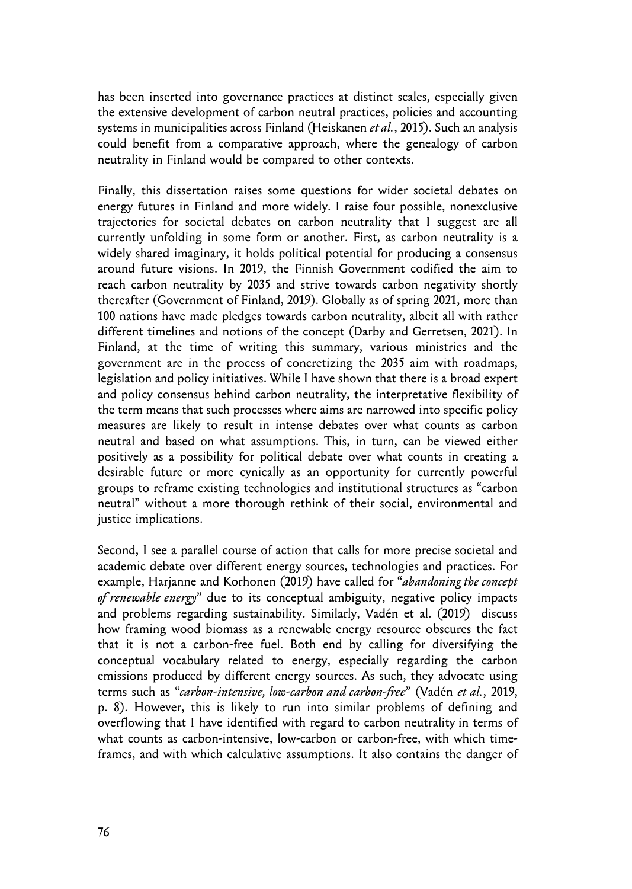has been inserted into governance practices at distinct scales, especially given the extensive development of carbon neutral practices, policies and accounting systems in municipalities across Finland (Heiskanen *et al.*, 2015). Such an analysis could benefit from a comparative approach, where the genealogy of carbon neutrality in Finland would be compared to other contexts.

Finally, this dissertation raises some questions for wider societal debates on energy futures in Finland and more widely. I raise four possible, nonexclusive trajectories for societal debates on carbon neutrality that I suggest are all currently unfolding in some form or another. First, as carbon neutrality is a widely shared imaginary, it holds political potential for producing a consensus around future visions. In 2019, the Finnish Government codified the aim to reach carbon neutrality by 2035 and strive towards carbon negativity shortly thereafter (Government of Finland, 2019). Globally as of spring 2021, more than 100 nations have made pledges towards carbon neutrality, albeit all with rather different timelines and notions of the concept (Darby and Gerretsen, 2021). In Finland, at the time of writing this summary, various ministries and the government are in the process of concretizing the 2035 aim with roadmaps, legislation and policy initiatives. While I have shown that there is a broad expert and policy consensus behind carbon neutrality, the interpretative flexibility of the term means that such processes where aims are narrowed into specific policy measures are likely to result in intense debates over what counts as carbon neutral and based on what assumptions. This, in turn, can be viewed either positively as a possibility for political debate over what counts in creating a desirable future or more cynically as an opportunity for currently powerful groups to reframe existing technologies and institutional structures as "carbon neutral" without a more thorough rethink of their social, environmental and justice implications.

Second, I see a parallel course of action that calls for more precise societal and academic debate over different energy sources, technologies and practices. For example, Harjanne and Korhonen (2019) have called for "*abandoning the concept of renewable energy*" due to its conceptual ambiguity, negative policy impacts and problems regarding sustainability. Similarly, Vadén et al. (2019) discuss how framing wood biomass as a renewable energy resource obscures the fact that it is not a carbon-free fuel. Both end by calling for diversifying the conceptual vocabulary related to energy, especially regarding the carbon emissions produced by different energy sources. As such, they advocate using terms such as "*carbon-intensive, low-carbon and carbon-free*" (Vadén *et al.*, 2019, p. 8). However, this is likely to run into similar problems of defining and overflowing that I have identified with regard to carbon neutrality in terms of what counts as carbon-intensive, low-carbon or carbon-free, with which timeframes, and with which calculative assumptions. It also contains the danger of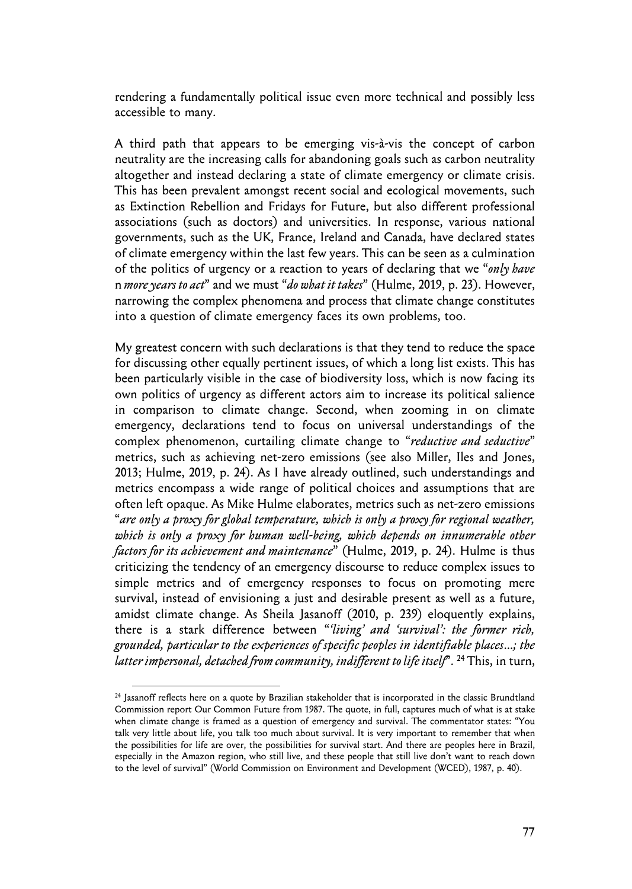rendering a fundamentally political issue even more technical and possibly less accessible to many.

A third path that appears to be emerging vis-à-vis the concept of carbon neutrality are the increasing calls for abandoning goals such as carbon neutrality altogether and instead declaring a state of climate emergency or climate crisis. This has been prevalent amongst recent social and ecological movements, such as Extinction Rebellion and Fridays for Future, but also different professional associations (such as doctors) and universities. In response, various national governments, such as the UK, France, Ireland and Canada, have declared states of climate emergency within the last few years. This can be seen as a culmination of the politics of urgency or a reaction to years of declaring that we "*only have*  n *more years to act*" and we must "*do what it takes*" (Hulme, 2019, p. 23). However, narrowing the complex phenomena and process that climate change constitutes into a question of climate emergency faces its own problems, too.

My greatest concern with such declarations is that they tend to reduce the space for discussing other equally pertinent issues, of which a long list exists. This has been particularly visible in the case of biodiversity loss, which is now facing its own politics of urgency as different actors aim to increase its political salience in comparison to climate change. Second, when zooming in on climate emergency, declarations tend to focus on universal understandings of the complex phenomenon, curtailing climate change to "*reductive and seductive*" metrics, such as achieving net-zero emissions (see also Miller, Iles and Jones, 2013; Hulme, 2019, p. 24). As I have already outlined, such understandings and metrics encompass a wide range of political choices and assumptions that are often left opaque. As Mike Hulme elaborates, metrics such as net-zero emissions "*are only a proxy for global temperature, which is only a proxy for regional weather, which is only a proxy for human well-being, which depends on innumerable other factors for its achievement and maintenance*" (Hulme, 2019, p. 24). Hulme is thus criticizing the tendency of an emergency discourse to reduce complex issues to simple metrics and of emergency responses to focus on promoting mere survival, instead of envisioning a just and desirable present as well as a future, amidst climate change. As Sheila Jasanoff (2010, p. 239) eloquently explains, there is a stark difference between "*'living' and 'survival': the former rich, grounded, particular to the experiences of specific peoples in identifiable places…; the latter impersonal, detached from community, indifferent to life itself*". 24 This, in turn,

<sup>&</sup>lt;sup>24</sup> Jasanoff reflects here on a quote by Brazilian stakeholder that is incorporated in the classic Brundtland Commission report Our Common Future from 1987. The quote, in full, captures much of what is at stake when climate change is framed as a question of emergency and survival. The commentator states: "You talk very little about life, you talk too much about survival. It is very important to remember that when the possibilities for life are over, the possibilities for survival start. And there are peoples here in Brazil, especially in the Amazon region, who still live, and these people that still live don't want to reach down to the level of survival" (World Commission on Environment and Development (WCED), 1987, p. 40).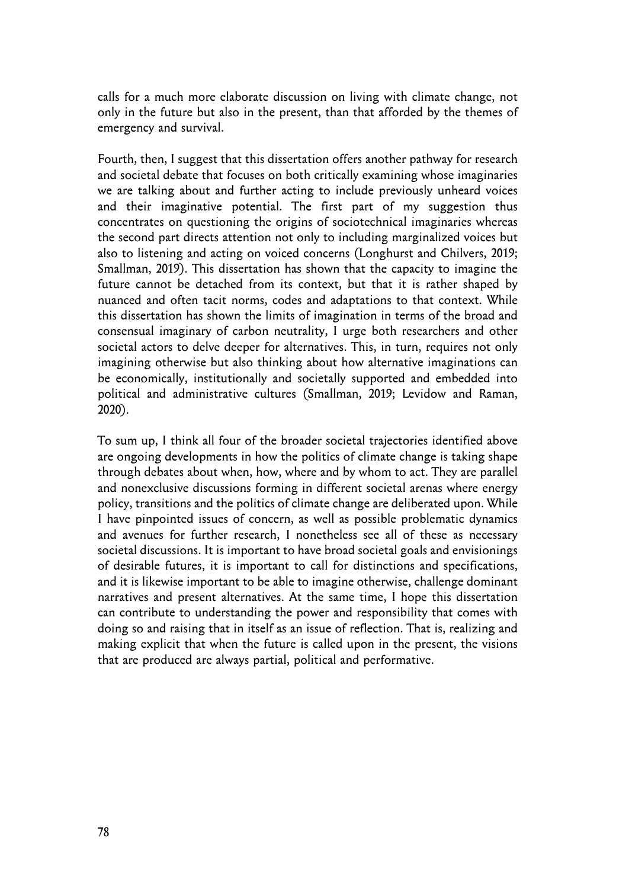calls for a much more elaborate discussion on living with climate change, not only in the future but also in the present, than that afforded by the themes of emergency and survival.

Fourth, then, I suggest that this dissertation offers another pathway for research and societal debate that focuses on both critically examining whose imaginaries we are talking about and further acting to include previously unheard voices and their imaginative potential. The first part of my suggestion thus concentrates on questioning the origins of sociotechnical imaginaries whereas the second part directs attention not only to including marginalized voices but also to listening and acting on voiced concerns (Longhurst and Chilvers, 2019; Smallman, 2019). This dissertation has shown that the capacity to imagine the future cannot be detached from its context, but that it is rather shaped by nuanced and often tacit norms, codes and adaptations to that context. While this dissertation has shown the limits of imagination in terms of the broad and consensual imaginary of carbon neutrality, I urge both researchers and other societal actors to delve deeper for alternatives. This, in turn, requires not only imagining otherwise but also thinking about how alternative imaginations can be economically, institutionally and societally supported and embedded into political and administrative cultures (Smallman, 2019; Levidow and Raman, 2020).

To sum up, I think all four of the broader societal trajectories identified above are ongoing developments in how the politics of climate change is taking shape through debates about when, how, where and by whom to act. They are parallel and nonexclusive discussions forming in different societal arenas where energy policy, transitions and the politics of climate change are deliberated upon. While I have pinpointed issues of concern, as well as possible problematic dynamics and avenues for further research, I nonetheless see all of these as necessary societal discussions. It is important to have broad societal goals and envisionings of desirable futures, it is important to call for distinctions and specifications, and it is likewise important to be able to imagine otherwise, challenge dominant narratives and present alternatives. At the same time, I hope this dissertation can contribute to understanding the power and responsibility that comes with doing so and raising that in itself as an issue of reflection. That is, realizing and making explicit that when the future is called upon in the present, the visions that are produced are always partial, political and performative.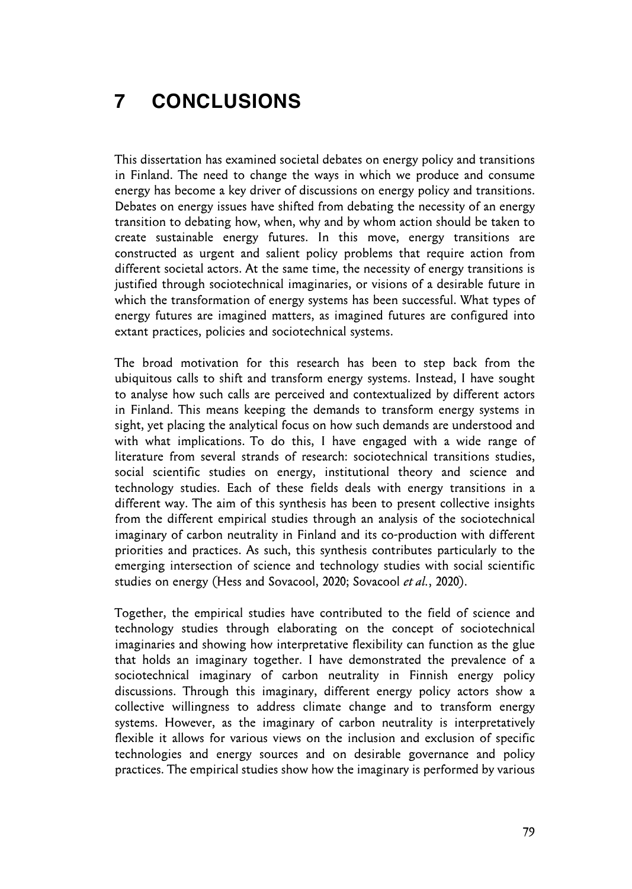## **7 CONCLUSIONS**

This dissertation has examined societal debates on energy policy and transitions in Finland. The need to change the ways in which we produce and consume energy has become a key driver of discussions on energy policy and transitions. Debates on energy issues have shifted from debating the necessity of an energy transition to debating how, when, why and by whom action should be taken to create sustainable energy futures. In this move, energy transitions are constructed as urgent and salient policy problems that require action from different societal actors. At the same time, the necessity of energy transitions is justified through sociotechnical imaginaries, or visions of a desirable future in which the transformation of energy systems has been successful. What types of energy futures are imagined matters, as imagined futures are configured into extant practices, policies and sociotechnical systems.

The broad motivation for this research has been to step back from the ubiquitous calls to shift and transform energy systems. Instead, I have sought to analyse how such calls are perceived and contextualized by different actors in Finland. This means keeping the demands to transform energy systems in sight, yet placing the analytical focus on how such demands are understood and with what implications. To do this, I have engaged with a wide range of literature from several strands of research: sociotechnical transitions studies, social scientific studies on energy, institutional theory and science and technology studies. Each of these fields deals with energy transitions in a different way. The aim of this synthesis has been to present collective insights from the different empirical studies through an analysis of the sociotechnical imaginary of carbon neutrality in Finland and its co-production with different priorities and practices. As such, this synthesis contributes particularly to the emerging intersection of science and technology studies with social scientific studies on energy (Hess and Sovacool, 2020; Sovacool *et al.*, 2020).

Together, the empirical studies have contributed to the field of science and technology studies through elaborating on the concept of sociotechnical imaginaries and showing how interpretative flexibility can function as the glue that holds an imaginary together. I have demonstrated the prevalence of a sociotechnical imaginary of carbon neutrality in Finnish energy policy discussions. Through this imaginary, different energy policy actors show a collective willingness to address climate change and to transform energy systems. However, as the imaginary of carbon neutrality is interpretatively flexible it allows for various views on the inclusion and exclusion of specific technologies and energy sources and on desirable governance and policy practices. The empirical studies show how the imaginary is performed by various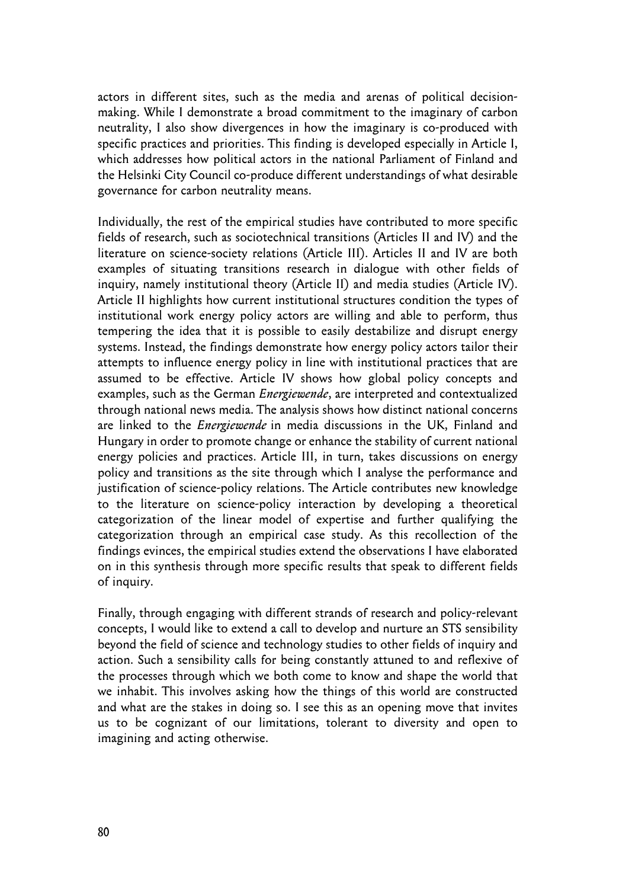actors in different sites, such as the media and arenas of political decisionmaking. While I demonstrate a broad commitment to the imaginary of carbon neutrality, I also show divergences in how the imaginary is co-produced with specific practices and priorities. This finding is developed especially in Article I, which addresses how political actors in the national Parliament of Finland and the Helsinki City Council co-produce different understandings of what desirable governance for carbon neutrality means.

Individually, the rest of the empirical studies have contributed to more specific fields of research, such as sociotechnical transitions (Articles II and IV) and the literature on science-society relations (Article III). Articles II and IV are both examples of situating transitions research in dialogue with other fields of inquiry, namely institutional theory (Article II) and media studies (Article IV). Article II highlights how current institutional structures condition the types of institutional work energy policy actors are willing and able to perform, thus tempering the idea that it is possible to easily destabilize and disrupt energy systems. Instead, the findings demonstrate how energy policy actors tailor their attempts to influence energy policy in line with institutional practices that are assumed to be effective. Article IV shows how global policy concepts and examples, such as the German *Energiewende*, are interpreted and contextualized through national news media. The analysis shows how distinct national concerns are linked to the *Energiewende* in media discussions in the UK, Finland and Hungary in order to promote change or enhance the stability of current national energy policies and practices. Article III, in turn, takes discussions on energy policy and transitions as the site through which I analyse the performance and justification of science-policy relations. The Article contributes new knowledge to the literature on science-policy interaction by developing a theoretical categorization of the linear model of expertise and further qualifying the categorization through an empirical case study. As this recollection of the findings evinces, the empirical studies extend the observations I have elaborated on in this synthesis through more specific results that speak to different fields of inquiry.

Finally, through engaging with different strands of research and policy-relevant concepts, I would like to extend a call to develop and nurture an STS sensibility beyond the field of science and technology studies to other fields of inquiry and action. Such a sensibility calls for being constantly attuned to and reflexive of the processes through which we both come to know and shape the world that we inhabit. This involves asking how the things of this world are constructed and what are the stakes in doing so. I see this as an opening move that invites us to be cognizant of our limitations, tolerant to diversity and open to imagining and acting otherwise.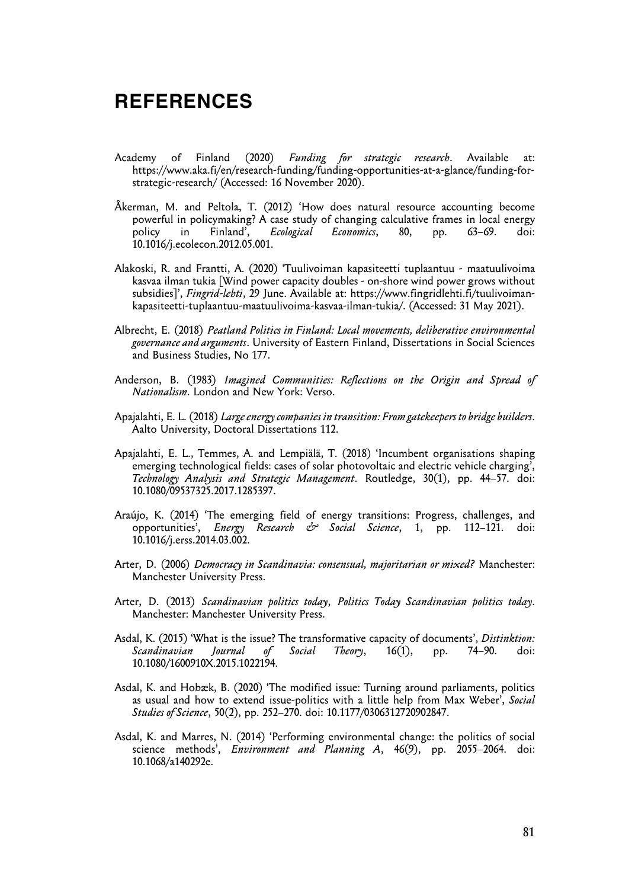## **REFERENCES**

- Academy of Finland (2020) *Funding for strategic research*. Available at: https://www.aka.fi/en/research-funding/funding-opportunities-at-a-glance/funding-forstrategic-research/ (Accessed: 16 November 2020).
- Åkerman, M. and Peltola, T. (2012) 'How does natural resource accounting become powerful in policymaking? A case study of changing calculative frames in local energy<br>policy in Finland', *Ecological Economics*, 80, pp. 63–69. doi: policy in Finland', *Ecological Economics*, 80, pp. 63–69. doi: 10.1016/j.ecolecon.2012.05.001.
- Alakoski, R. and Frantti, A. (2020) 'Tuulivoiman kapasiteetti tuplaantuu maatuulivoima kasvaa ilman tukia [Wind power capacity doubles - on-shore wind power grows without subsidies]', *Fingrid-lehti*, 29 June. Available at: https://www.fingridlehti.fi/tuulivoimankapasiteetti-tuplaantuu-maatuulivoima-kasvaa-ilman-tukia/. (Accessed: 31 May 2021).
- Albrecht, E. (2018) *Peatland Politics in Finland: Local movements, deliberative environmental governance and arguments*. University of Eastern Finland, Dissertations in Social Sciences and Business Studies, No 177.
- Anderson, B. (1983) *Imagined Communities: Reflections on the Origin and Spread of Nationalism*. London and New York: Verso.
- Apajalahti, E. L. (2018) *Large energy companies in transition: From gatekeepers to bridge builders*. Aalto University, Doctoral Dissertations 112.
- Apajalahti, E. L., Temmes, A. and Lempiälä, T. (2018) 'Incumbent organisations shaping emerging technological fields: cases of solar photovoltaic and electric vehicle charging', *Technology Analysis and Strategic Management*. Routledge, 30(1), pp. 44–57. doi: 10.1080/09537325.2017.1285397.
- Araújo, K. (2014) 'The emerging field of energy transitions: Progress, challenges, and opportunities', *Energy Research & Social Science*, 1, pp. 112–121. doi: 10.1016/j.erss.2014.03.002.
- Arter, D. (2006) *Democracy in Scandinavia: consensual, majoritarian or mixed?* Manchester: Manchester University Press.
- Arter, D. (2013) *Scandinavian politics today*, *Politics Today Scandinavian politics today*. Manchester: Manchester University Press.
- Asdal, K. (2015) 'What is the issue? The transformative capacity of documents', *Distinktion: Scandinavian Journal of Social Theory*, 16(1), pp. 74–90. doi: 10.1080/1600910X.2015.1022194.
- Asdal, K. and Hobæk, B. (2020) 'The modified issue: Turning around parliaments, politics as usual and how to extend issue-politics with a little help from Max Weber', *Social Studies of Science*, 50(2), pp. 252–270. doi: 10.1177/0306312720902847.
- Asdal, K. and Marres, N. (2014) 'Performing environmental change: the politics of social science methods', *Environment and Planning A*, 46(9), pp. 2055–2064. doi: 10.1068/a140292e.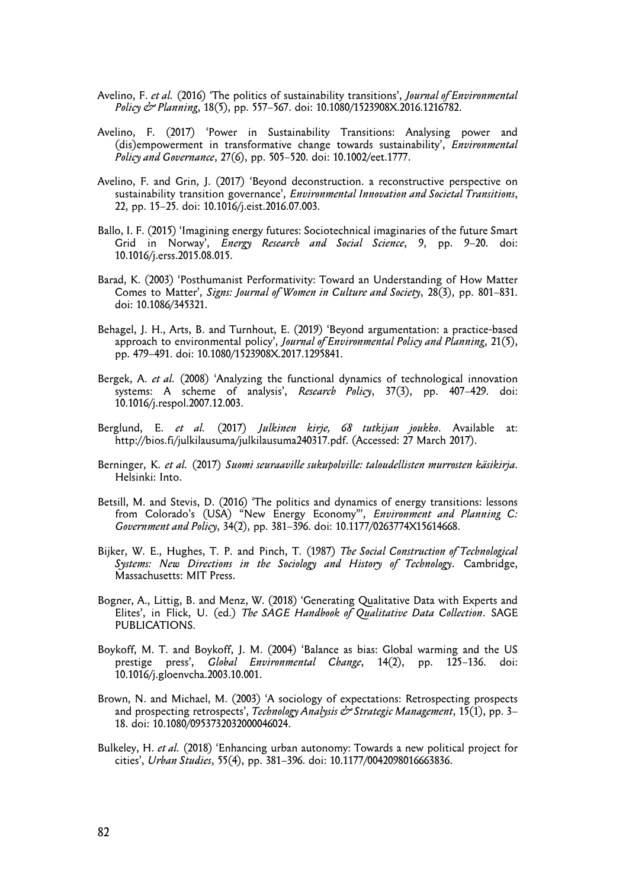- Avelino, F. *et al.* (2016) 'The politics of sustainability transitions', *Journal of Environmental Policy & Planning*, 18(5), pp. 557–567. doi: 10.1080/1523908X.2016.1216782.
- Avelino, F. (2017) 'Power in Sustainability Transitions: Analysing power and (dis)empowerment in transformative change towards sustainability', *Environmental Policy and Governance*, 27(6), pp. 505–520. doi: 10.1002/eet.1777.
- Avelino, F. and Grin, J. (2017) 'Beyond deconstruction. a reconstructive perspective on sustainability transition governance', *Environmental Innovation and Societal Transitions*, 22, pp. 15–25. doi: 10.1016/j.eist.2016.07.003.
- Ballo, I. F. (2015) 'Imagining energy futures: Sociotechnical imaginaries of the future Smart Grid in Norway', *Energy Research and Social Science*, 9, pp. 9–20. doi: 10.1016/j.erss.2015.08.015.
- Barad, K. (2003) 'Posthumanist Performativity: Toward an Understanding of How Matter Comes to Matter', *Signs: Journal of Women in Culture and Society*, 28(3), pp. 801–831. doi: 10.1086/345321.
- Behagel, J. H., Arts, B. and Turnhout, E. (2019) 'Beyond argumentation: a practice-based approach to environmental policy', *Journal of Environmental Policy and Planning*, 21(5), pp. 479–491. doi: 10.1080/1523908X.2017.1295841.
- Bergek, A. *et al.* (2008) 'Analyzing the functional dynamics of technological innovation systems: A scheme of analysis', *Research Policy*, 37(3), pp. 407–429. doi: 10.1016/j.respol.2007.12.003.
- Berglund, E. *et al.* (2017) *Julkinen kirje, 68 tutkijan joukko*. Available at: http://bios.fi/julkilausuma/julkilausuma240317.pdf. (Accessed: 27 March 2017).
- Berninger, K. *et al.* (2017) *Suomi seuraaville sukupolville: taloudellisten murrosten käsikirja*. Helsinki: Into.
- Betsill, M. and Stevis, D. (2016) 'The politics and dynamics of energy transitions: lessons from Colorado's (USA) "New Energy Economy"', *Environment and Planning C: Government and Policy*, 34(2), pp. 381–396. doi: 10.1177/0263774X15614668.
- Bijker, W. E., Hughes, T. P. and Pinch, T. (1987) *The Social Construction of Technological Systems: New Directions in the Sociology and History of Technology*. Cambridge, Massachusetts: MIT Press.
- Bogner, A., Littig, B. and Menz, W. (2018) 'Generating Qualitative Data with Experts and Elites', in Flick, U. (ed.) *The SAGE Handbook of Qualitative Data Collection*. SAGE PUBLICATIONS.
- Boykoff, M. T. and Boykoff, J. M. (2004) 'Balance as bias: Global warming and the US prestige press', *Global Environmental Change*, 14(2), pp. 125–136. doi: 10.1016/j.gloenvcha.2003.10.001.
- Brown, N. and Michael, M. (2003) 'A sociology of expectations: Retrospecting prospects and prospecting retrospects', *Technology Analysis & Strategic Management*, 15(1), pp. 3– 18. doi: 10.1080/0953732032000046024.
- Bulkeley, H. *et al.* (2018) 'Enhancing urban autonomy: Towards a new political project for cities', *Urban Studies*, 55(4), pp. 381–396. doi: 10.1177/0042098016663836.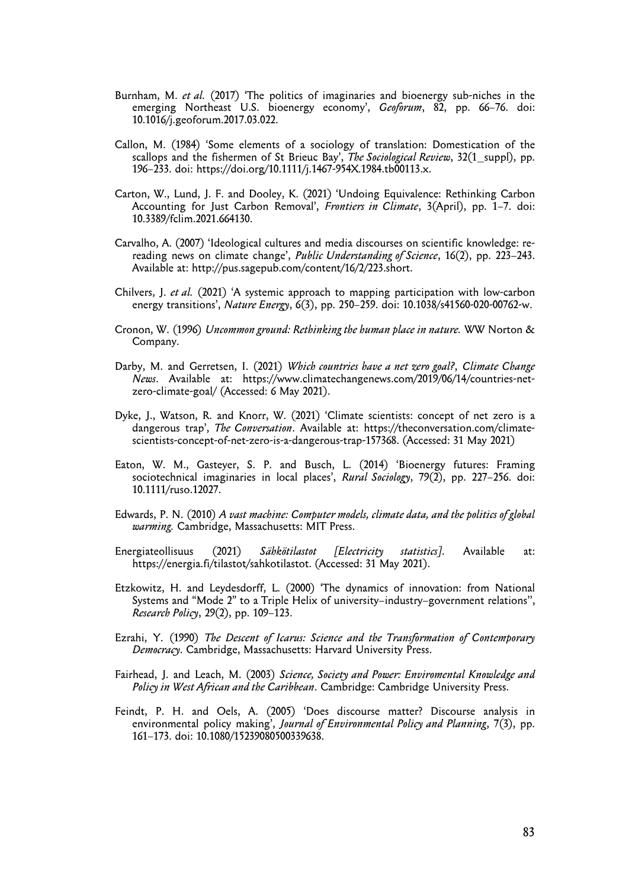- Burnham, M. *et al.* (2017) 'The politics of imaginaries and bioenergy sub-niches in the emerging Northeast U.S. bioenergy economy', *Geoforum*, 82, pp. 66–76. doi: 10.1016/j.geoforum.2017.03.022.
- Callon, M. (1984) 'Some elements of a sociology of translation: Domestication of the scallops and the fishermen of St Brieuc Bay', *The Sociological Review*, 32(1\_suppl), pp. 196–233. doi: https://doi.org/10.1111/j.1467-954X.1984.tb00113.x.
- Carton, W., Lund, J. F. and Dooley, K. (2021) 'Undoing Equivalence: Rethinking Carbon Accounting for Just Carbon Removal', *Frontiers in Climate*, 3(April), pp. 1–7. doi: 10.3389/fclim.2021.664130.
- Carvalho, A. (2007) 'Ideological cultures and media discourses on scientific knowledge: rereading news on climate change', *Public Understanding of Science*, 16(2), pp. 223–243. Available at: http://pus.sagepub.com/content/16/2/223.short.
- Chilvers, J. *et al.* (2021) 'A systemic approach to mapping participation with low-carbon energy transitions', *Nature Energy*, 6(3), pp. 250–259. doi: 10.1038/s41560-020-00762-w.
- Cronon, W. (1996) *Uncommon ground: Rethinking the human place in nature.* WW Norton & Company.
- Darby, M. and Gerretsen, I. (2021) *Which countries have a net zero goal?*, *Climate Change News*. Available at: https://www.climatechangenews.com/2019/06/14/countries-netzero-climate-goal/ (Accessed: 6 May 2021).
- Dyke, J., Watson, R. and Knorr, W. (2021) 'Climate scientists: concept of net zero is a dangerous trap', *The Conversation*. Available at: https://theconversation.com/climatescientists-concept-of-net-zero-is-a-dangerous-trap-157368. (Accessed: 31 May 2021)
- Eaton, W. M., Gasteyer, S. P. and Busch, L. (2014) 'Bioenergy futures: Framing sociotechnical imaginaries in local places', *Rural Sociology*, 79(2), pp. 227–256. doi: 10.1111/ruso.12027.
- Edwards, P. N. (2010) *A vast machine: Computer models, climate data, and the politics of global warming.* Cambridge, Massachusetts: MIT Press.
- Energiateollisuus (2021) *Sähkötilastot [Electricity statistics]*. Available at: https://energia.fi/tilastot/sahkotilastot. (Accessed: 31 May 2021).
- Etzkowitz, H. and Leydesdorff, L. (2000) 'The dynamics of innovation: from National Systems and "Mode 2" to a Triple Helix of university–industry–government relations'', *Research Policy*, 29(2), pp. 109–123.
- Ezrahi, Y. (1990) *The Descent of Icarus: Science and the Transformation of Contemporary Democracy*. Cambridge, Massachusetts: Harvard University Press.
- Fairhead, J. and Leach, M. (2003) *Science, Society and Power: Enviromental Knowledge and Policy in West African and the Caribbean*. Cambridge: Cambridge University Press.
- Feindt, P. H. and Oels, A. (2005) 'Does discourse matter? Discourse analysis in environmental policy making', *Journal of Environmental Policy and Planning*, 7(3), pp. 161–173. doi: 10.1080/15239080500339638.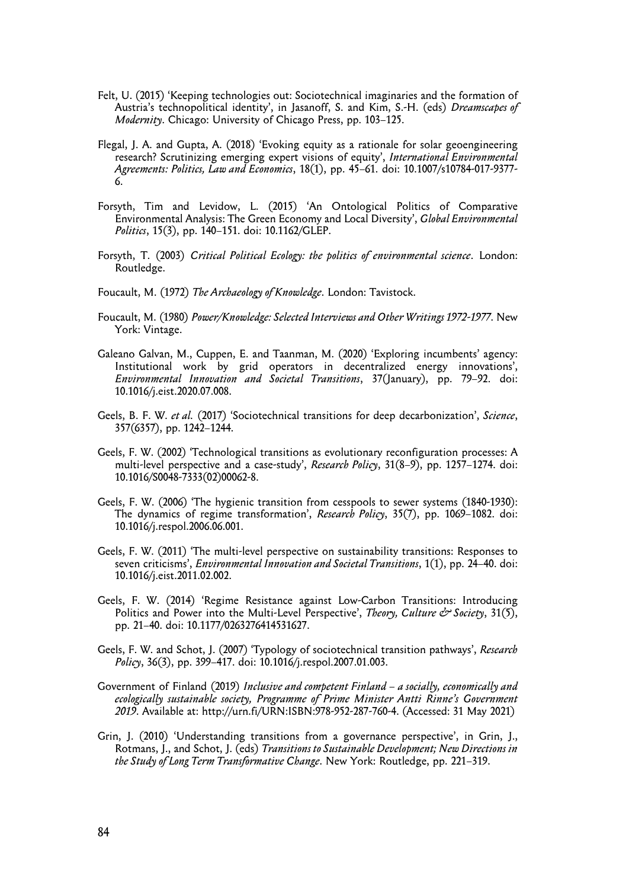- Felt, U. (2015) 'Keeping technologies out: Sociotechnical imaginaries and the formation of Austria's technopolitical identity', in Jasanoff, S. and Kim, S.-H. (eds) *Dreamscapes of Modernity*. Chicago: University of Chicago Press, pp. 103–125.
- Flegal, J. A. and Gupta, A. (2018) 'Evoking equity as a rationale for solar geoengineering research? Scrutinizing emerging expert visions of equity', *International Environmental Agreements: Politics, Law and Economics*, 18(1), pp. 45–61. doi: 10.1007/s10784-017-9377- 6.
- Forsyth, Tim and Levidow, L. (2015) 'An Ontological Politics of Comparative Environmental Analysis: The Green Economy and Local Diversity', *Global Environmental Politics*, 15(3), pp. 140–151. doi: 10.1162/GLEP.
- Forsyth, T. (2003) *Critical Political Ecology: the politics of environmental science*. London: Routledge.
- Foucault, M. (1972) *The Archaeology of Knowledge*. London: Tavistock.
- Foucault, M. (1980) *Power/Knowledge: Selected Interviews and Other Writings 1972-1977*. New York: Vintage.
- Galeano Galvan, M., Cuppen, E. and Taanman, M. (2020) 'Exploring incumbents' agency: Institutional work by grid operators in decentralized energy innovations', *Environmental Innovation and Societal Transitions*, 37(January), pp. 79–92. doi: 10.1016/j.eist.2020.07.008.
- Geels, B. F. W. *et al.* (2017) 'Sociotechnical transitions for deep decarbonization', *Science*, 357(6357), pp. 1242–1244.
- Geels, F. W. (2002) 'Technological transitions as evolutionary reconfiguration processes: A multi-level perspective and a case-study', *Research Policy*, 31(8–9), pp. 1257–1274. doi: 10.1016/S0048-7333(02)00062-8.
- Geels, F. W. (2006) 'The hygienic transition from cesspools to sewer systems (1840-1930): The dynamics of regime transformation', *Research Policy*, 35(7), pp. 1069–1082. doi: 10.1016/j.respol.2006.06.001.
- Geels, F. W. (2011) 'The multi-level perspective on sustainability transitions: Responses to seven criticisms', *Environmental Innovation and Societal Transitions*, 1(1), pp. 24–40. doi: 10.1016/j.eist.2011.02.002.
- Geels, F. W. (2014) 'Regime Resistance against Low-Carbon Transitions: Introducing Politics and Power into the Multi-Level Perspective', *Theory, Culture & Society*, 31(5), pp. 21–40. doi: 10.1177/0263276414531627.
- Geels, F. W. and Schot, J. (2007) 'Typology of sociotechnical transition pathways', *Research Policy*, 36(3), pp. 399–417. doi: 10.1016/j.respol.2007.01.003.
- Government of Finland (2019) *Inclusive and competent Finland a socially, economically and ecologically sustainable society, Programme of Prime Minister Antti Rinne's Government 2019*. Available at: http://urn.fi/URN:ISBN:978-952-287-760-4. (Accessed: 31 May 2021)
- Grin, J. (2010) 'Understanding transitions from a governance perspective', in Grin, J., Rotmans, J., and Schot, J. (eds) *Transitions to Sustainable Development; New Directions in the Study of Long Term Transformative Change*. New York: Routledge, pp. 221–319.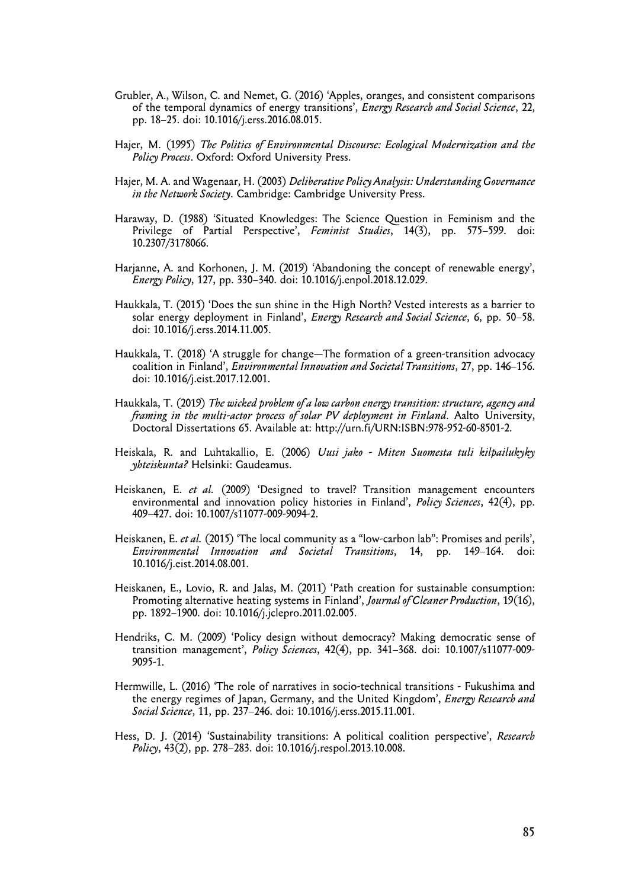- Grubler, A., Wilson, C. and Nemet, G. (2016) 'Apples, oranges, and consistent comparisons of the temporal dynamics of energy transitions', *Energy Research and Social Science*, 22, pp. 18–25. doi: 10.1016/j.erss.2016.08.015.
- Hajer, M. (1995) *The Politics of Environmental Discourse: Ecological Modernization and the Policy Process*. Oxford: Oxford University Press.
- Hajer, M. A. and Wagenaar, H. (2003) *Deliberative Policy Analysis: Understanding Governance in the Network Society*. Cambridge: Cambridge University Press.
- Haraway, D. (1988) 'Situated Knowledges: The Science Question in Feminism and the Privilege of Partial Perspective', *Feminist Studies*, 14(3), pp. 575–599. doi: 10.2307/3178066.
- Harjanne, A. and Korhonen, J. M. (2019) 'Abandoning the concept of renewable energy', *Energy Policy*, 127, pp. 330–340. doi: 10.1016/j.enpol.2018.12.029.
- Haukkala, T. (2015) 'Does the sun shine in the High North? Vested interests as a barrier to solar energy deployment in Finland', *Energy Research and Social Science*, 6, pp. 50–58. doi: 10.1016/j.erss.2014.11.005.
- Haukkala, T. (2018) 'A struggle for change—The formation of a green-transition advocacy coalition in Finland', *Environmental Innovation and Societal Transitions*, 27, pp. 146–156. doi: 10.1016/j.eist.2017.12.001.
- Haukkala, T. (2019) *The wicked problem of a low carbon energy transition: structure, agency and framing in the multi-actor process of solar PV deployment in Finland*. Aalto University, Doctoral Dissertations 65. Available at: http://urn.fi/URN:ISBN:978-952-60-8501-2.
- Heiskala, R. and Luhtakallio, E. (2006) *Uusi jako Miten Suomesta tuli kilpailukyky yhteiskunta?* Helsinki: Gaudeamus.
- Heiskanen, E. *et al.* (2009) 'Designed to travel? Transition management encounters environmental and innovation policy histories in Finland', *Policy Sciences*, 42(4), pp. 409–427. doi: 10.1007/s11077-009-9094-2.
- Heiskanen, E. *et al.* (2015) 'The local community as a "low-carbon lab": Promises and perils', *Environmental Innovation and Societal Transitions*, 14, pp. 149–164. doi: 10.1016/j.eist.2014.08.001.
- Heiskanen, E., Lovio, R. and Jalas, M. (2011) 'Path creation for sustainable consumption: Promoting alternative heating systems in Finland', *Journal of Cleaner Production*, 19(16), pp. 1892–1900. doi: 10.1016/j.jclepro.2011.02.005.
- Hendriks, C. M. (2009) 'Policy design without democracy? Making democratic sense of transition management', *Policy Sciences*, 42(4), pp. 341–368. doi: 10.1007/s11077-009- 9095-1.
- Hermwille, L. (2016) 'The role of narratives in socio-technical transitions Fukushima and the energy regimes of Japan, Germany, and the United Kingdom', *Energy Research and Social Science*, 11, pp. 237–246. doi: 10.1016/j.erss.2015.11.001.
- Hess, D. J. (2014) 'Sustainability transitions: A political coalition perspective', *Research Policy*, 43(2), pp. 278–283. doi: 10.1016/j.respol.2013.10.008.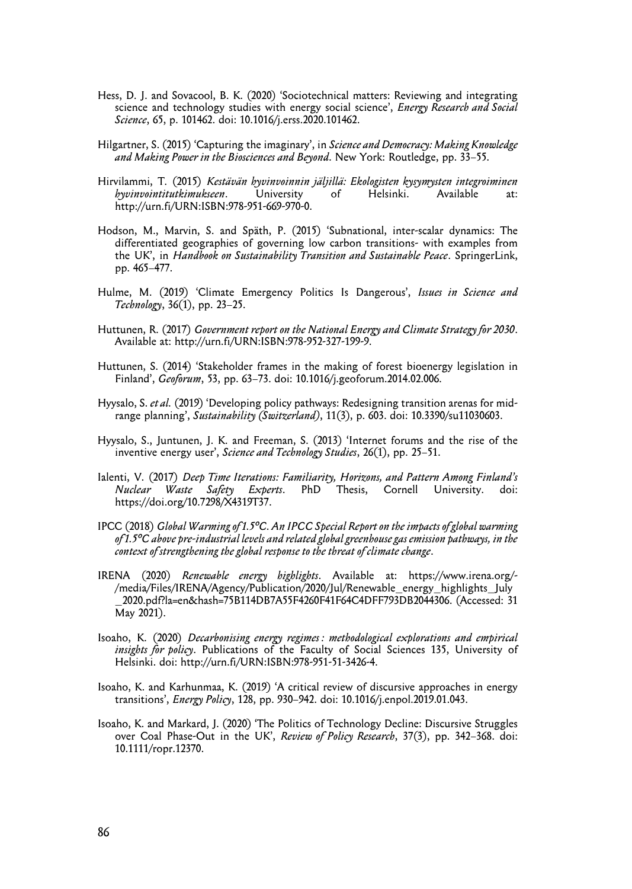- Hess, D. J. and Sovacool, B. K. (2020) 'Sociotechnical matters: Reviewing and integrating science and technology studies with energy social science', *Energy Research and Social Science*, 65, p. 101462. doi: 10.1016/j.erss.2020.101462.
- Hilgartner, S. (2015) 'Capturing the imaginary', in *Science and Democracy: Making Knowledge and Making Power in the Biosciences and Beyond*. New York: Routledge, pp. 33–55.
- Hirvilammi, T. (2015) *Kestävän hyvinvoinnin jäljillä: Ekologisten kysymysten integroiminen hyvinvointitutkimukseen*. University of Helsinki. Available at: http://urn.fi/URN:ISBN:978-951-669-970-0.
- Hodson, M., Marvin, S. and Späth, P. (2015) 'Subnational, inter-scalar dynamics: The differentiated geographies of governing low carbon transitions- with examples from the UK', in *Handbook on Sustainability Transition and Sustainable Peace*. SpringerLink, pp. 465–477.
- Hulme, M. (2019) 'Climate Emergency Politics Is Dangerous', *Issues in Science and Technology*, 36(1), pp. 23–25.
- Huttunen, R. (2017) *Government report on the National Energy and Climate Strategy for 2030*. Available at: http://urn.fi/URN:ISBN:978-952-327-199-9.
- Huttunen, S. (2014) 'Stakeholder frames in the making of forest bioenergy legislation in Finland', *Geoforum*, 53, pp. 63–73. doi: 10.1016/j.geoforum.2014.02.006.
- Hyysalo, S. *et al.* (2019) 'Developing policy pathways: Redesigning transition arenas for midrange planning', *Sustainability (Switzerland)*, 11(3), p. 603. doi: 10.3390/su11030603.
- Hyysalo, S., Juntunen, J. K. and Freeman, S. (2013) 'Internet forums and the rise of the inventive energy user', *Science and Technology Studies*, 26(1), pp. 25–51.
- Ialenti, V. (2017) *Deep Time Iterations: Familiarity, Horizons, and Pattern Among Finland's Nuclear Waste Safety Experts*. PhD Thesis, Cornell University. doi: https://doi.org/10.7298/X4319T37.
- IPCC (2018) *Global Warming of 1.5°C. An IPCC Special Report on the impacts of global warming of 1.5°C above pre-industrial levels and related global greenhouse gas emission pathways, in the context of strengthening the global response to the threat of climate change*.
- IRENA (2020) *Renewable energy highlights*. Available at: https://www.irena.org/- /media/Files/IRENA/Agency/Publication/2020/Jul/Renewable\_energy\_highlights\_July \_2020.pdf?la=en&hash=75B114DB7A55F4260F41F64C4DFF793DB2044306. (Accessed: 31 May 2021).
- Isoaho, K. (2020) *Decarbonising energy regimes : methodological explorations and empirical insights for policy*. Publications of the Faculty of Social Sciences 135, University of Helsinki. doi: http://urn.fi/URN:ISBN:978-951-51-3426-4.
- Isoaho, K. and Karhunmaa, K. (2019) 'A critical review of discursive approaches in energy transitions', *Energy Policy*, 128, pp. 930–942. doi: 10.1016/j.enpol.2019.01.043.
- Isoaho, K. and Markard, J. (2020) 'The Politics of Technology Decline: Discursive Struggles over Coal Phase-Out in the UK', *Review of Policy Research*, 37(3), pp. 342–368. doi: 10.1111/ropr.12370.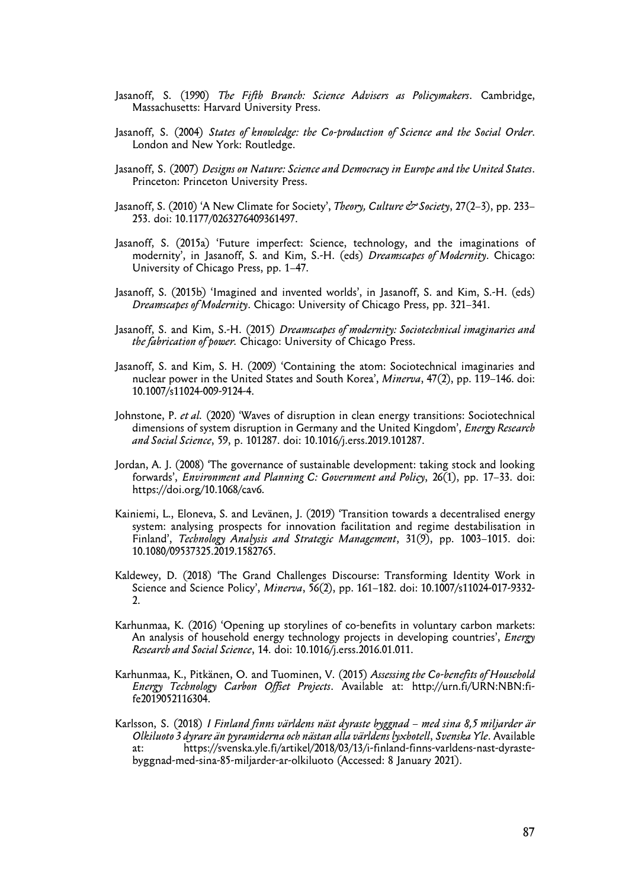- Jasanoff, S. (1990) *The Fifth Branch: Science Advisers as Policymakers*. Cambridge, Massachusetts: Harvard University Press.
- Jasanoff, S. (2004) *States of knowledge: the Co-production of Science and the Social Order*. London and New York: Routledge.
- Jasanoff, S. (2007) *Designs on Nature: Science and Democracy in Europe and the United States*. Princeton: Princeton University Press.
- Jasanoff, S. (2010) 'A New Climate for Society', *Theory, Culture & Society*, 27(2–3), pp. 233– 253. doi: 10.1177/0263276409361497.
- Jasanoff, S. (2015a) 'Future imperfect: Science, technology, and the imaginations of modernity', in Jasanoff, S. and Kim, S.-H. (eds) *Dreamscapes of Modernity*. Chicago: University of Chicago Press, pp. 1–47.
- Jasanoff, S. (2015b) 'Imagined and invented worlds', in Jasanoff, S. and Kim, S.-H. (eds) *Dreamscapes of Modernity*. Chicago: University of Chicago Press, pp. 321–341.
- Jasanoff, S. and Kim, S.-H. (2015) *Dreamscapes of modernity: Sociotechnical imaginaries and the fabrication of power.* Chicago: University of Chicago Press.
- Jasanoff, S. and Kim, S. H. (2009) 'Containing the atom: Sociotechnical imaginaries and nuclear power in the United States and South Korea', *Minerva*, 47(2), pp. 119–146. doi: 10.1007/s11024-009-9124-4.
- Johnstone, P. *et al.* (2020) 'Waves of disruption in clean energy transitions: Sociotechnical dimensions of system disruption in Germany and the United Kingdom', *Energy Research and Social Science*, 59, p. 101287. doi: 10.1016/j.erss.2019.101287.
- Jordan, A. J. (2008) 'The governance of sustainable development: taking stock and looking forwards', *Environment and Planning C: Government and Policy*, 26(1), pp. 17–33. doi: https://doi.org/10.1068/cav6.
- Kainiemi, L., Eloneva, S. and Levänen, J. (2019) 'Transition towards a decentralised energy system: analysing prospects for innovation facilitation and regime destabilisation in Finland', *Technology Analysis and Strategic Management*, 31(9), pp. 1003–1015. doi: 10.1080/09537325.2019.1582765.
- Kaldewey, D. (2018) 'The Grand Challenges Discourse: Transforming Identity Work in Science and Science Policy', *Minerva*, 56(2), pp. 161–182. doi: 10.1007/s11024-017-9332- 2.
- Karhunmaa, K. (2016) 'Opening up storylines of co-benefits in voluntary carbon markets: An analysis of household energy technology projects in developing countries', *Energy Research and Social Science*, 14. doi: 10.1016/j.erss.2016.01.011.
- Karhunmaa, K., Pitkänen, O. and Tuominen, V. (2015) *Assessing the Co-benefits of Household Energy Technology Carbon Offset Projects*. Available at: http://urn.fi/URN:NBN:fife2019052116304.
- Karlsson, S. (2018) *I Finland finns världens näst dyraste byggnad med sina 8,5 miljarder är Olkiluoto 3 dyrare än pyramiderna och nästan alla världens lyxhotell*, *Svenska Yle*. Available at: https://svenska.yle.fi/artikel/2018/03/13/i-finland-finns-varldens-nast-dyrastebyggnad-med-sina-85-miljarder-ar-olkiluoto (Accessed: 8 January 2021).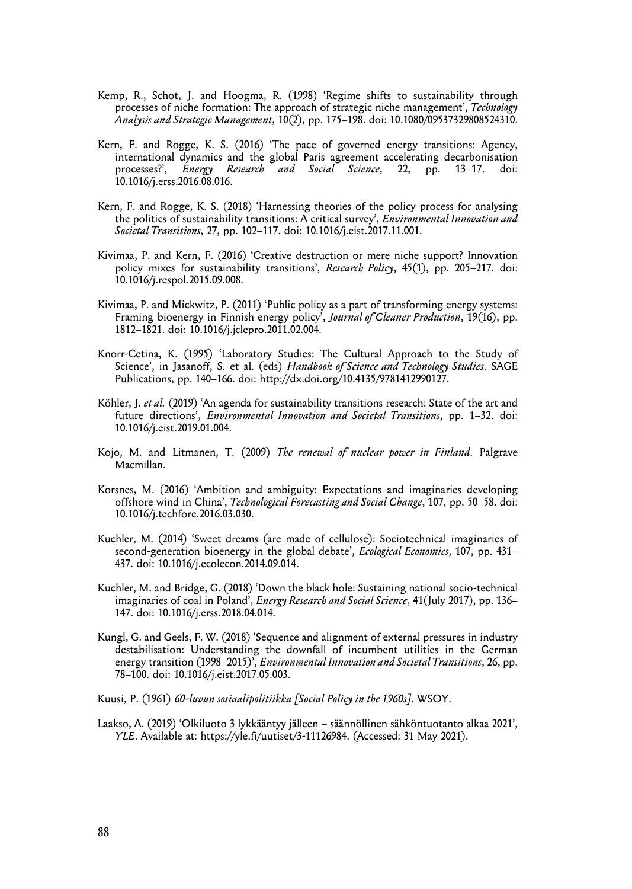- Kemp, R., Schot, J. and Hoogma, R. (1998) 'Regime shifts to sustainability through processes of niche formation: The approach of strategic niche management', *Technology Analysis and Strategic Management*, 10(2), pp. 175–198. doi: 10.1080/09537329808524310.
- Kern, F. and Rogge, K. S. (2016) 'The pace of governed energy transitions: Agency, international dynamics and the global Paris agreement accelerating decarbonisation processes?', *Energy Research and Social Science*, 22, pp. 13–17. doi: 10.1016/j.erss.2016.08.016.
- Kern, F. and Rogge, K. S. (2018) 'Harnessing theories of the policy process for analysing the politics of sustainability transitions: A critical survey', *Environmental Innovation and Societal Transitions*, 27, pp. 102–117. doi: 10.1016/j.eist.2017.11.001.
- Kivimaa, P. and Kern, F. (2016) 'Creative destruction or mere niche support? Innovation policy mixes for sustainability transitions', *Research Policy*, 45(1), pp. 205–217. doi: 10.1016/j.respol.2015.09.008.
- Kivimaa, P. and Mickwitz, P. (2011) 'Public policy as a part of transforming energy systems: Framing bioenergy in Finnish energy policy', *Journal of Cleaner Production*, 19(16), pp. 1812–1821. doi: 10.1016/j.jclepro.2011.02.004.
- Knorr-Cetina, K. (1995) 'Laboratory Studies: The Cultural Approach to the Study of Science', in Jasanoff, S. et al. (eds) *Handbook of Science and Technology Studies*. SAGE Publications, pp. 140–166. doi: http://dx.doi.org/10.4135/9781412990127.
- Köhler, J. *et al.* (2019) 'An agenda for sustainability transitions research: State of the art and future directions', *Environmental Innovation and Societal Transitions*, pp. 1–32. doi: 10.1016/j.eist.2019.01.004.
- Kojo, M. and Litmanen, T. (2009) *The renewal of nuclear power in Finland*. Palgrave Macmillan.
- Korsnes, M. (2016) 'Ambition and ambiguity: Expectations and imaginaries developing offshore wind in China', *Technological Forecasting and Social Change*, 107, pp. 50–58. doi: 10.1016/j.techfore.2016.03.030.
- Kuchler, M. (2014) 'Sweet dreams (are made of cellulose): Sociotechnical imaginaries of second-generation bioenergy in the global debate', *Ecological Economics*, 107, pp. 431– 437. doi: 10.1016/j.ecolecon.2014.09.014.
- Kuchler, M. and Bridge, G. (2018) 'Down the black hole: Sustaining national socio-technical imaginaries of coal in Poland', *Energy Research and Social Science*, 41(July 2017), pp. 136– 147. doi: 10.1016/j.erss.2018.04.014.
- Kungl, G. and Geels, F. W. (2018) 'Sequence and alignment of external pressures in industry destabilisation: Understanding the downfall of incumbent utilities in the German energy transition (1998–2015)', *Environmental Innovation and Societal Transitions*, 26, pp. 78–100. doi: 10.1016/j.eist.2017.05.003.
- Kuusi, P. (1961) *60-luvun sosiaalipolitiikka [Social Policy in the 1960s]*. WSOY.
- Laakso, A. (2019) 'Olkiluoto 3 lykkääntyy jälleen säännöllinen sähköntuotanto alkaa 2021', *YLE*. Available at: https://yle.fi/uutiset/3-11126984. (Accessed: 31 May 2021).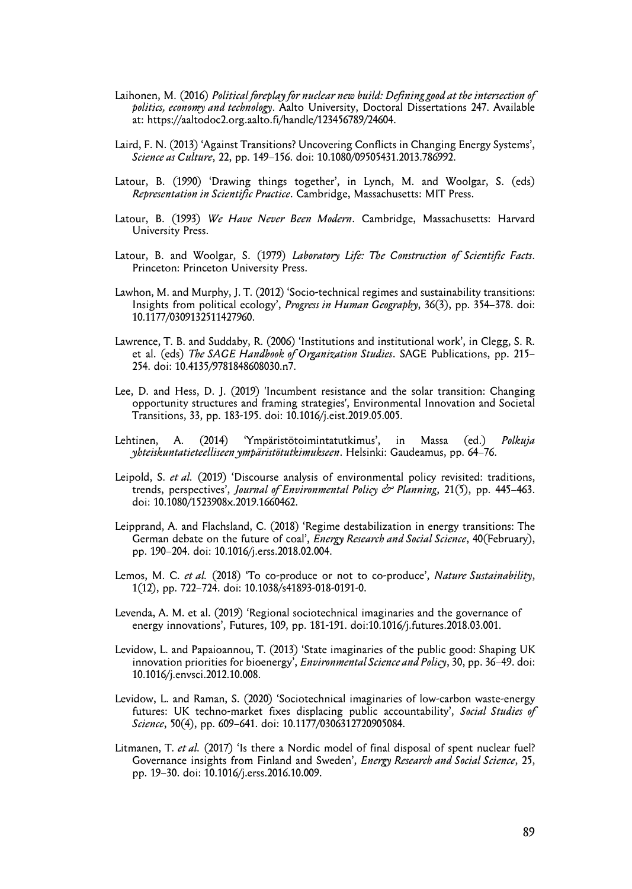- Laihonen, M. (2016) *Political foreplay for nuclear new build: Defining good at the intersection of politics, economy and technology*. Aalto University, Doctoral Dissertations 247. Available at: https://aaltodoc2.org.aalto.fi/handle/123456789/24604.
- Laird, F. N. (2013) 'Against Transitions? Uncovering Conflicts in Changing Energy Systems', *Science as Culture*, 22, pp. 149–156. doi: 10.1080/09505431.2013.786992.
- Latour, B. (1990) 'Drawing things together', in Lynch, M. and Woolgar, S. (eds) *Representation in Scientific Practice*. Cambridge, Massachusetts: MIT Press.
- Latour, B. (1993) *We Have Never Been Modern*. Cambridge, Massachusetts: Harvard University Press.
- Latour, B. and Woolgar, S. (1979) *Laboratory Life: The Construction of Scientific Facts*. Princeton: Princeton University Press.
- Lawhon, M. and Murphy, J. T. (2012) 'Socio-technical regimes and sustainability transitions: Insights from political ecology', *Progress in Human Geography*, 36(3), pp. 354–378. doi: 10.1177/0309132511427960.
- Lawrence, T. B. and Suddaby, R. (2006) 'Institutions and institutional work', in Clegg, S. R. et al. (eds) *The SAGE Handbook of Organization Studies*. SAGE Publications, pp. 215– 254. doi: 10.4135/9781848608030.n7.
- Lee, D. and Hess, D. J. (2019) 'Incumbent resistance and the solar transition: Changing opportunity structures and framing strategies', Environmental Innovation and Societal Transitions, 33, pp. 183-195. doi: 10.1016/j.eist.2019.05.005.
- Lehtinen, A. (2014) 'Ympäristötoimintatutkimus', in Massa (ed.) *Polkuja yhteiskuntatieteelliseen ympäristötutkimukseen*. Helsinki: Gaudeamus, pp. 64–76.
- Leipold, S. *et al.* (2019) 'Discourse analysis of environmental policy revisited: traditions, trends, perspectives', *Journal of Environmental Policy & Planning*, 21(5), pp. 445–463. doi: 10.1080/1523908x.2019.1660462.
- Leipprand, A. and Flachsland, C. (2018) 'Regime destabilization in energy transitions: The German debate on the future of coal', *Energy Research and Social Science*, 40(February), pp. 190–204. doi: 10.1016/j.erss.2018.02.004.
- Lemos, M. C. *et al.* (2018) 'To co-produce or not to co-produce', *Nature Sustainability*, 1(12), pp. 722–724. doi: 10.1038/s41893-018-0191-0.
- Levenda, A. M. et al. (2019) 'Regional sociotechnical imaginaries and the governance of energy innovations', Futures, 109, pp. 181-191. doi:10.1016/j.futures.2018.03.001.
- Levidow, L. and Papaioannou, T. (2013) 'State imaginaries of the public good: Shaping UK innovation priorities for bioenergy', *Environmental Science and Policy*, 30, pp. 36–49. doi: 10.1016/j.envsci.2012.10.008.
- Levidow, L. and Raman, S. (2020) 'Sociotechnical imaginaries of low-carbon waste-energy futures: UK techno-market fixes displacing public accountability', *Social Studies of Science*, 50(4), pp. 609–641. doi: 10.1177/0306312720905084.
- Litmanen, T. *et al.* (2017) 'Is there a Nordic model of final disposal of spent nuclear fuel? Governance insights from Finland and Sweden', *Energy Research and Social Science*, 25, pp. 19–30. doi: 10.1016/j.erss.2016.10.009.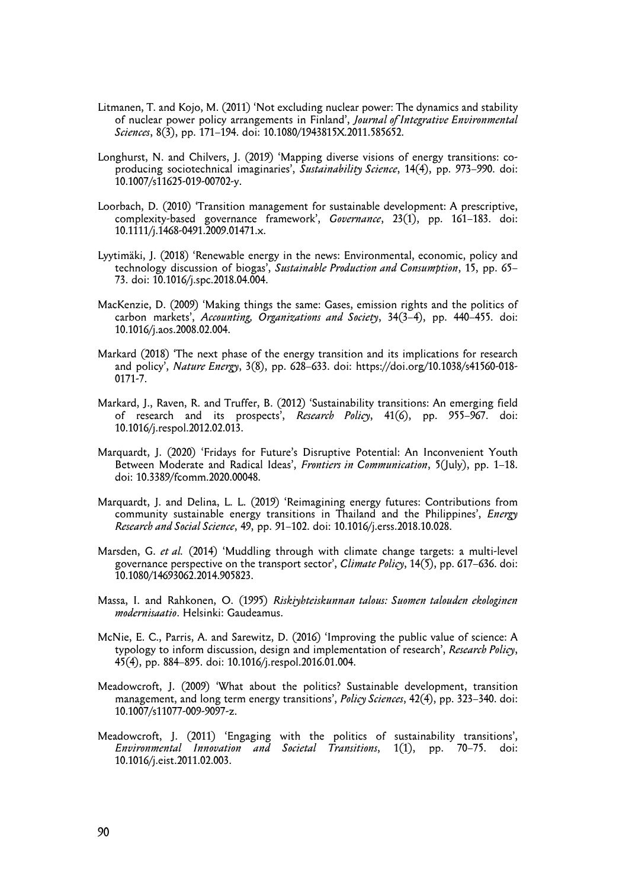- Litmanen, T. and Kojo, M. (2011) 'Not excluding nuclear power: The dynamics and stability of nuclear power policy arrangements in Finland', *Journal of Integrative Environmental Sciences*, 8(3), pp. 171–194. doi: 10.1080/1943815X.2011.585652.
- Longhurst, N. and Chilvers, J. (2019) 'Mapping diverse visions of energy transitions: coproducing sociotechnical imaginaries', *Sustainability Science*, 14(4), pp. 973–990. doi: 10.1007/s11625-019-00702-y.
- Loorbach, D. (2010) 'Transition management for sustainable development: A prescriptive, complexity-based governance framework', *Governance*, 23(1), pp. 161–183. doi: 10.1111/j.1468-0491.2009.01471.x.
- Lyytimäki, J. (2018) 'Renewable energy in the news: Environmental, economic, policy and technology discussion of biogas', *Sustainable Production and Consumption*, 15, pp. 65– 73. doi: 10.1016/j.spc.2018.04.004.
- MacKenzie, D. (2009) 'Making things the same: Gases, emission rights and the politics of carbon markets', *Accounting, Organizations and Society*, 34(3–4), pp. 440–455. doi: 10.1016/j.aos.2008.02.004.
- Markard (2018) 'The next phase of the energy transition and its implications for research and policy', *Nature Energy*, 3(8), pp. 628–633. doi: https://doi.org/10.1038/s41560-018- 0171-7.
- Markard, J., Raven, R. and Truffer, B. (2012) 'Sustainability transitions: An emerging field of research and its prospects', *Research Policy*, 41(6), pp. 955–967. doi: 10.1016/j.respol.2012.02.013.
- Marquardt, J. (2020) 'Fridays for Future's Disruptive Potential: An Inconvenient Youth Between Moderate and Radical Ideas', *Frontiers in Communication*, 5(July), pp. 1–18. doi: 10.3389/fcomm.2020.00048.
- Marquardt, J. and Delina, L. L. (2019) 'Reimagining energy futures: Contributions from community sustainable energy transitions in Thailand and the Philippines', *Energy Research and Social Science*, 49, pp. 91–102. doi: 10.1016/j.erss.2018.10.028.
- Marsden, G. *et al.* (2014) 'Muddling through with climate change targets: a multi-level governance perspective on the transport sector', *Climate Policy*, 14(5), pp. 617–636. doi: 10.1080/14693062.2014.905823.
- Massa, I. and Rahkonen, O. (1995) *Riskiyhteiskunnan talous: Suomen talouden ekologinen modernisaatio*. Helsinki: Gaudeamus.
- McNie, E. C., Parris, A. and Sarewitz, D. (2016) 'Improving the public value of science: A typology to inform discussion, design and implementation of research', *Research Policy*, 45(4), pp. 884–895. doi: 10.1016/j.respol.2016.01.004.
- Meadowcroft, J. (2009) 'What about the politics? Sustainable development, transition management, and long term energy transitions', *Policy Sciences*, 42(4), pp. 323–340. doi: 10.1007/s11077-009-9097-z.
- Meadowcroft, J. (2011) 'Engaging with the politics of sustainability transitions', *Environmental Innovation and Societal Transitions*, 1(1), pp. 70–75. doi: 10.1016/j.eist.2011.02.003.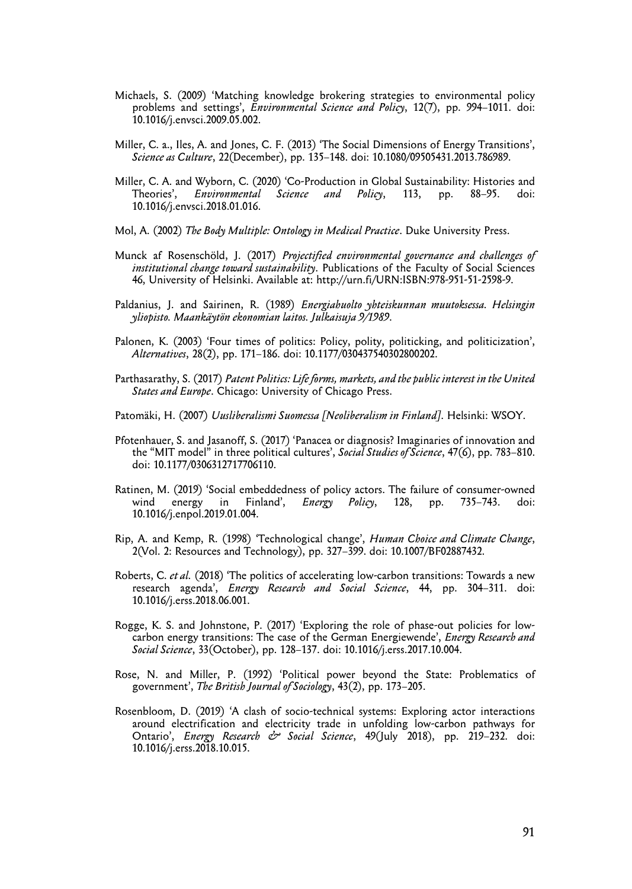- Michaels, S. (2009) 'Matching knowledge brokering strategies to environmental policy problems and settings', *Environmental Science and Policy*, 12(7), pp. 994–1011. doi: 10.1016/j.envsci.2009.05.002.
- Miller, C. a., Iles, A. and Jones, C. F. (2013) 'The Social Dimensions of Energy Transitions', *Science as Culture*, 22(December), pp. 135–148. doi: 10.1080/09505431.2013.786989.
- Miller, C. A. and Wyborn, C. (2020) 'Co-Production in Global Sustainability: Histories and Theories', *Environmental Science and Policy*, 113, pp. 88–95. doi: 10.1016/j.envsci.2018.01.016.
- Mol, A. (2002) *The Body Multiple: Ontology in Medical Practice*. Duke University Press.
- Munck af Rosenschöld, J. (2017) *Projectified environmental governance and challenges of institutional change toward sustainability*. Publications of the Faculty of Social Sciences 46, University of Helsinki. Available at: http://urn.fi/URN:ISBN:978-951-51-2598-9.
- Paldanius, J. and Sairinen, R. (1989) *Energiahuolto yhteiskunnan muutoksessa. Helsingin yliopisto. Maankäytön ekonomian laitos. Julkaisuja 9/1989*.
- Palonen, K. (2003) 'Four times of politics: Policy, polity, politicking, and politicization', *Alternatives*, 28(2), pp. 171–186. doi: 10.1177/030437540302800202.
- Parthasarathy, S. (2017) *Patent Politics: Life forms, markets, and the public interest in the United States and Europe*. Chicago: University of Chicago Press.
- Patomäki, H. (2007) *Uusliberalismi Suomessa [Neoliberalism in Finland]*. Helsinki: WSOY.
- Pfotenhauer, S. and Jasanoff, S. (2017) 'Panacea or diagnosis? Imaginaries of innovation and the "MIT model" in three political cultures', *Social Studies of Science*, 47(6), pp. 783–810. doi: 10.1177/0306312717706110.
- Ratinen, M. (2019) 'Social embeddedness of policy actors. The failure of consumer-owned wind energy in Finland', *Energy Policy*, 128, pp. 735–743. doi: 10.1016/j.enpol.2019.01.004.
- Rip, A. and Kemp, R. (1998) 'Technological change', *Human Choice and Climate Change*, 2(Vol. 2: Resources and Technology), pp. 327–399. doi: 10.1007/BF02887432.
- Roberts, C. *et al.* (2018) 'The politics of accelerating low-carbon transitions: Towards a new research agenda', *Energy Research and Social Science*, 44, pp. 304–311. doi: 10.1016/j.erss.2018.06.001.
- Rogge, K. S. and Johnstone, P. (2017) 'Exploring the role of phase-out policies for lowcarbon energy transitions: The case of the German Energiewende', *Energy Research and Social Science*, 33(October), pp. 128–137. doi: 10.1016/j.erss.2017.10.004.
- Rose, N. and Miller, P. (1992) 'Political power beyond the State: Problematics of government', *The British Journal of Sociology*, 43(2), pp. 173–205.
- Rosenbloom, D. (2019) 'A clash of socio-technical systems: Exploring actor interactions around electrification and electricity trade in unfolding low-carbon pathways for Ontario', *Energy Research & Social Science*, 49(July 2018), pp. 219–232. doi: 10.1016/j.erss.2018.10.015.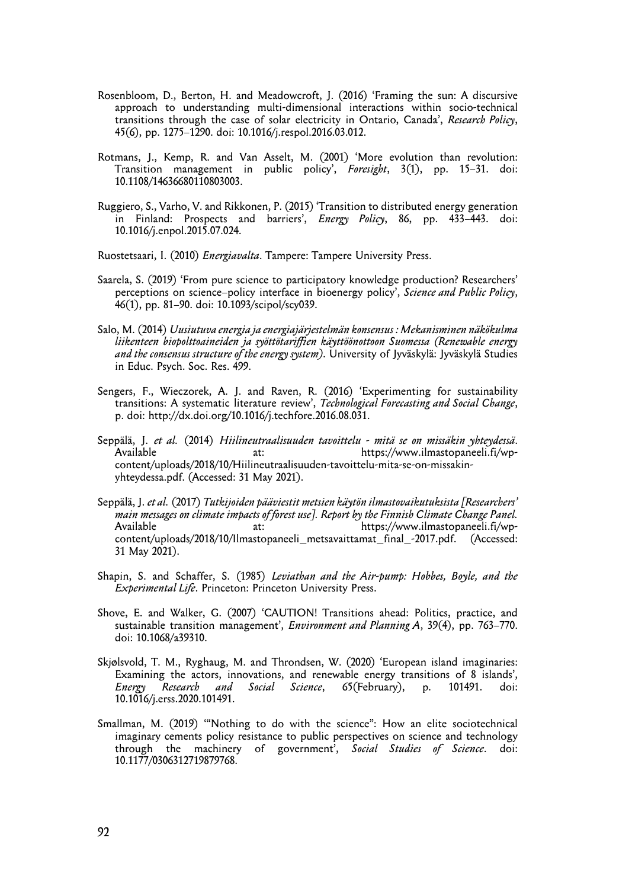- Rosenbloom, D., Berton, H. and Meadowcroft, J. (2016) 'Framing the sun: A discursive approach to understanding multi-dimensional interactions within socio-technical transitions through the case of solar electricity in Ontario, Canada', *Research Policy*, 45(6), pp. 1275–1290. doi: 10.1016/j.respol.2016.03.012.
- Rotmans, J., Kemp, R. and Van Asselt, M. (2001) 'More evolution than revolution: Transition management in public policy', *Foresight*, 3(1), pp. 15–31. doi: 10.1108/14636680110803003.
- Ruggiero, S., Varho, V. and Rikkonen, P. (2015) 'Transition to distributed energy generation in Finland: Prospects and barriers', *Energy Policy*, 86, pp. 433–443. doi: 10.1016/j.enpol.2015.07.024.
- Ruostetsaari, I. (2010) *Energiavalta*. Tampere: Tampere University Press.
- Saarela, S. (2019) 'From pure science to participatory knowledge production? Researchers' perceptions on science–policy interface in bioenergy policy', *Science and Public Policy*, 46(1), pp. 81–90. doi: 10.1093/scipol/scy039.
- Salo, M. (2014) *Uusiutuva energia ja energiajärjestelmän konsensus : Mekanisminen näkökulma liikenteen biopolttoaineiden ja syöttötariffien käyttöönottoon Suomessa (Renewable energy and the consensus structure of the energy system)*. University of Jyväskylä: Jyväskylä Studies in Educ. Psych. Soc. Res. 499.
- Sengers, F., Wieczorek, A. J. and Raven, R. (2016) 'Experimenting for sustainability transitions: A systematic literature review', *Technological Forecasting and Social Change*, p. doi: http://dx.doi.org/10.1016/j.techfore.2016.08.031.
- Seppälä, J. *et al.* (2014) *Hiilineutraalisuuden tavoittelu mitä se on missäkin yhteydessä*. at: https://www.ilmastopaneeli.fi/wpcontent/uploads/2018/10/Hiilineutraalisuuden-tavoittelu-mita-se-on-missakinyhteydessa.pdf. (Accessed: 31 May 2021).
- Seppälä, J. *et al.* (2017) *Tutkijoiden pääviestit metsien käytön ilmastovaikutuksista [Researchers' main messages on climate impacts of forest use]. Report by the Finnish Climate Change Panel.* at: https://www.ilmastopaneeli.fi/wpcontent/uploads/2018/10/Ilmastopaneeli\_metsavaittamat\_final\_-2017.pdf. (Accessed: 31 May 2021).
- Shapin, S. and Schaffer, S. (1985) *Leviathan and the Air-pump: Hobbes, Boyle, and the Experimental Life*. Princeton: Princeton University Press.
- Shove, E. and Walker, G. (2007) 'CAUTION! Transitions ahead: Politics, practice, and sustainable transition management', *Environment and Planning A*, 39(4), pp. 763–770. doi: 10.1068/a39310.
- Skjølsvold, T. M., Ryghaug, M. and Throndsen, W. (2020) 'European island imaginaries: Examining the actors, innovations, and renewable energy transitions of 8 islands', *Energy Research and Social Science*, 65(February), p. 101491. doi: 10.1016/j.erss.2020.101491.
- Smallman, M. (2019) '"Nothing to do with the science": How an elite sociotechnical imaginary cements policy resistance to public perspectives on science and technology through the machinery of government', *Social Studies of Science*. doi: 10.1177/0306312719879768.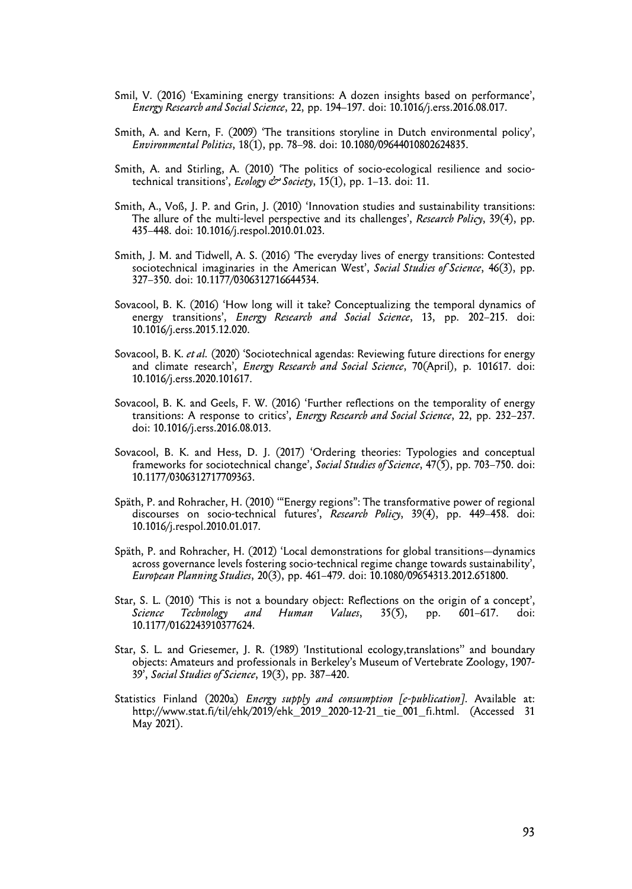- Smil, V. (2016) 'Examining energy transitions: A dozen insights based on performance', *Energy Research and Social Science*, 22, pp. 194–197. doi: 10.1016/j.erss.2016.08.017.
- Smith, A. and Kern, F. (2009) 'The transitions storyline in Dutch environmental policy', *Environmental Politics*, 18(1), pp. 78–98. doi: 10.1080/09644010802624835.
- Smith, A. and Stirling, A. (2010) 'The politics of socio-ecological resilience and sociotechnical transitions', *Ecology & Society*, 15(1), pp. 1–13. doi: 11.
- Smith, A., Voß, J. P. and Grin, J. (2010) 'Innovation studies and sustainability transitions: The allure of the multi-level perspective and its challenges', *Research Policy*, 39(4), pp. 435–448. doi: 10.1016/j.respol.2010.01.023.
- Smith, J. M. and Tidwell, A. S. (2016) 'The everyday lives of energy transitions: Contested sociotechnical imaginaries in the American West', *Social Studies of Science*, 46(3), pp. 327–350. doi: 10.1177/0306312716644534.
- Sovacool, B. K. (2016) 'How long will it take? Conceptualizing the temporal dynamics of energy transitions', *Energy Research and Social Science*, 13, pp. 202–215. doi: 10.1016/j.erss.2015.12.020.
- Sovacool, B. K. *et al.* (2020) 'Sociotechnical agendas: Reviewing future directions for energy and climate research', *Energy Research and Social Science*, 70(April), p. 101617. doi: 10.1016/j.erss.2020.101617.
- Sovacool, B. K. and Geels, F. W. (2016) 'Further reflections on the temporality of energy transitions: A response to critics', *Energy Research and Social Science*, 22, pp. 232–237. doi: 10.1016/j.erss.2016.08.013.
- Sovacool, B. K. and Hess, D. J. (2017) 'Ordering theories: Typologies and conceptual frameworks for sociotechnical change', *Social Studies of Science*, 47(5), pp. 703–750. doi: 10.1177/0306312717709363.
- Späth, P. and Rohracher, H. (2010) '"Energy regions": The transformative power of regional discourses on socio-technical futures', *Research Policy*, 39(4), pp. 449–458. doi: 10.1016/j.respol.2010.01.017.
- Späth, P. and Rohracher, H. (2012) 'Local demonstrations for global transitions—dynamics across governance levels fostering socio-technical regime change towards sustainability', *European Planning Studies*, 20(3), pp. 461–479. doi: 10.1080/09654313.2012.651800.
- Star, S. L. (2010) 'This is not a boundary object: Reflections on the origin of a concept', *Science Technology and Human Values*, 35(5), pp. 601–617. doi: 10.1177/0162243910377624.
- Star, S. L. and Griesemer, J. R. (1989) 'Institutional ecology,translations'' and boundary objects: Amateurs and professionals in Berkeley's Museum of Vertebrate Zoology, 1907- 39', *Social Studies of Science*, 19(3), pp. 387–420.
- Statistics Finland (2020a) *Energy supply and consumption [e-publication]*. Available at: http://www.stat.fi/til/ehk/2019/ehk\_2019\_2020-12-21\_tie\_001\_fi.html. (Accessed 31 May 2021).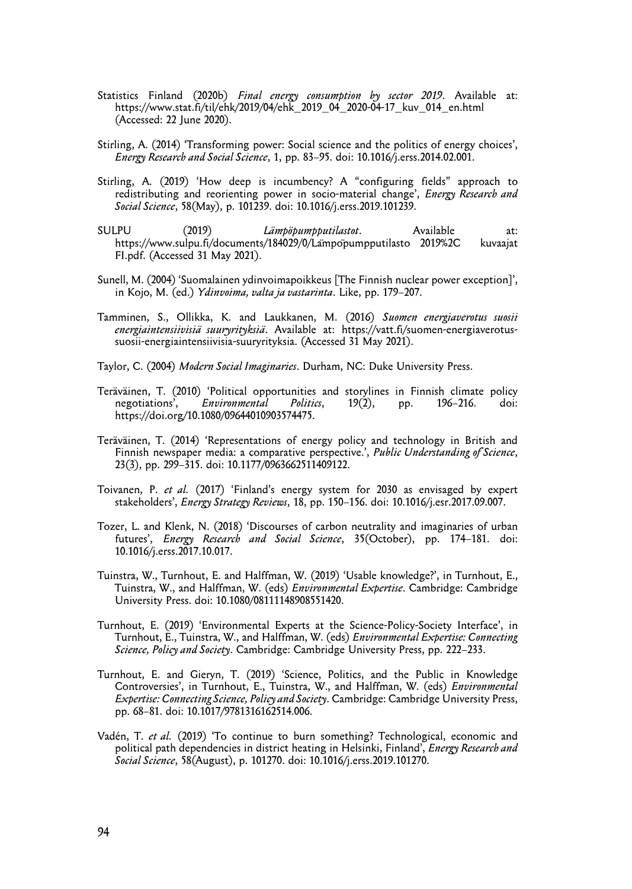- Statistics Finland (2020b) *Final energy consumption by sector 2019*. Available at: https://www.stat.fi/til/ehk/2019/04/ehk\_2019\_04\_2020-04-17\_kuv\_014\_en.html (Accessed: 22 June 2020).
- Stirling, A. (2014) 'Transforming power: Social science and the politics of energy choices', *Energy Research and Social Science*, 1, pp. 83–95. doi: 10.1016/j.erss.2014.02.001.
- Stirling, A. (2019) 'How deep is incumbency? A "configuring fields" approach to redistributing and reorienting power in socio-material change', *Energy Research and Social Science*, 58(May), p. 101239. doi: 10.1016/j.erss.2019.101239.
- SULPU (2019) *Lämpöpumpputilastot*. Available at: https://www.sulpu.fi/documents/184029/0/Lampopumpputilasto 2019%2C FI.pdf. (Accessed 31 May 2021).
- Sunell, M. (2004) 'Suomalainen ydinvoimapoikkeus [The Finnish nuclear power exception]', in Kojo, M. (ed.) *Ydinvoima, valta ja vastarinta*. Like, pp. 179–207.
- Tamminen, S., Ollikka, K. and Laukkanen, M. (2016) *Suomen energiaverotus suosii energiaintensiivisiä suuryrityksiä*. Available at: https://vatt.fi/suomen-energiaverotussuosii-energiaintensiivisia-suuryrityksia. (Accessed 31 May 2021).
- Taylor, C. (2004) *Modern Social Imaginaries*. Durham, NC: Duke University Press.
- Teräväinen, T. (2010) 'Political opportunities and storylines in Finnish climate policy<br>negotiations', Environmental Politics, 19(2), pp. 196-216. doi: Environmental Politics, 19(2), pp. 196–216. doi: https://doi.org/10.1080/09644010903574475.
- Teräväinen, T. (2014) 'Representations of energy policy and technology in British and Finnish newspaper media: a comparative perspective.', *Public Understanding of Science*, 23(3), pp. 299–315. doi: 10.1177/0963662511409122.
- Toivanen, P. *et al.* (2017) 'Finland's energy system for 2030 as envisaged by expert stakeholders', *Energy Strategy Reviews*, 18, pp. 150–156. doi: 10.1016/j.esr.2017.09.007.
- Tozer, L. and Klenk, N. (2018) 'Discourses of carbon neutrality and imaginaries of urban futures', *Energy Research and Social Science*, 35(October), pp. 174–181. doi: 10.1016/j.erss.2017.10.017.
- Tuinstra, W., Turnhout, E. and Halffman, W. (2019) 'Usable knowledge?', in Turnhout, E., Tuinstra, W., and Halffman, W. (eds) *Environmental Expertise*. Cambridge: Cambridge University Press. doi: 10.1080/08111148908551420.
- Turnhout, E. (2019) 'Environmental Experts at the Science-Policy-Society Interface', in Turnhout, E., Tuinstra, W., and Halffman, W. (eds) *Environmental Expertise: Connecting Science, Policy and Society*. Cambridge: Cambridge University Press, pp. 222–233.
- Turnhout, E. and Gieryn, T. (2019) 'Science, Politics, and the Public in Knowledge Controversies', in Turnhout, E., Tuinstra, W., and Halffman, W. (eds) *Environmental Expertise: Connecting Science, Policy and Society*. Cambridge: Cambridge University Press, pp. 68–81. doi: 10.1017/9781316162514.006.
- Vadén, T. *et al.* (2019) 'To continue to burn something? Technological, economic and political path dependencies in district heating in Helsinki, Finland', *Energy Research and Social Science*, 58(August), p. 101270. doi: 10.1016/j.erss.2019.101270.